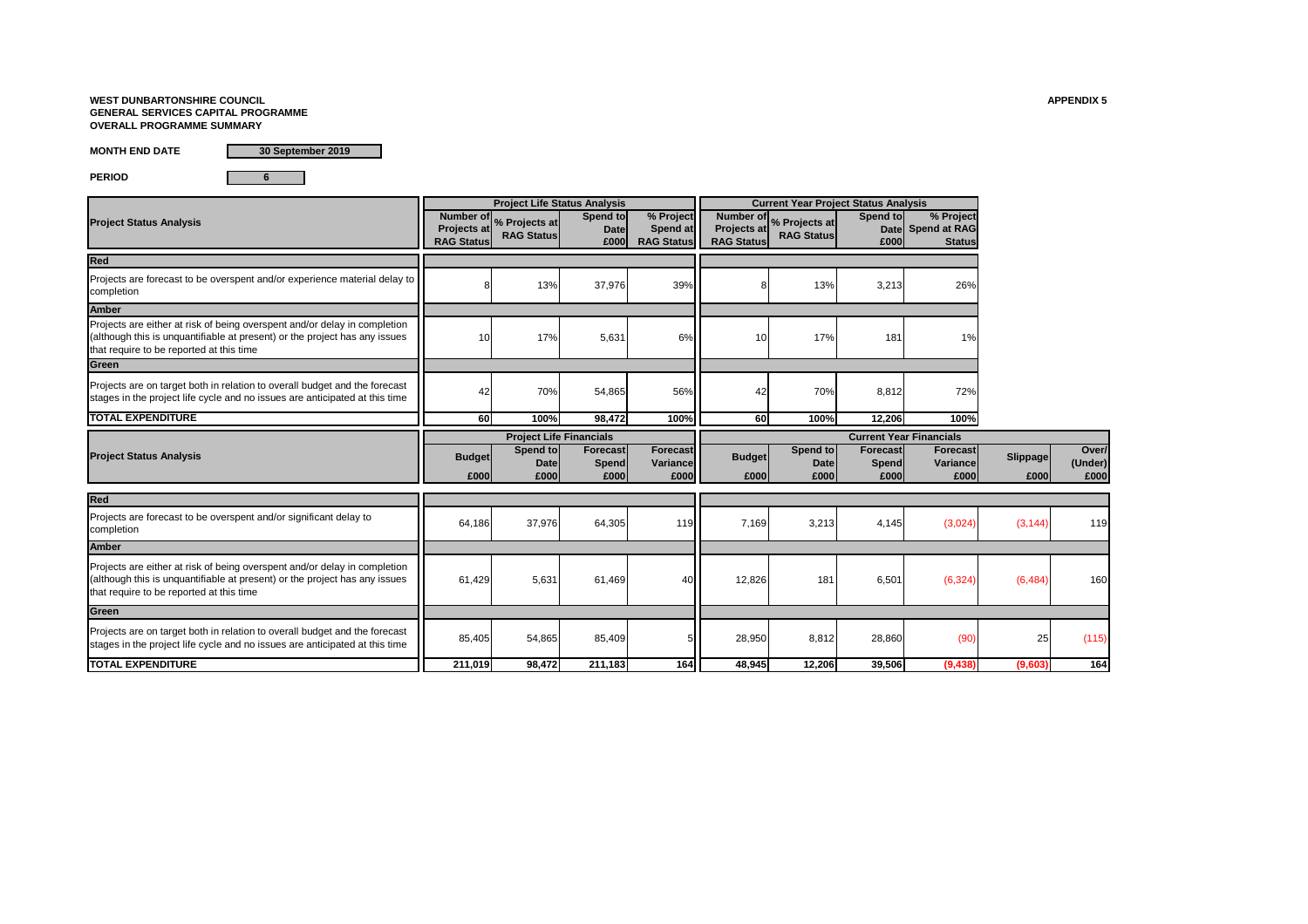# **WEST DUNBARTONSHIRE COUNCIL APPENDIX 5 GENERAL SERVICES CAPITAL PROGRAMME OVERALL PROGRAMME SUMMARY**

**MONTH END DATE**

**PERIOD 6**

|                                                                                                                                                                                                     |                                               | <b>Project Life Status Analysis</b> |                                 |                                            |                                               | <b>Current Year Project Status Analysis</b> |                                |                                                 |                 |                  |
|-----------------------------------------------------------------------------------------------------------------------------------------------------------------------------------------------------|-----------------------------------------------|-------------------------------------|---------------------------------|--------------------------------------------|-----------------------------------------------|---------------------------------------------|--------------------------------|-------------------------------------------------|-----------------|------------------|
| <b>Project Status Analysis</b>                                                                                                                                                                      | Number of<br>Projects at<br><b>RAG Status</b> | % Projects at<br><b>RAG Status</b>  | Spend to<br><b>Date</b><br>£000 | % Project<br>Spend at<br><b>RAG Status</b> | Number of<br>Projects at<br><b>RAG Status</b> | % Projects at<br><b>RAG Status</b>          | Spend to<br>£000               | % Project<br>Date Spend at RAG<br><b>Status</b> |                 |                  |
| Red                                                                                                                                                                                                 |                                               |                                     |                                 |                                            |                                               |                                             |                                |                                                 |                 |                  |
| Projects are forecast to be overspent and/or experience material delay to<br>completion                                                                                                             |                                               | 13%                                 | 37,976                          | 39%                                        |                                               | 13%                                         | 3,213                          | 26%                                             |                 |                  |
| <b>Amber</b>                                                                                                                                                                                        |                                               |                                     |                                 |                                            |                                               |                                             |                                |                                                 |                 |                  |
| Projects are either at risk of being overspent and/or delay in completion<br>(although this is unquantifiable at present) or the project has any issues<br>that require to be reported at this time |                                               | 17%                                 | 5,631                           | 6%                                         | 10                                            | 17%                                         | 181                            | 1%                                              |                 |                  |
| Green                                                                                                                                                                                               |                                               |                                     |                                 |                                            |                                               |                                             |                                |                                                 |                 |                  |
| Projects are on target both in relation to overall budget and the forecast<br>stages in the project life cycle and no issues are anticipated at this time                                           | 42                                            | <b>70%</b>                          | 54,865                          | 56%                                        | 42                                            | 70%                                         | 8,812                          | 72%                                             |                 |                  |
| <b>TOTAL EXPENDITURE</b>                                                                                                                                                                            | <b>60</b>                                     | 100%                                | 98,472                          | 100%                                       | <b>60</b>                                     | 100%                                        | 12,206                         | 100%                                            |                 |                  |
|                                                                                                                                                                                                     |                                               | <b>Project Life Financials</b>      |                                 |                                            |                                               |                                             | <b>Current Year Financials</b> |                                                 |                 |                  |
| <b>Project Status Analysis</b>                                                                                                                                                                      | <b>Budget</b>                                 | Spend to<br><b>Date</b>             | <b>Forecast</b><br>Spend        | <b>Forecast</b><br>Variance                | <b>Budget</b>                                 | Spend to<br><b>Date</b>                     | <b>Forecast</b><br>Spend       | <b>Forecast</b><br>Variance                     | <b>Slippage</b> | Over/<br>(Under) |
|                                                                                                                                                                                                     | £000                                          | £000                                | £000                            | £000                                       | £000                                          | £000                                        | £000                           | £000                                            | £000            | £000             |
| Red                                                                                                                                                                                                 |                                               |                                     |                                 |                                            |                                               |                                             |                                |                                                 |                 |                  |
| Projects are forecast to be overspent and/or significant delay to<br>completion                                                                                                                     | 64,186                                        | 37,976                              | 64,305                          | 119                                        | 7,169                                         | 3,213                                       | 4,145                          | (3,024)                                         | (3, 144)        | 119              |
| <b>Amber</b>                                                                                                                                                                                        |                                               |                                     |                                 |                                            |                                               |                                             |                                |                                                 |                 |                  |
| Projects are either at risk of being overspent and/or delay in completion<br>(although this is unquantifiable at present) or the project has any issues<br>that require to be reported at this time | 61,429                                        | 5,631                               | 61,469                          | 40                                         | 12,826                                        | 181                                         | 6,501                          | (6, 324)                                        | (6, 484)        | 160              |
| Green                                                                                                                                                                                               |                                               |                                     |                                 |                                            |                                               |                                             |                                |                                                 |                 |                  |
| Projects are on target both in relation to overall budget and the forecast<br>stages in the project life cycle and no issues are anticipated at this time                                           | 85,405                                        | 54,865                              | 85,409                          |                                            | 28,950                                        | 8,812                                       | 28,860                         | (90)                                            | 25              | (115)            |
| <b>TOTAL EXPENDITURE</b>                                                                                                                                                                            | 211,019                                       | 98,472                              | 211,183                         | 164                                        | 48,945                                        | 12,206                                      | 39,506                         | (9, 438)                                        | (9,603)         | 164              |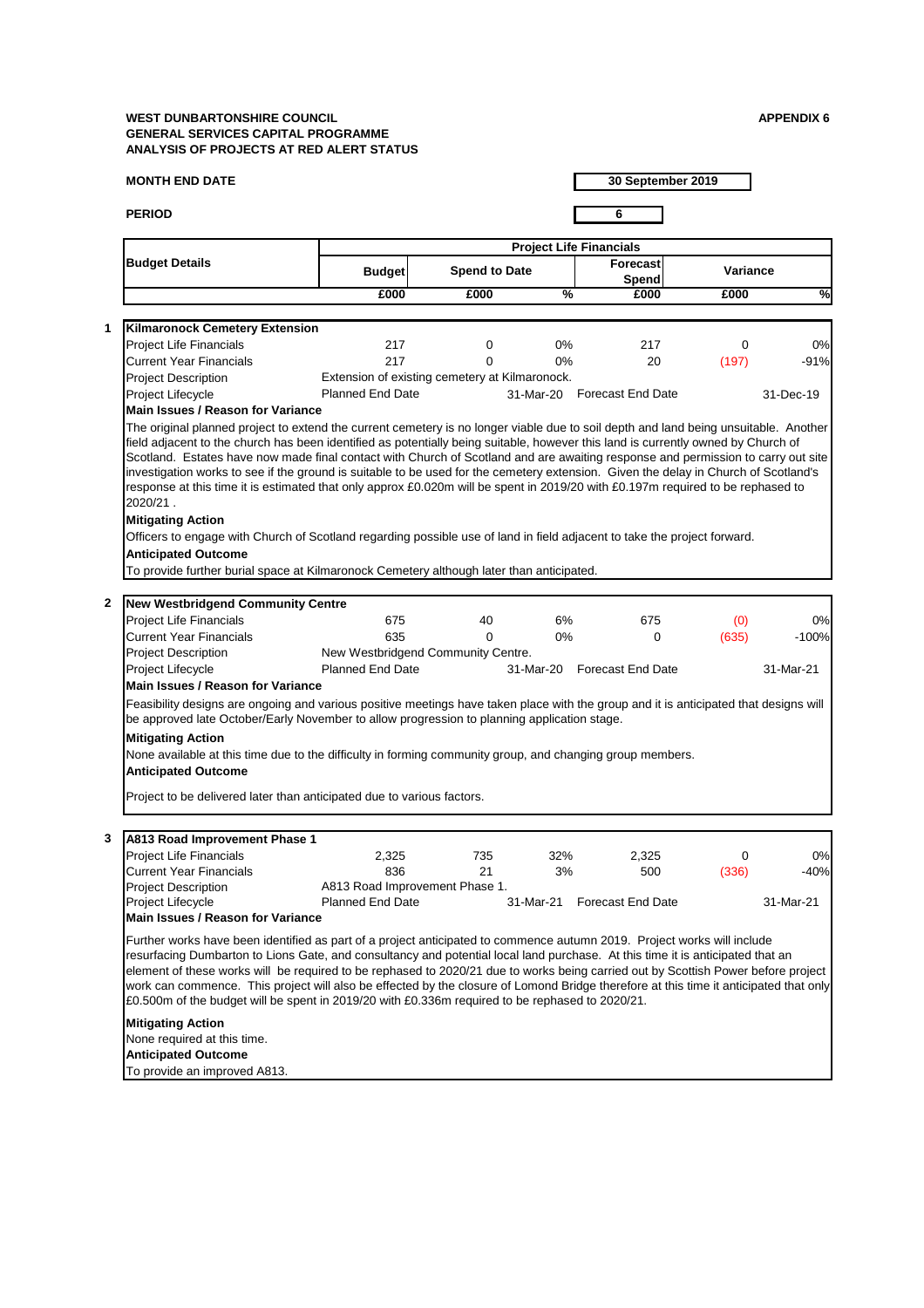## **MONTH END DATE**

**PERIOD 6**

**30 September 2019**

### Project Lifecycle Project Lifecycle **Example 21 Studies 21 Studies 21-Mar-21** 31-Mar-21 Forecast End Date **From 21-Mar-21 Main Issues / Reason for Variance**

|                                                                                                                                                                                                                                                                                                                                                                                                                        | <b>Project Life Financials</b>                 |                      |               |                             |                 |              |  |  |
|------------------------------------------------------------------------------------------------------------------------------------------------------------------------------------------------------------------------------------------------------------------------------------------------------------------------------------------------------------------------------------------------------------------------|------------------------------------------------|----------------------|---------------|-----------------------------|-----------------|--------------|--|--|
| <b>Budget Details</b>                                                                                                                                                                                                                                                                                                                                                                                                  | <b>Budget</b>                                  | <b>Spend to Date</b> |               | Forecast<br>Spend           | <b>Variance</b> |              |  |  |
|                                                                                                                                                                                                                                                                                                                                                                                                                        | £000                                           | £000                 | $\frac{9}{6}$ | £000                        | £000            | $\sqrt{2}$   |  |  |
|                                                                                                                                                                                                                                                                                                                                                                                                                        |                                                |                      |               |                             |                 |              |  |  |
| <b>Kilmaronock Cemetery Extension</b>                                                                                                                                                                                                                                                                                                                                                                                  |                                                |                      |               |                             |                 |              |  |  |
| <b>Project Life Financials</b>                                                                                                                                                                                                                                                                                                                                                                                         | 217                                            | 0                    | $0\%$         | 217                         | 0               | 0%           |  |  |
| <b>Current Year Financials</b>                                                                                                                                                                                                                                                                                                                                                                                         | 217                                            | 0                    | $0\%$         | 20                          | (197)           | $-91%$       |  |  |
| <b>Project Description</b>                                                                                                                                                                                                                                                                                                                                                                                             | Extension of existing cemetery at Kilmaronock. |                      |               |                             |                 |              |  |  |
| Project Lifecycle<br>Main Issues / Reason for Variance                                                                                                                                                                                                                                                                                                                                                                 | <b>Planned End Date</b>                        |                      |               | 31-Mar-20 Forecast End Date |                 | 31-Dec-19    |  |  |
| The original planned project to extend the current cemetery is no longer viable due to soil depth and land being unsuitable. Another                                                                                                                                                                                                                                                                                   |                                                |                      |               |                             |                 |              |  |  |
| Scotland. Estates have now made final contact with Church of Scotland and are awaiting response and permission to carry out site<br>investigation works to see if the ground is suitable to be used for the cemetery extension. Given the delay in Church of Scotland's<br>response at this time it is estimated that only approx £0.020m will be spent in 2019/20 with £0.197m required to be rephased to<br>2020/21. |                                                |                      |               |                             |                 |              |  |  |
|                                                                                                                                                                                                                                                                                                                                                                                                                        |                                                |                      |               |                             |                 |              |  |  |
| <b>Mitigating Action</b>                                                                                                                                                                                                                                                                                                                                                                                               |                                                |                      |               |                             |                 |              |  |  |
| Officers to engage with Church of Scotland regarding possible use of land in field adjacent to take the project forward.                                                                                                                                                                                                                                                                                               |                                                |                      |               |                             |                 |              |  |  |
| <b>Anticipated Outcome</b>                                                                                                                                                                                                                                                                                                                                                                                             |                                                |                      |               |                             |                 |              |  |  |
|                                                                                                                                                                                                                                                                                                                                                                                                                        |                                                |                      |               |                             |                 |              |  |  |
| To provide further burial space at Kilmaronock Cemetery although later than anticipated.                                                                                                                                                                                                                                                                                                                               |                                                |                      |               |                             |                 |              |  |  |
|                                                                                                                                                                                                                                                                                                                                                                                                                        |                                                |                      |               |                             |                 |              |  |  |
| <b>New Westbridgend Community Centre</b><br><b>Project Life Financials</b>                                                                                                                                                                                                                                                                                                                                             | 675                                            | 40                   | 6%            | 675                         |                 | 0%           |  |  |
| <b>Current Year Financials</b>                                                                                                                                                                                                                                                                                                                                                                                         | 635                                            | 0                    | $0\%$         | 0                           | (0)<br>(635)    | $-100%$      |  |  |
| <b>Project Description</b>                                                                                                                                                                                                                                                                                                                                                                                             | New Westbridgend Community Centre.             |                      |               |                             |                 |              |  |  |
| Project Lifecycle                                                                                                                                                                                                                                                                                                                                                                                                      | <b>Planned End Date</b>                        |                      | 31-Mar-20     | <b>Forecast End Date</b>    |                 | 31-Mar-21    |  |  |
| Main Issues / Reason for Variance                                                                                                                                                                                                                                                                                                                                                                                      |                                                |                      |               |                             |                 |              |  |  |
| Feasibility designs are ongoing and various positive meetings have taken place with the group and it is anticipated that designs will<br>be approved late October/Early November to allow progression to planning application stage.                                                                                                                                                                                   |                                                |                      |               |                             |                 |              |  |  |
| <b>Mitigating Action</b><br>None available at this time due to the difficulty in forming community group, and changing group members.<br><b>Anticipated Outcome</b>                                                                                                                                                                                                                                                    |                                                |                      |               |                             |                 |              |  |  |
| Project to be delivered later than anticipated due to various factors.                                                                                                                                                                                                                                                                                                                                                 |                                                |                      |               |                             |                 |              |  |  |
|                                                                                                                                                                                                                                                                                                                                                                                                                        |                                                |                      |               |                             |                 |              |  |  |
| <b>A813 Road Improvement Phase 1</b>                                                                                                                                                                                                                                                                                                                                                                                   |                                                |                      |               |                             |                 |              |  |  |
| <b>Project Life Financials</b><br><b>Current Year Financials</b>                                                                                                                                                                                                                                                                                                                                                       | 2,325<br>836                                   | 735<br>21            | 32%<br>3%     | 2,325<br>500                | 0<br>(336)      | 0%<br>$-40%$ |  |  |

Further works have been identified as part of a project anticipated to commence autumn 2019. Project works will include resurfacing Dumbarton to Lions Gate, and consultancy and potential local land purchase. At this time it is anticipated that an element of these works will be required to be rephased to 2020/21 due to works being carried out by Scottish Power before project work can commence. This project will also be effected by the closure of Lomond Bridge therefore at this time it anticipated that only £0.500m of the budget will be spent in 2019/20 with £0.336m required to be rephased to 2020/21.

### **Mitigating Action**

None required at this time. **Anticipated Outcome** To provide an improved A813.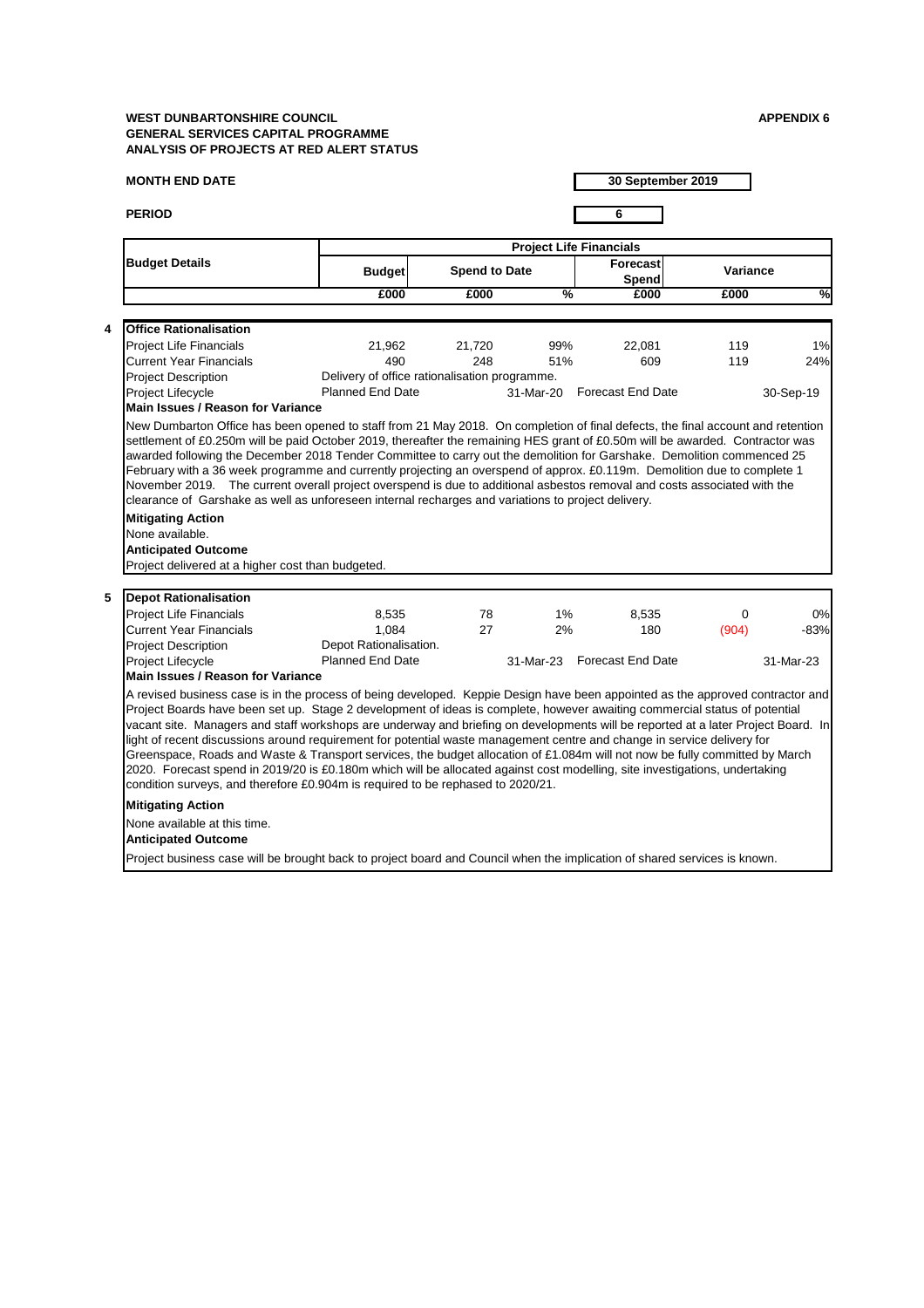# **MONTH END DATE**

**PERIOD 6**

|                         |                                                                                                                                                                                                                                                                                                                                                                                                                                                                                                                                                                                                                                                                                                                                                                                                                                                                               | <b>Project Life Financials</b>                |                      |               |                             |                 |               |  |  |
|-------------------------|-------------------------------------------------------------------------------------------------------------------------------------------------------------------------------------------------------------------------------------------------------------------------------------------------------------------------------------------------------------------------------------------------------------------------------------------------------------------------------------------------------------------------------------------------------------------------------------------------------------------------------------------------------------------------------------------------------------------------------------------------------------------------------------------------------------------------------------------------------------------------------|-----------------------------------------------|----------------------|---------------|-----------------------------|-----------------|---------------|--|--|
|                         | <b>Budget Details</b>                                                                                                                                                                                                                                                                                                                                                                                                                                                                                                                                                                                                                                                                                                                                                                                                                                                         | <b>Budget</b>                                 | <b>Spend to Date</b> |               | Forecast<br>Spend           | <b>Variance</b> |               |  |  |
|                         |                                                                                                                                                                                                                                                                                                                                                                                                                                                                                                                                                                                                                                                                                                                                                                                                                                                                               | £000                                          | £000                 | $\frac{0}{2}$ | £000                        | £000            | $\frac{1}{2}$ |  |  |
| $\overline{\mathbf{4}}$ | <b>Office Rationalisation</b>                                                                                                                                                                                                                                                                                                                                                                                                                                                                                                                                                                                                                                                                                                                                                                                                                                                 |                                               |                      |               |                             |                 |               |  |  |
|                         | <b>Project Life Financials</b>                                                                                                                                                                                                                                                                                                                                                                                                                                                                                                                                                                                                                                                                                                                                                                                                                                                | 21,962                                        | 21,720               | 99%           | 22,081                      | 119             | 1%            |  |  |
|                         | <b>Current Year Financials</b>                                                                                                                                                                                                                                                                                                                                                                                                                                                                                                                                                                                                                                                                                                                                                                                                                                                | 490                                           | 248                  | 51%           | 609                         | 119             | 24%           |  |  |
|                         | <b>Project Description</b>                                                                                                                                                                                                                                                                                                                                                                                                                                                                                                                                                                                                                                                                                                                                                                                                                                                    | Delivery of office rationalisation programme. |                      |               |                             |                 |               |  |  |
|                         | <b>Project Lifecycle</b>                                                                                                                                                                                                                                                                                                                                                                                                                                                                                                                                                                                                                                                                                                                                                                                                                                                      | <b>Planned End Date</b>                       |                      |               | 31-Mar-20 Forecast End Date |                 | 30-Sep-19     |  |  |
|                         | <b>Main Issues / Reason for Variance</b>                                                                                                                                                                                                                                                                                                                                                                                                                                                                                                                                                                                                                                                                                                                                                                                                                                      |                                               |                      |               |                             |                 |               |  |  |
|                         | February with a 36 week programme and currently projecting an overspend of approx. £0.119m. Demolition due to complete 1<br>November 2019. The current overall project overspend is due to additional asbestos removal and costs associated with the<br>clearance of Garshake as well as unforeseen internal recharges and variations to project delivery.<br><b>Mitigating Action</b><br>None available.<br><b>Anticipated Outcome</b>                                                                                                                                                                                                                                                                                                                                                                                                                                       |                                               |                      |               |                             |                 |               |  |  |
|                         |                                                                                                                                                                                                                                                                                                                                                                                                                                                                                                                                                                                                                                                                                                                                                                                                                                                                               |                                               |                      |               |                             |                 |               |  |  |
|                         | Project delivered at a higher cost than budgeted.                                                                                                                                                                                                                                                                                                                                                                                                                                                                                                                                                                                                                                                                                                                                                                                                                             |                                               |                      |               |                             |                 |               |  |  |
|                         | <b>Depot Rationalisation</b>                                                                                                                                                                                                                                                                                                                                                                                                                                                                                                                                                                                                                                                                                                                                                                                                                                                  |                                               |                      |               |                             |                 |               |  |  |
| 5                       | <b>Project Life Financials</b>                                                                                                                                                                                                                                                                                                                                                                                                                                                                                                                                                                                                                                                                                                                                                                                                                                                | 8,535                                         | 78                   | $1\%$         | 8,535                       | $\Omega$        |               |  |  |
|                         | <b>Current Year Financials</b>                                                                                                                                                                                                                                                                                                                                                                                                                                                                                                                                                                                                                                                                                                                                                                                                                                                | 1,084                                         | 27                   | 2%            | 180                         | (904)           |               |  |  |
|                         | <b>Project Description</b>                                                                                                                                                                                                                                                                                                                                                                                                                                                                                                                                                                                                                                                                                                                                                                                                                                                    | Depot Rationalisation.                        |                      |               |                             |                 | 0%<br>$-83%$  |  |  |
|                         | Project Lifecycle                                                                                                                                                                                                                                                                                                                                                                                                                                                                                                                                                                                                                                                                                                                                                                                                                                                             | <b>Planned End Date</b>                       |                      | 31-Mar-23     | <b>Forecast End Date</b>    |                 | 31-Mar-23     |  |  |
|                         | <b>Main Issues / Reason for Variance</b>                                                                                                                                                                                                                                                                                                                                                                                                                                                                                                                                                                                                                                                                                                                                                                                                                                      |                                               |                      |               |                             |                 |               |  |  |
|                         | A revised business case is in the process of being developed. Keppie Design have been appointed as the approved contractor and<br>Project Boards have been set up. Stage 2 development of ideas is complete, however awaiting commercial status of potential<br>vacant site. Managers and staff workshops are underway and briefing on developments will be reported at a later Project Board. In<br>light of recent discussions around requirement for potential waste management centre and change in service delivery for<br>Greenspace, Roads and Waste & Transport services, the budget allocation of £1.084m will not now be fully committed by March<br>2020. Forecast spend in 2019/20 is £0.180m which will be allocated against cost modelling, site investigations, undertaking<br>condition surveys, and therefore £0.904m is required to be rephased to 2020/21. |                                               |                      |               |                             |                 |               |  |  |
|                         |                                                                                                                                                                                                                                                                                                                                                                                                                                                                                                                                                                                                                                                                                                                                                                                                                                                                               |                                               |                      |               |                             |                 |               |  |  |
|                         | <b>Mitigating Action</b><br>None available at this time.<br><b>Anticipated Outcome</b>                                                                                                                                                                                                                                                                                                                                                                                                                                                                                                                                                                                                                                                                                                                                                                                        |                                               |                      |               |                             |                 |               |  |  |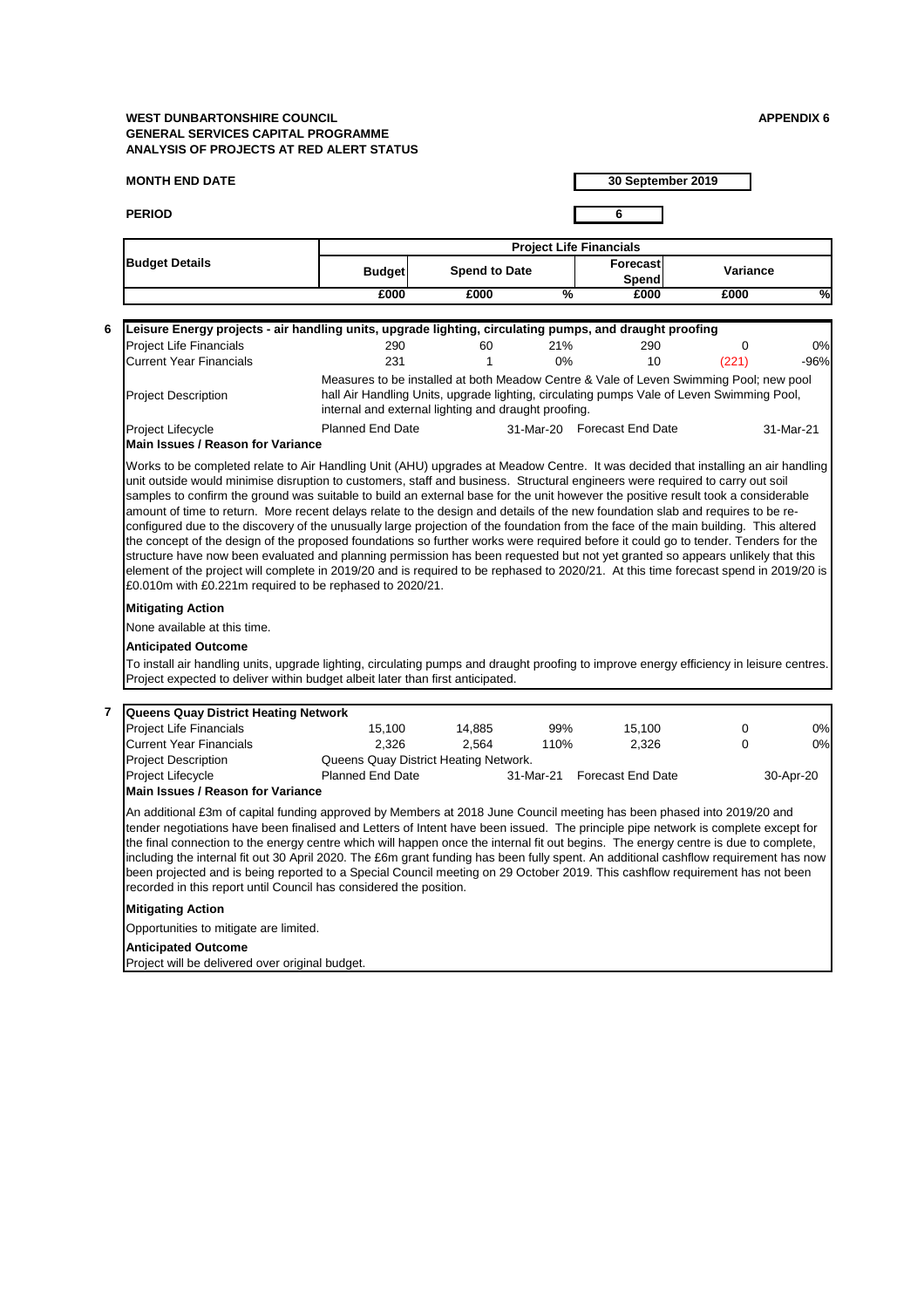## **MONTH END DATE**

**PERIOD 6**

# **30 September 2019**

## **Mitigating Action**

None available at this time.

# **Anticipated Outcome**

|                                                                                                         |                                                                                                                                                                                                                                             |                      | <b>Project Life Financials</b> |      |                 |        |
|---------------------------------------------------------------------------------------------------------|---------------------------------------------------------------------------------------------------------------------------------------------------------------------------------------------------------------------------------------------|----------------------|--------------------------------|------|-----------------|--------|
| <b>Budget Details</b>                                                                                   | <b>Budget</b>                                                                                                                                                                                                                               | <b>Spend to Date</b> | Forecast<br>Spend              |      | <b>Variance</b> |        |
|                                                                                                         | £000                                                                                                                                                                                                                                        | £000                 | $\overline{\%}$                | £000 | £000            | %      |
| <b>Project Life Financials</b>                                                                          | 290                                                                                                                                                                                                                                         | 60                   | 21%                            | 290  |                 | $0\%$  |
| Leisure Energy projects - air handling units, upgrade lighting, circulating pumps, and draught proofing |                                                                                                                                                                                                                                             |                      |                                |      |                 |        |
| <b>Current Year Financials</b>                                                                          | 231                                                                                                                                                                                                                                         |                      | $0\%$                          | 10   | (221)           | $-96%$ |
| <b>Project Description</b>                                                                              | Measures to be installed at both Meadow Centre & Vale of Leven Swimming Pool; new pool<br>hall Air Handling Units, upgrade lighting, circulating pumps Vale of Leven Swimming Pool,<br>internal and external lighting and draught proofing. |                      |                                |      |                 |        |
|                                                                                                         |                                                                                                                                                                                                                                             |                      |                                |      |                 |        |

To install air handling units, upgrade lighting, circulating pumps and draught proofing to improve energy efficiency in leisure centres. Project expected to deliver within budget albeit later than first anticipated.

| Project Lifecycle                        | <b>Planned End Date</b> | 31-Mar-20 Forecast End Date | 31-Mar-21 |
|------------------------------------------|-------------------------|-----------------------------|-----------|
| <b>Main Issues / Reason for Variance</b> |                         |                             |           |

Works to be completed relate to Air Handling Unit (AHU) upgrades at Meadow Centre. It was decided that installing an air handling unit outside would minimise disruption to customers, staff and business. Structural engineers were required to carry out soil samples to confirm the ground was suitable to build an external base for the unit however the positive result took a considerable amount of time to return. More recent delays relate to the design and details of the new foundation slab and requires to be reconfigured due to the discovery of the unusually large projection of the foundation from the face of the main building. This altered the concept of the design of the proposed foundations so further works were required before it could go to tender. Tenders for the structure have now been evaluated and planning permission has been requested but not yet granted so appears unlikely that this element of the project will complete in 2019/20 and is required to be rephased to 2020/21. At this time forecast spend in 2019/20 is £0.010m with £0.221m required to be rephased to 2020/21.

| <b>Queens Quay District Heating Network</b> |                                       |        |           |                          |           |
|---------------------------------------------|---------------------------------------|--------|-----------|--------------------------|-----------|
| <b>Project Life Financials</b>              | 15.100                                | 14,885 | 99%       | 15,100                   | 0%        |
| <b>Current Year Financials</b>              | 2.326                                 | 2.564  | 110%      | 2,326                    | 0%        |
| <b>Project Description</b>                  | Queens Quay District Heating Network. |        |           |                          |           |
| <b>Project Lifecycle</b>                    | <b>Planned End Date</b>               |        | 31-Mar-21 | <b>Forecast End Date</b> | 30-Apr-20 |
| <b>IMain Issues / Reason for Variance</b>   |                                       |        |           |                          |           |

**Main Issues / Reason for Variance** 

An additional £3m of capital funding approved by Members at 2018 June Council meeting has been phased into 2019/20 and tender negotiations have been finalised and Letters of Intent have been issued. The principle pipe network is complete except for the final connection to the energy centre which will happen once the internal fit out begins. The energy centre is due to complete, including the internal fit out 30 April 2020. The £6m grant funding has been fully spent. An additional cashflow requirement has now been projected and is being reported to a Special Council meeting on 29 October 2019. This cashflow requirement has not been recorded in this report until Council has considered the position.

**Mitigating Action**

Opportunities to mitigate are limited.

**Anticipated Outcome**

Project will be delivered over original budget.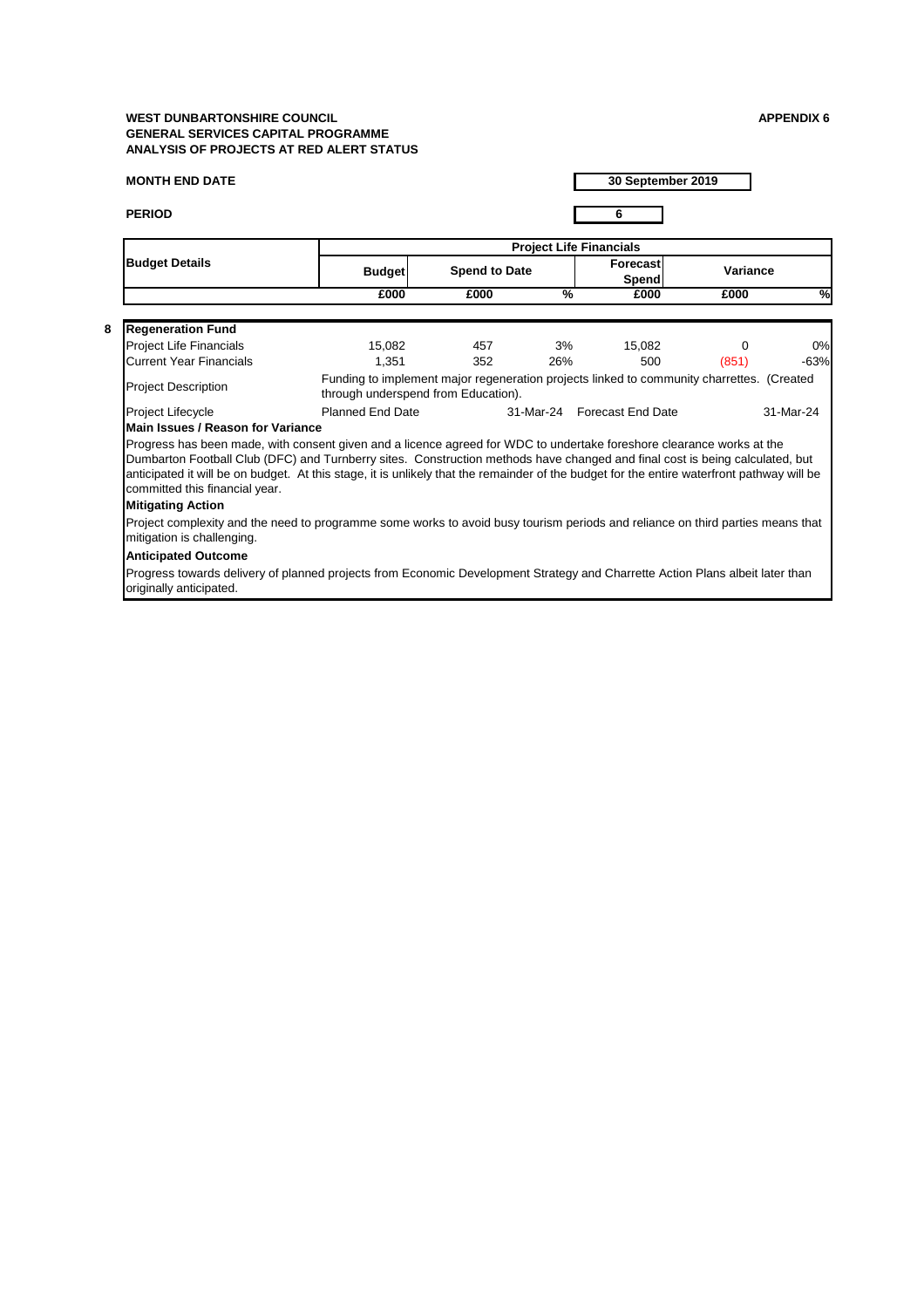# **MONTH END DATE**

**PERIOD 6**

|                                                                                                                                                                                                                                                                                                                                                                                                                                       |                                     |                      |               | <b>Project Life Financials</b>                                                            |          |               |
|---------------------------------------------------------------------------------------------------------------------------------------------------------------------------------------------------------------------------------------------------------------------------------------------------------------------------------------------------------------------------------------------------------------------------------------|-------------------------------------|----------------------|---------------|-------------------------------------------------------------------------------------------|----------|---------------|
| <b>Budget Details</b>                                                                                                                                                                                                                                                                                                                                                                                                                 | <b>Budget</b>                       | <b>Spend to Date</b> |               | Forecast<br><b>Spend</b>                                                                  | Variance |               |
|                                                                                                                                                                                                                                                                                                                                                                                                                                       | £000                                | £000                 | $\frac{0}{6}$ | £000                                                                                      | £000     | $\frac{1}{2}$ |
| <b>Regeneration Fund</b>                                                                                                                                                                                                                                                                                                                                                                                                              |                                     |                      |               |                                                                                           |          |               |
| <b>Project Life Financials</b>                                                                                                                                                                                                                                                                                                                                                                                                        | 15,082                              | 457                  | 3%            | 15,082                                                                                    | 0        | 0%            |
| <b>Current Year Financials</b>                                                                                                                                                                                                                                                                                                                                                                                                        | 1,351                               | 352                  | 26%           | 500                                                                                       | (851)    | $-63%$        |
| <b>Project Description</b>                                                                                                                                                                                                                                                                                                                                                                                                            | through underspend from Education). |                      |               | Funding to implement major regeneration projects linked to community charrettes. (Created |          |               |
| Project Lifecycle                                                                                                                                                                                                                                                                                                                                                                                                                     | <b>Planned End Date</b>             |                      |               | 31-Mar-24 Forecast End Date                                                               |          | 31-Mar-24     |
| <b>Main Issues / Reason for Variance</b>                                                                                                                                                                                                                                                                                                                                                                                              |                                     |                      |               |                                                                                           |          |               |
| Progress has been made, with consent given and a licence agreed for WDC to undertake foreshore clearance works at the<br>Dumbarton Football Club (DFC) and Turnberry sites. Construction methods have changed and final cost is being calculated, but<br>anticipated it will be on budget. At this stage, it is unlikely that the remainder of the budget for the entire waterfront pathway will be<br>committed this financial year. |                                     |                      |               |                                                                                           |          |               |
| <b>Mitigating Action</b>                                                                                                                                                                                                                                                                                                                                                                                                              |                                     |                      |               |                                                                                           |          |               |
| Project complexity and the need to programme some works to avoid busy tourism periods and reliance on third parties means that<br>mitigation is challenging.                                                                                                                                                                                                                                                                          |                                     |                      |               |                                                                                           |          |               |
| <b>Anticipated Outcome</b>                                                                                                                                                                                                                                                                                                                                                                                                            |                                     |                      |               |                                                                                           |          |               |
| Progress towards delivery of planned projects from Economic Development Strategy and Charrette Action Plans albeit later than<br>originally anticipated.                                                                                                                                                                                                                                                                              |                                     |                      |               |                                                                                           |          |               |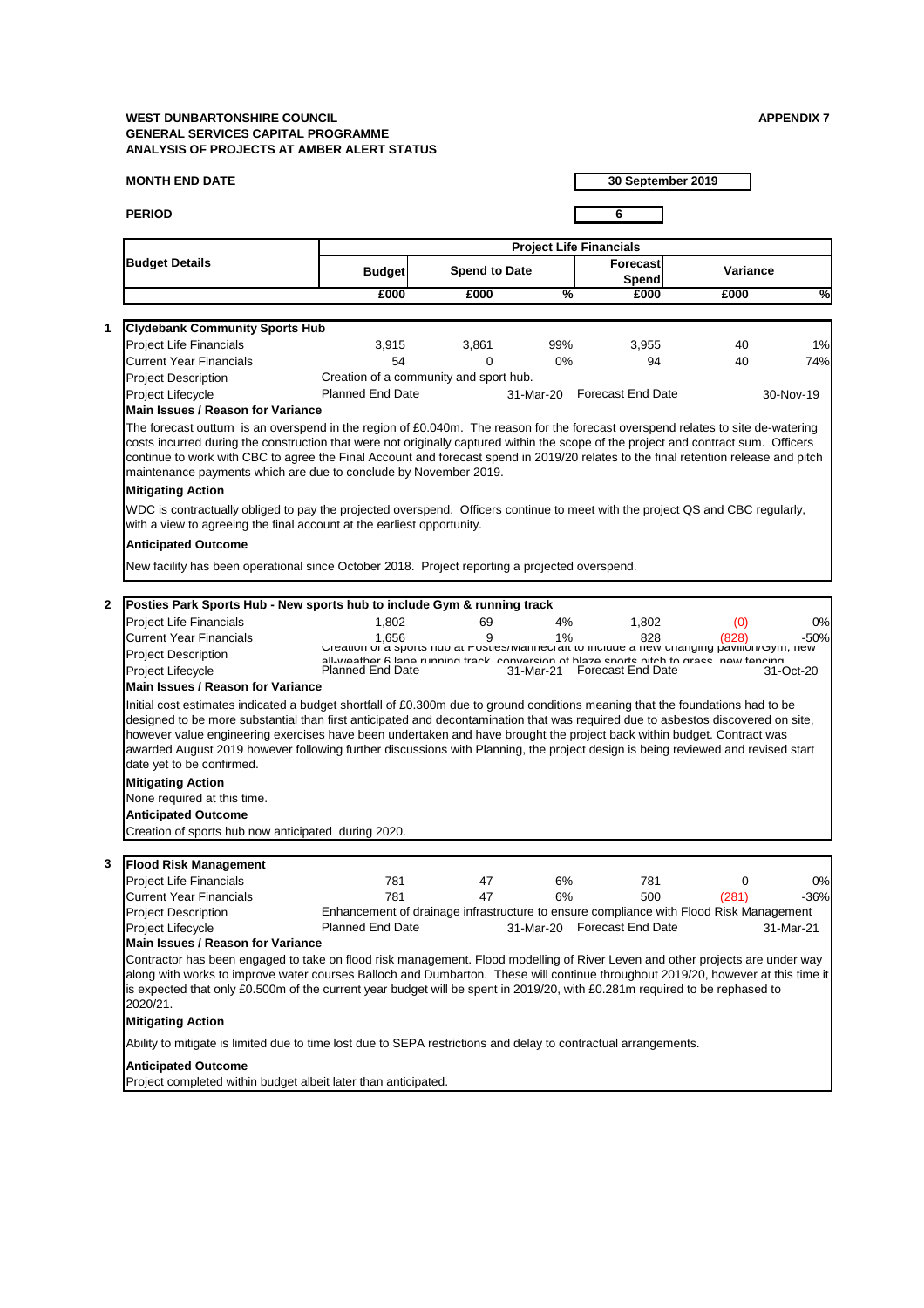## **MONTH END DATE**

**PERIOD 6**

**30 September 2019**

|                                                                                                                                                                                                                                                                                                                                                                                                                            |                                                                                                                                                                                        | <b>Project Life Financials</b> |               |                                                                                                                                |                 |            |  |  |  |
|----------------------------------------------------------------------------------------------------------------------------------------------------------------------------------------------------------------------------------------------------------------------------------------------------------------------------------------------------------------------------------------------------------------------------|----------------------------------------------------------------------------------------------------------------------------------------------------------------------------------------|--------------------------------|---------------|--------------------------------------------------------------------------------------------------------------------------------|-----------------|------------|--|--|--|
| <b>Budget Details</b>                                                                                                                                                                                                                                                                                                                                                                                                      | <b>Budget</b>                                                                                                                                                                          | <b>Spend to Date</b>           |               | <b>Forecast</b><br>Spend                                                                                                       | <b>Variance</b> |            |  |  |  |
|                                                                                                                                                                                                                                                                                                                                                                                                                            | £000                                                                                                                                                                                   | £000                           | $\frac{0}{0}$ | £000                                                                                                                           | £000            | $\sqrt{2}$ |  |  |  |
| <b>Clydebank Community Sports Hub</b>                                                                                                                                                                                                                                                                                                                                                                                      |                                                                                                                                                                                        |                                |               |                                                                                                                                |                 |            |  |  |  |
| <b>Project Life Financials</b>                                                                                                                                                                                                                                                                                                                                                                                             | 3,915                                                                                                                                                                                  | 3,861                          | 99%           | 3,955                                                                                                                          | 40              | 1%         |  |  |  |
| <b>Current Year Financials</b>                                                                                                                                                                                                                                                                                                                                                                                             | 54                                                                                                                                                                                     | 0                              | $0\%$         | 94                                                                                                                             | 40              | 74%        |  |  |  |
| <b>Project Description</b>                                                                                                                                                                                                                                                                                                                                                                                                 | Creation of a community and sport hub.                                                                                                                                                 |                                |               |                                                                                                                                |                 |            |  |  |  |
| <b>Project Lifecycle</b>                                                                                                                                                                                                                                                                                                                                                                                                   | <b>Planned End Date</b>                                                                                                                                                                |                                |               | 31-Mar-20 Forecast End Date                                                                                                    |                 | 30-Nov-19  |  |  |  |
| <b>Main Issues / Reason for Variance</b>                                                                                                                                                                                                                                                                                                                                                                                   |                                                                                                                                                                                        |                                |               |                                                                                                                                |                 |            |  |  |  |
| continue to work with CBC to agree the Final Account and forecast spend in 2019/20 relates to the final retention release and pitch<br>maintenance payments which are due to conclude by November 2019.<br><b>Mitigating Action</b>                                                                                                                                                                                        |                                                                                                                                                                                        |                                |               |                                                                                                                                |                 |            |  |  |  |
| WDC is contractually obliged to pay the projected overspend. Officers continue to meet with the project QS and CBC regularly,<br>with a view to agreeing the final account at the earliest opportunity.                                                                                                                                                                                                                    |                                                                                                                                                                                        |                                |               |                                                                                                                                |                 |            |  |  |  |
| <b>Anticipated Outcome</b>                                                                                                                                                                                                                                                                                                                                                                                                 |                                                                                                                                                                                        |                                |               |                                                                                                                                |                 |            |  |  |  |
| New facility has been operational since October 2018. Project reporting a projected overspend.                                                                                                                                                                                                                                                                                                                             |                                                                                                                                                                                        |                                |               |                                                                                                                                |                 |            |  |  |  |
|                                                                                                                                                                                                                                                                                                                                                                                                                            |                                                                                                                                                                                        |                                |               |                                                                                                                                |                 |            |  |  |  |
| Posties Park Sports Hub - New sports hub to include Gym & running track                                                                                                                                                                                                                                                                                                                                                    |                                                                                                                                                                                        |                                |               |                                                                                                                                |                 |            |  |  |  |
| <b>Project Life Financials</b>                                                                                                                                                                                                                                                                                                                                                                                             | 1,802                                                                                                                                                                                  | 69                             | 4%            | 1,802                                                                                                                          | (0)             | 0%         |  |  |  |
| <b>Current Year Financials</b>                                                                                                                                                                                                                                                                                                                                                                                             | 1,656                                                                                                                                                                                  | 9                              | 1%            | 828                                                                                                                            | (828)           | $-50%$     |  |  |  |
| <b>Project Description</b>                                                                                                                                                                                                                                                                                                                                                                                                 | Greation or a sports nub at Postles/Iviannectait to include a new changing pavilion/Gym, new<br>all wasthar R lana running track conversion of hisza sports nitch to grass naw fancing |                                |               |                                                                                                                                |                 |            |  |  |  |
| Project Lifecycle                                                                                                                                                                                                                                                                                                                                                                                                          | <b>Planned End Date</b>                                                                                                                                                                |                                | 31-Mar-21     | <b>Forecast End Date</b>                                                                                                       |                 | 31-Oct-20  |  |  |  |
| <b>Main Issues / Reason for Variance</b>                                                                                                                                                                                                                                                                                                                                                                                   |                                                                                                                                                                                        |                                |               |                                                                                                                                |                 |            |  |  |  |
|                                                                                                                                                                                                                                                                                                                                                                                                                            |                                                                                                                                                                                        |                                |               |                                                                                                                                |                 |            |  |  |  |
| designed to be more substantial than first anticipated and decontamination that was required due to asbestos discovered on site,<br>however value engineering exercises have been undertaken and have brought the project back within budget. Contract was<br>awarded August 2019 however following further discussions with Planning, the project design is being reviewed and revised start<br>date yet to be confirmed. |                                                                                                                                                                                        |                                |               | Initial cost estimates indicated a budget shortfall of £0.300m due to ground conditions meaning that the foundations had to be |                 |            |  |  |  |
| <b>Mitigating Action</b>                                                                                                                                                                                                                                                                                                                                                                                                   |                                                                                                                                                                                        |                                |               |                                                                                                                                |                 |            |  |  |  |
| None required at this time.                                                                                                                                                                                                                                                                                                                                                                                                |                                                                                                                                                                                        |                                |               |                                                                                                                                |                 |            |  |  |  |
| <b>Anticipated Outcome</b>                                                                                                                                                                                                                                                                                                                                                                                                 |                                                                                                                                                                                        |                                |               |                                                                                                                                |                 |            |  |  |  |
| Creation of sports hub now anticipated during 2020.                                                                                                                                                                                                                                                                                                                                                                        |                                                                                                                                                                                        |                                |               |                                                                                                                                |                 |            |  |  |  |
|                                                                                                                                                                                                                                                                                                                                                                                                                            |                                                                                                                                                                                        |                                |               |                                                                                                                                |                 |            |  |  |  |
| <b>Flood Risk Management</b><br><b>Project Life Financials</b>                                                                                                                                                                                                                                                                                                                                                             | 781                                                                                                                                                                                    | 47                             | 6%            | 781                                                                                                                            | 0               | 0%         |  |  |  |

| <b>Project Description</b>               |                         | Enhancement of drainage infrastructure to ensure compliance with Flood Risk Management |                             |           |  |  |  |  |
|------------------------------------------|-------------------------|----------------------------------------------------------------------------------------|-----------------------------|-----------|--|--|--|--|
| Project Lifecycle                        | <b>Planned End Date</b> |                                                                                        | 31-Mar-20 Forecast End Date | 31-Mar-21 |  |  |  |  |
| <b>Main Issues / Reason for Variance</b> |                         |                                                                                        |                             |           |  |  |  |  |

Contractor has been engaged to take on flood risk management. Flood modelling of River Leven and other projects are under way along with works to improve water courses Balloch and Dumbarton. These will continue throughout 2019/20, however at this time it is expected that only £0.500m of the current year budget will be spent in 2019/20, with £0.281m required to be rephased to 2020/21.

# **Mitigating Action**

Ability to mitigate is limited due to time lost due to SEPA restrictions and delay to contractual arrangements.

## **Anticipated Outcome**

Project completed within budget albeit later than anticipated.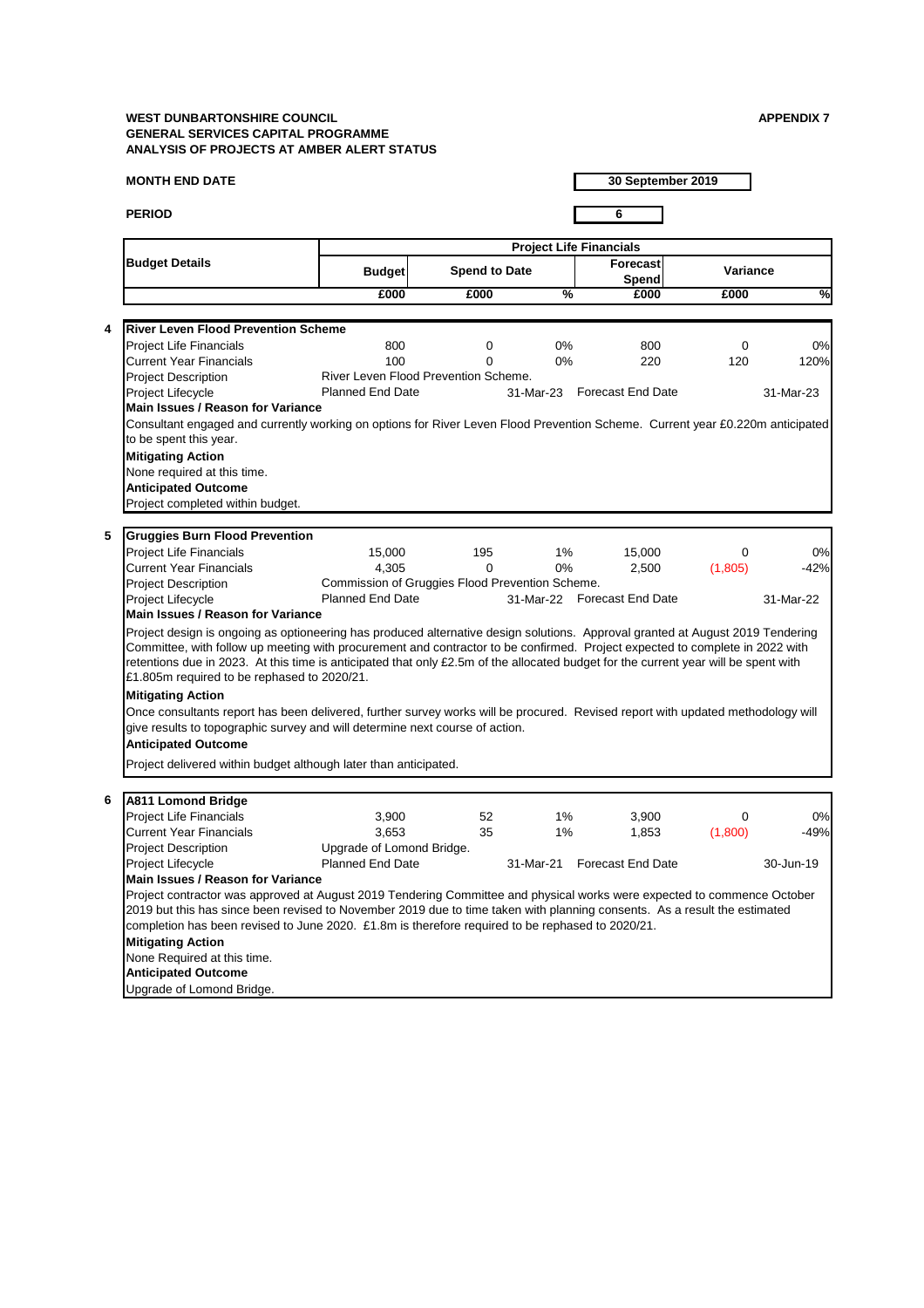## **MONTH END DATE**

**PERIOD 6**

**30 September 2019**

|   |                                                                                                                                                                                                                                                                                                                                                                                                                                                      | <b>Project Life Financials</b>                       |                      |               |                                 |                 |              |  |
|---|------------------------------------------------------------------------------------------------------------------------------------------------------------------------------------------------------------------------------------------------------------------------------------------------------------------------------------------------------------------------------------------------------------------------------------------------------|------------------------------------------------------|----------------------|---------------|---------------------------------|-----------------|--------------|--|
|   | <b>Budget Details</b>                                                                                                                                                                                                                                                                                                                                                                                                                                | <b>Budget</b>                                        | <b>Spend to Date</b> |               | <b>Forecast</b><br><b>Spend</b> | <b>Variance</b> |              |  |
|   |                                                                                                                                                                                                                                                                                                                                                                                                                                                      | £000                                                 | £000                 | $\frac{9}{6}$ | £000                            | £000            | %            |  |
|   |                                                                                                                                                                                                                                                                                                                                                                                                                                                      |                                                      |                      |               |                                 |                 |              |  |
| 4 | <b>River Leven Flood Prevention Scheme</b>                                                                                                                                                                                                                                                                                                                                                                                                           |                                                      |                      |               |                                 |                 |              |  |
|   | <b>Project Life Financials</b>                                                                                                                                                                                                                                                                                                                                                                                                                       | 800                                                  | 0                    | $0\%$         | 800                             | $\overline{0}$  | 0%           |  |
|   | <b>Current Year Financials</b>                                                                                                                                                                                                                                                                                                                                                                                                                       | 100                                                  | 0                    | $0\%$         | 220                             | 120             | 120%         |  |
|   | <b>Project Description</b>                                                                                                                                                                                                                                                                                                                                                                                                                           | River Leven Flood Prevention Scheme.                 |                      |               |                                 |                 |              |  |
|   | <b>Project Lifecycle</b>                                                                                                                                                                                                                                                                                                                                                                                                                             | <b>Planned End Date</b>                              |                      | 31-Mar-23     | <b>Forecast End Date</b>        |                 | 31-Mar-23    |  |
|   | <b>Main Issues / Reason for Variance</b>                                                                                                                                                                                                                                                                                                                                                                                                             |                                                      |                      |               |                                 |                 |              |  |
|   | Consultant engaged and currently working on options for River Leven Flood Prevention Scheme. Current year £0.220m anticipated                                                                                                                                                                                                                                                                                                                        |                                                      |                      |               |                                 |                 |              |  |
|   | to be spent this year.                                                                                                                                                                                                                                                                                                                                                                                                                               |                                                      |                      |               |                                 |                 |              |  |
|   | <b>Mitigating Action</b>                                                                                                                                                                                                                                                                                                                                                                                                                             |                                                      |                      |               |                                 |                 |              |  |
|   | None required at this time.                                                                                                                                                                                                                                                                                                                                                                                                                          |                                                      |                      |               |                                 |                 |              |  |
|   | <b>Anticipated Outcome</b>                                                                                                                                                                                                                                                                                                                                                                                                                           |                                                      |                      |               |                                 |                 |              |  |
|   | Project completed within budget.                                                                                                                                                                                                                                                                                                                                                                                                                     |                                                      |                      |               |                                 |                 |              |  |
|   |                                                                                                                                                                                                                                                                                                                                                                                                                                                      |                                                      |                      |               |                                 |                 |              |  |
| 5 | <b>Gruggies Burn Flood Prevention</b>                                                                                                                                                                                                                                                                                                                                                                                                                |                                                      |                      |               |                                 |                 |              |  |
|   | <b>Project Life Financials</b>                                                                                                                                                                                                                                                                                                                                                                                                                       | 15,000                                               | 195                  | $1\%$         | 15,000                          | 0               | 0%           |  |
|   | <b>Current Year Financials</b>                                                                                                                                                                                                                                                                                                                                                                                                                       | 4,305                                                | $\Omega$             | $0\%$         | 2,500                           | (1,805)         | $-42%$       |  |
|   | <b>Project Description</b>                                                                                                                                                                                                                                                                                                                                                                                                                           | Commission of Gruggies Flood Prevention Scheme.      |                      |               |                                 |                 |              |  |
|   | <b>Project Lifecycle</b>                                                                                                                                                                                                                                                                                                                                                                                                                             | <b>Planned End Date</b>                              |                      |               | 31-Mar-22 Forecast End Date     |                 | 31-Mar-22    |  |
|   | <b>Main Issues / Reason for Variance</b>                                                                                                                                                                                                                                                                                                                                                                                                             |                                                      |                      |               |                                 |                 |              |  |
|   | Project design is ongoing as optioneering has produced alternative design solutions. Approval granted at August 2019 Tendering<br>Committee, with follow up meeting with procurement and contractor to be confirmed. Project expected to complete in 2022 with<br>retentions due in 2023. At this time is anticipated that only £2.5m of the allocated budget for the current year will be spent with<br>£1.805m required to be rephased to 2020/21. |                                                      |                      |               |                                 |                 |              |  |
|   | <b>Mitigating Action</b>                                                                                                                                                                                                                                                                                                                                                                                                                             |                                                      |                      |               |                                 |                 |              |  |
|   | Once consultants report has been delivered, further survey works will be procured. Revised report with updated methodology will<br>give results to topographic survey and will determine next course of action.                                                                                                                                                                                                                                      |                                                      |                      |               |                                 |                 |              |  |
|   | <b>Anticipated Outcome</b>                                                                                                                                                                                                                                                                                                                                                                                                                           |                                                      |                      |               |                                 |                 |              |  |
|   | Project delivered within budget although later than anticipated.                                                                                                                                                                                                                                                                                                                                                                                     |                                                      |                      |               |                                 |                 |              |  |
|   |                                                                                                                                                                                                                                                                                                                                                                                                                                                      |                                                      |                      |               |                                 |                 |              |  |
| 6 | <b>A811 Lomond Bridge</b>                                                                                                                                                                                                                                                                                                                                                                                                                            |                                                      |                      |               |                                 |                 |              |  |
|   |                                                                                                                                                                                                                                                                                                                                                                                                                                                      |                                                      |                      |               | 3,900                           | $\Omega$        |              |  |
|   |                                                                                                                                                                                                                                                                                                                                                                                                                                                      |                                                      |                      |               |                                 |                 |              |  |
|   | <b>Project Life Financials</b>                                                                                                                                                                                                                                                                                                                                                                                                                       | 3,900                                                | 52                   | $1\%$         |                                 |                 |              |  |
|   | <b>Current Year Financials</b>                                                                                                                                                                                                                                                                                                                                                                                                                       | 3,653                                                | 35                   | 1%            | 1,853                           | (1,800)         | 0%<br>$-49%$ |  |
|   | <b>Project Description</b><br><b>Project Lifecycle</b>                                                                                                                                                                                                                                                                                                                                                                                               | Upgrade of Lomond Bridge.<br><b>Planned End Date</b> |                      | 31-Mar-21     | <b>Forecast End Date</b>        |                 | 30-Jun-19    |  |

**Mitigating Action** None Required at this time. **Anticipated Outcome** Upgrade of Lomond Bridge. Project contractor was approved at August 2019 Tendering Committee and physical works were expected to commence October 2019 but this has since been revised to November 2019 due to time taken with planning consents. As a result the estimated completion has been revised to June 2020. £1.8m is therefore required to be rephased to 2020/21.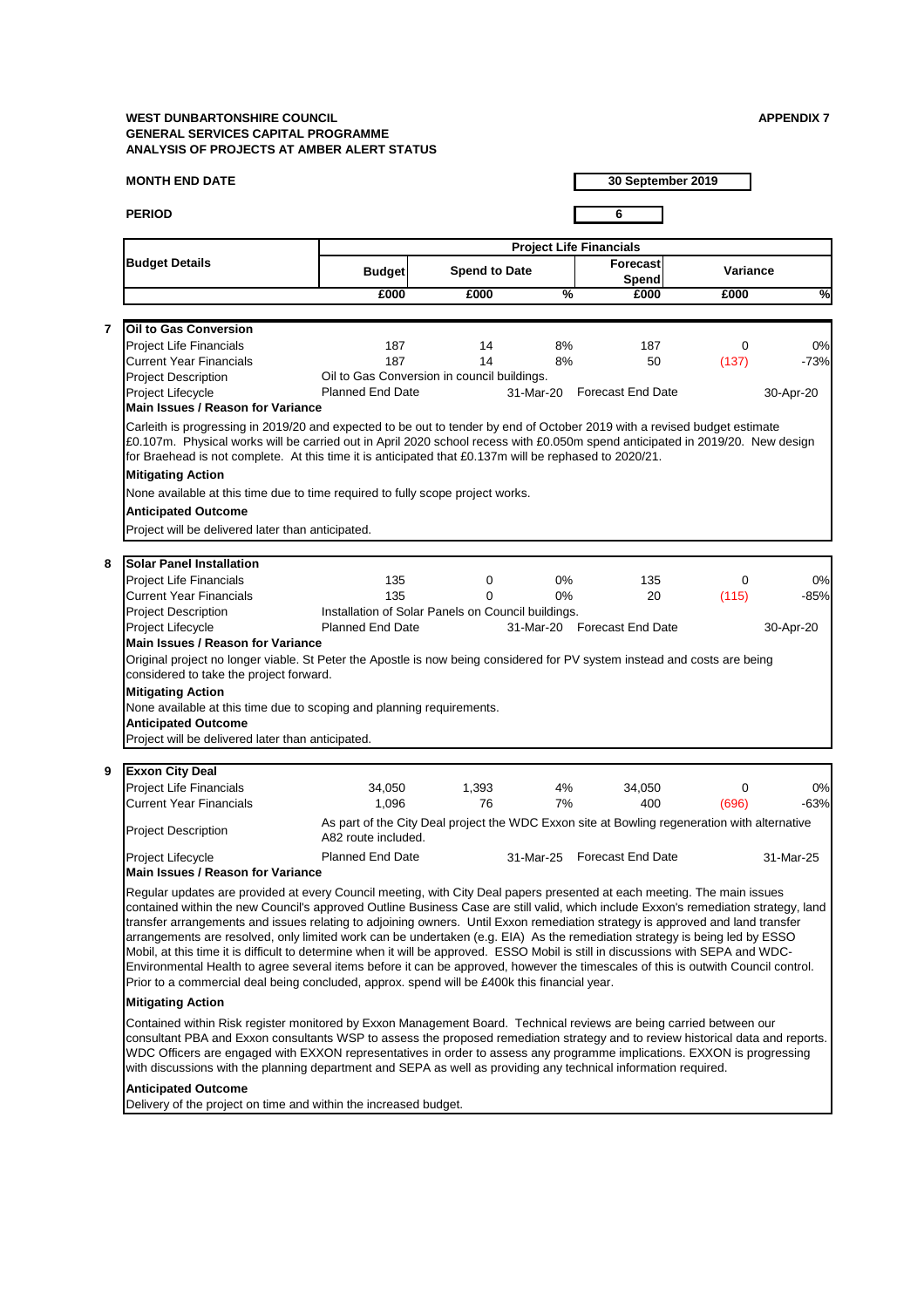### **MONTH END DATE**

**PERIOD 6**

**30 September 2019**

Contained within Risk register monitored by Exxon Management Board. Technical reviews are being carried between our consultant PBA and Exxon consultants WSP to assess the proposed remediation strategy and to review historical data and reports. WDC Officers are engaged with EXXON representatives in order to assess any programme implications. EXXON is progressing with discussions with the planning department and SEPA as well as providing any technical information required.

| <b>Budget Details</b>                                                                                                                                                                                                                                                                                                                                                                                                                    | <b>Project Life Financials</b>                                                                                      |                      |               |                             |                 |           |  |  |  |
|------------------------------------------------------------------------------------------------------------------------------------------------------------------------------------------------------------------------------------------------------------------------------------------------------------------------------------------------------------------------------------------------------------------------------------------|---------------------------------------------------------------------------------------------------------------------|----------------------|---------------|-----------------------------|-----------------|-----------|--|--|--|
|                                                                                                                                                                                                                                                                                                                                                                                                                                          | <b>Budget</b>                                                                                                       | <b>Spend to Date</b> |               | <b>Forecast</b><br>Spend    | <b>Variance</b> |           |  |  |  |
|                                                                                                                                                                                                                                                                                                                                                                                                                                          | £000                                                                                                                | £000                 | $\frac{9}{6}$ | £000                        | £000            | %         |  |  |  |
|                                                                                                                                                                                                                                                                                                                                                                                                                                          |                                                                                                                     |                      |               |                             |                 |           |  |  |  |
| <b>Oil to Gas Conversion</b>                                                                                                                                                                                                                                                                                                                                                                                                             |                                                                                                                     |                      |               |                             |                 |           |  |  |  |
| <b>Project Life Financials</b>                                                                                                                                                                                                                                                                                                                                                                                                           | 187                                                                                                                 | 14                   | 8%            | 187                         | $\overline{0}$  | 0%        |  |  |  |
| <b>Current Year Financials</b>                                                                                                                                                                                                                                                                                                                                                                                                           | 187                                                                                                                 | 14                   | 8%            | 50                          | (137)           | $-73%$    |  |  |  |
| <b>Project Description</b>                                                                                                                                                                                                                                                                                                                                                                                                               | Oil to Gas Conversion in council buildings.                                                                         |                      |               |                             |                 |           |  |  |  |
| <b>Project Lifecycle</b><br><b>Main Issues / Reason for Variance</b>                                                                                                                                                                                                                                                                                                                                                                     | <b>Planned End Date</b>                                                                                             |                      |               | 31-Mar-20 Forecast End Date |                 | 30-Apr-20 |  |  |  |
| £0.107m. Physical works will be carried out in April 2020 school recess with £0.050m spend anticipated in 2019/20. New design<br>for Braehead is not complete. At this time it is anticipated that £0.137m will be rephased to 2020/21.<br><b>Mitigating Action</b><br>None available at this time due to time required to fully scope project works.<br><b>Anticipated Outcome</b><br>Project will be delivered later than anticipated. |                                                                                                                     |                      |               |                             |                 |           |  |  |  |
| <b>Solar Panel Installation</b>                                                                                                                                                                                                                                                                                                                                                                                                          |                                                                                                                     |                      |               |                             |                 |           |  |  |  |
| <b>Project Life Financials</b>                                                                                                                                                                                                                                                                                                                                                                                                           | 135                                                                                                                 | $\mathbf 0$          | $0\%$         | 135                         | $\mathbf 0$     | 0%        |  |  |  |
| <b>Current Year Financials</b>                                                                                                                                                                                                                                                                                                                                                                                                           | 135                                                                                                                 | 0                    | $0\%$         | 20                          | (115)           | $-85%$    |  |  |  |
| <b>Project Description</b>                                                                                                                                                                                                                                                                                                                                                                                                               | Installation of Solar Panels on Council buildings.                                                                  |                      |               |                             |                 |           |  |  |  |
| Project Lifecycle                                                                                                                                                                                                                                                                                                                                                                                                                        | <b>Planned End Date</b>                                                                                             |                      |               | 31-Mar-20 Forecast End Date |                 | 30-Apr-20 |  |  |  |
| <b>Main Issues / Reason for Variance</b>                                                                                                                                                                                                                                                                                                                                                                                                 |                                                                                                                     |                      |               |                             |                 |           |  |  |  |
|                                                                                                                                                                                                                                                                                                                                                                                                                                          |                                                                                                                     |                      |               |                             |                 |           |  |  |  |
| Original project no longer viable. St Peter the Apostle is now being considered for PV system instead and costs are being<br>considered to take the project forward.<br><b>Mitigating Action</b><br>None available at this time due to scoping and planning requirements.<br><b>Anticipated Outcome</b><br>Project will be delivered later than anticipated.                                                                             |                                                                                                                     |                      |               |                             |                 |           |  |  |  |
| <b>Exxon City Deal</b>                                                                                                                                                                                                                                                                                                                                                                                                                   |                                                                                                                     |                      |               |                             |                 |           |  |  |  |
| <b>Project Life Financials</b>                                                                                                                                                                                                                                                                                                                                                                                                           | 34,050                                                                                                              | 1,393                | 4%            | 34,050                      | $\Omega$        | 0%        |  |  |  |
| <b>Current Year Financials</b>                                                                                                                                                                                                                                                                                                                                                                                                           | 1,096                                                                                                               | 76                   | 7%            | 400                         | (696)           | $-63%$    |  |  |  |
| <b>Project Description</b>                                                                                                                                                                                                                                                                                                                                                                                                               | As part of the City Deal project the WDC Exxon site at Bowling regeneration with alternative<br>A82 route included. |                      |               |                             |                 |           |  |  |  |

contained within the new Council's approved Outline Business Case are still valid, which include Exxon's remediation strategy, land transfer arrangements and issues relating to adjoining owners. Until Exxon remediation strategy is approved and land transfer arrangements are resolved, only limited work can be undertaken (e.g. EIA) As the remediation strategy is being led by ESSO Mobil, at this time it is difficult to determine when it will be approved. ESSO Mobil is still in discussions with SEPA and WDC-Environmental Health to agree several items before it can be approved, however the timescales of this is outwith Council control. Prior to a commercial deal being concluded, approx. spend will be £400k this financial year.

# **Mitigating Action**

## **Anticipated Outcome**

Delivery of the project on time and within the increased budget.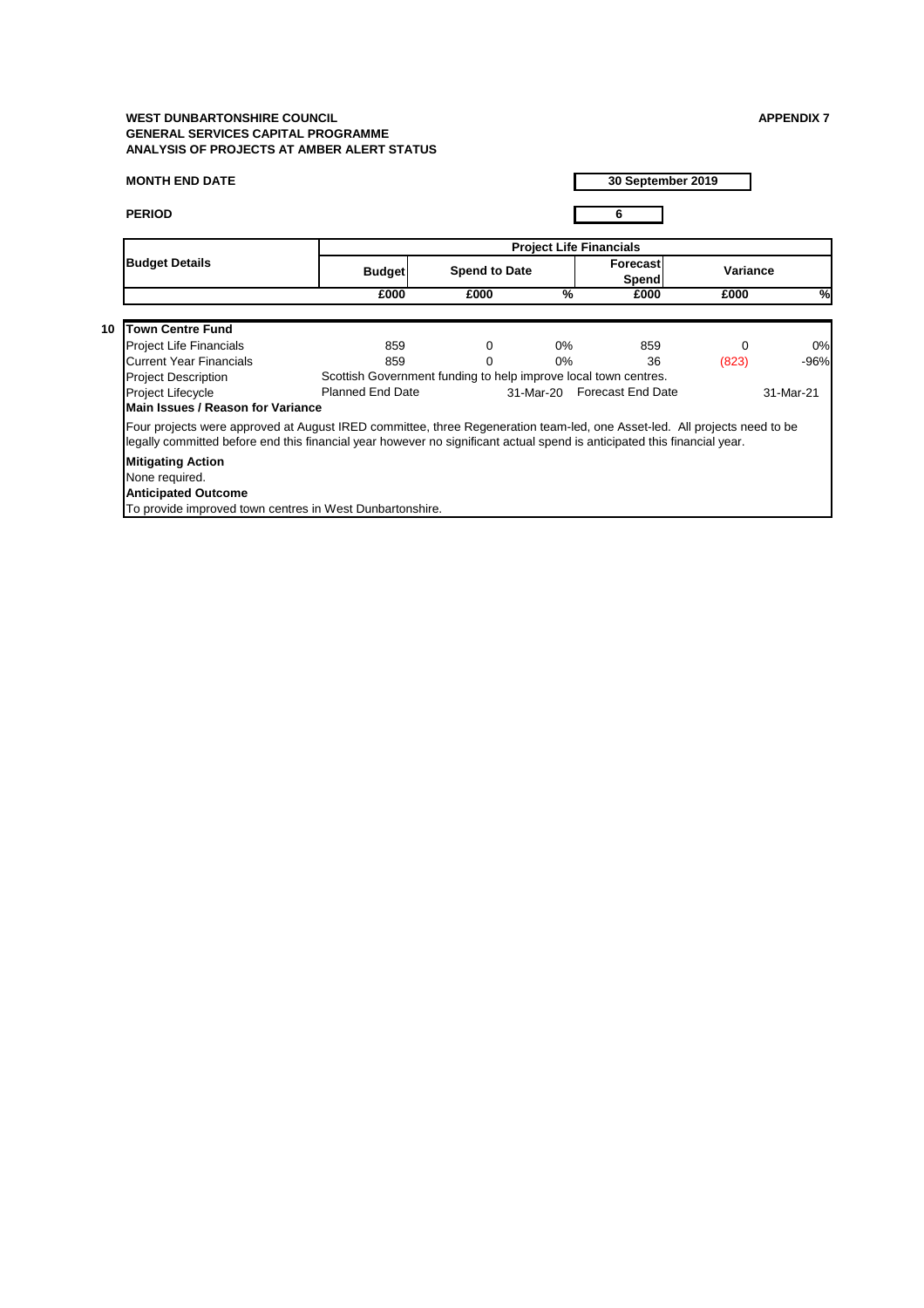# **MONTH END DATE**

**PERIOD 6**

|                                                                                                                                                                                                                                                       |                                                                 |                      |                 | <b>Project Life Financials</b>  |                 |                 |
|-------------------------------------------------------------------------------------------------------------------------------------------------------------------------------------------------------------------------------------------------------|-----------------------------------------------------------------|----------------------|-----------------|---------------------------------|-----------------|-----------------|
| <b>Budget Details</b>                                                                                                                                                                                                                                 | <b>Budget</b>                                                   | <b>Spend to Date</b> |                 | <b>Forecast</b><br><b>Spend</b> | <b>Variance</b> |                 |
|                                                                                                                                                                                                                                                       | £000                                                            | £000                 | $\overline{\%}$ | £000                            | £000            | $\overline{\%}$ |
| <b>Town Centre Fund</b><br>10 <sup>°</sup>                                                                                                                                                                                                            |                                                                 |                      |                 |                                 |                 |                 |
| <b>Project Life Financials</b>                                                                                                                                                                                                                        | 859                                                             | 0                    | $0\%$           | 859                             | $\Omega$        | 0%              |
| <b>Current Year Financials</b>                                                                                                                                                                                                                        | 859                                                             | $\Omega$             | $0\%$           | 36                              | (823)           | $-96%$          |
| <b>Project Description</b>                                                                                                                                                                                                                            | Scottish Government funding to help improve local town centres. |                      |                 |                                 |                 |                 |
| <b>Project Lifecycle</b><br>Main Issues / Reason for Variance                                                                                                                                                                                         | <b>Planned End Date</b>                                         |                      |                 | 31-Mar-20 Forecast End Date     |                 | 31-Mar-21       |
| Four projects were approved at August IRED committee, three Regeneration team-led, one Asset-led. All projects need to be<br>legally committed before end this financial year however no significant actual spend is anticipated this financial year. |                                                                 |                      |                 |                                 |                 |                 |
| <b>Mitigating Action</b><br>None required.                                                                                                                                                                                                            |                                                                 |                      |                 |                                 |                 |                 |
| <b>Anticipated Outcome</b>                                                                                                                                                                                                                            |                                                                 |                      |                 |                                 |                 |                 |
| To provide improved town centres in West Dunbartonshire.                                                                                                                                                                                              |                                                                 |                      |                 |                                 |                 |                 |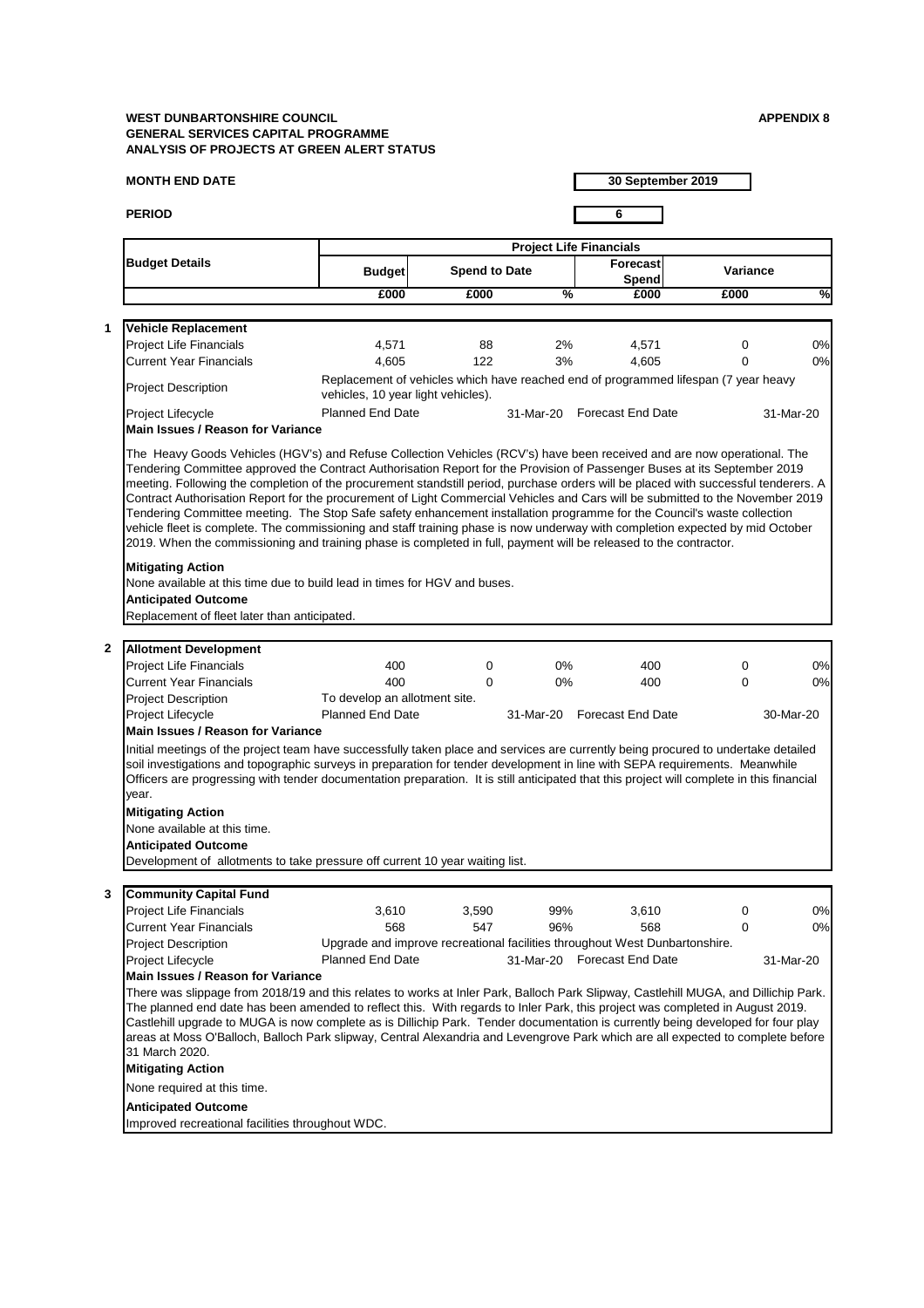## **MONTH END DATE**

**PERIOD 6**

**30 September 2019**

|                  |                                                                                                                                                                                                                                                                                                                                                                                                                                                                                                                                   |                                    | <b>Project Life Financials</b> |               |                                                                                     |                 |           |  |  |  |
|------------------|-----------------------------------------------------------------------------------------------------------------------------------------------------------------------------------------------------------------------------------------------------------------------------------------------------------------------------------------------------------------------------------------------------------------------------------------------------------------------------------------------------------------------------------|------------------------------------|--------------------------------|---------------|-------------------------------------------------------------------------------------|-----------------|-----------|--|--|--|
|                  | <b>Budget Details</b>                                                                                                                                                                                                                                                                                                                                                                                                                                                                                                             | <b>Budget</b>                      | <b>Spend to Date</b>           |               | Forecast<br>Spend                                                                   | <b>Variance</b> |           |  |  |  |
|                  |                                                                                                                                                                                                                                                                                                                                                                                                                                                                                                                                   | £000                               | £000                           | $\frac{1}{2}$ | £000                                                                                | £000            | %         |  |  |  |
| 1                | <b>Vehicle Replacement</b>                                                                                                                                                                                                                                                                                                                                                                                                                                                                                                        |                                    |                                |               |                                                                                     |                 |           |  |  |  |
|                  | <b>Project Life Financials</b>                                                                                                                                                                                                                                                                                                                                                                                                                                                                                                    | 4,571                              | 88                             | 2%            | 4,571                                                                               | $\mathbf{0}$    | 0%        |  |  |  |
|                  | <b>Current Year Financials</b>                                                                                                                                                                                                                                                                                                                                                                                                                                                                                                    | 4,605                              | 122                            | 3%            | 4,605                                                                               | 0               | 0%        |  |  |  |
|                  | <b>Project Description</b>                                                                                                                                                                                                                                                                                                                                                                                                                                                                                                        | vehicles, 10 year light vehicles). |                                |               | Replacement of vehicles which have reached end of programmed lifespan (7 year heavy |                 |           |  |  |  |
|                  | <b>Planned End Date</b><br><b>Forecast End Date</b><br>Project Lifecycle<br>31-Mar-20<br>31-Mar-20<br><b>Main Issues / Reason for Variance</b>                                                                                                                                                                                                                                                                                                                                                                                    |                                    |                                |               |                                                                                     |                 |           |  |  |  |
|                  | meeting. Following the completion of the procurement standstill period, purchase orders will be placed with successful tenderers. A<br>Contract Authorisation Report for the procurement of Light Commercial Vehicles and Cars will be submitted to the November 2019<br>Tendering Committee meeting. The Stop Safe safety enhancement installation programme for the Council's waste collection<br>vehicle fleet is complete. The commissioning and staff training phase is now underway with completion expected by mid October |                                    |                                |               |                                                                                     |                 |           |  |  |  |
|                  | 2019. When the commissioning and training phase is completed in full, payment will be released to the contractor.                                                                                                                                                                                                                                                                                                                                                                                                                 |                                    |                                |               |                                                                                     |                 |           |  |  |  |
|                  | <b>Mitigating Action</b><br>None available at this time due to build lead in times for HGV and buses.<br><b>Anticipated Outcome</b><br>Replacement of fleet later than anticipated.                                                                                                                                                                                                                                                                                                                                               |                                    |                                |               |                                                                                     |                 |           |  |  |  |
| $\boldsymbol{2}$ |                                                                                                                                                                                                                                                                                                                                                                                                                                                                                                                                   |                                    |                                |               |                                                                                     |                 |           |  |  |  |
|                  | <b>Allotment Development</b><br><b>Project Life Financials</b>                                                                                                                                                                                                                                                                                                                                                                                                                                                                    | 400                                | 0                              | $0\%$         | 400                                                                                 | 0               | 0%        |  |  |  |
|                  | <b>Current Year Financials</b>                                                                                                                                                                                                                                                                                                                                                                                                                                                                                                    | 400                                | $\Omega$                       | $0\%$         | 400                                                                                 | $\Omega$        | $0\%$     |  |  |  |
|                  | <b>Project Description</b>                                                                                                                                                                                                                                                                                                                                                                                                                                                                                                        | To develop an allotment site.      |                                |               |                                                                                     |                 |           |  |  |  |
|                  | Project Lifecycle                                                                                                                                                                                                                                                                                                                                                                                                                                                                                                                 | <b>Planned End Date</b>            |                                |               | 31-Mar-20 Forecast End Date                                                         |                 | 30-Mar-20 |  |  |  |
|                  | <b>Main Issues / Reason for Variance</b>                                                                                                                                                                                                                                                                                                                                                                                                                                                                                          |                                    |                                |               |                                                                                     |                 |           |  |  |  |
|                  | Initial meetings of the project team have successfully taken place and services are currently being procured to undertake detailed<br>soil investigations and topographic surveys in preparation for tender development in line with SEPA requirements. Meanwhile<br>Officers are progressing with tender documentation preparation. It is still anticipated that this project will complete in this financial<br>year.                                                                                                           |                                    |                                |               |                                                                                     |                 |           |  |  |  |
|                  | <b>Mitigating Action</b>                                                                                                                                                                                                                                                                                                                                                                                                                                                                                                          |                                    |                                |               |                                                                                     |                 |           |  |  |  |
|                  | None available at this time.                                                                                                                                                                                                                                                                                                                                                                                                                                                                                                      |                                    |                                |               |                                                                                     |                 |           |  |  |  |
|                  | <b>Anticipated Outcome</b>                                                                                                                                                                                                                                                                                                                                                                                                                                                                                                        |                                    |                                |               |                                                                                     |                 |           |  |  |  |

# **3 Community Capital Fund**

| <b>Project Life Financials</b> | 3,610                   | 3,590                                                                       | 99%       | 3,610             |  | 0%I       |  |  |  |  |
|--------------------------------|-------------------------|-----------------------------------------------------------------------------|-----------|-------------------|--|-----------|--|--|--|--|
| Current Year Financials        | 568                     | 547                                                                         | 96%       | 568               |  | 0%I       |  |  |  |  |
| <b>Project Description</b>     |                         | Upgrade and improve recreational facilities throughout West Dunbartonshire. |           |                   |  |           |  |  |  |  |
| <b>Project Lifecycle</b>       | <b>Planned End Date</b> |                                                                             | 31-Mar-20 | Forecast End Date |  | 31-Mar-20 |  |  |  |  |

## **Main Issues / Reason for Variance**

There was slippage from 2018/19 and this relates to works at Inler Park, Balloch Park Slipway, Castlehill MUGA, and Dillichip Park. The planned end date has been amended to reflect this. With regards to Inler Park, this project was completed in August 2019. Castlehill upgrade to MUGA is now complete as is Dillichip Park. Tender documentation is currently being developed for four play areas at Moss O'Balloch, Balloch Park slipway, Central Alexandria and Levengrove Park which are all expected to complete before 31 March 2020.

## **Mitigating Action**

None required at this time.

**Anticipated Outcome**

Improved recreational facilities throughout WDC.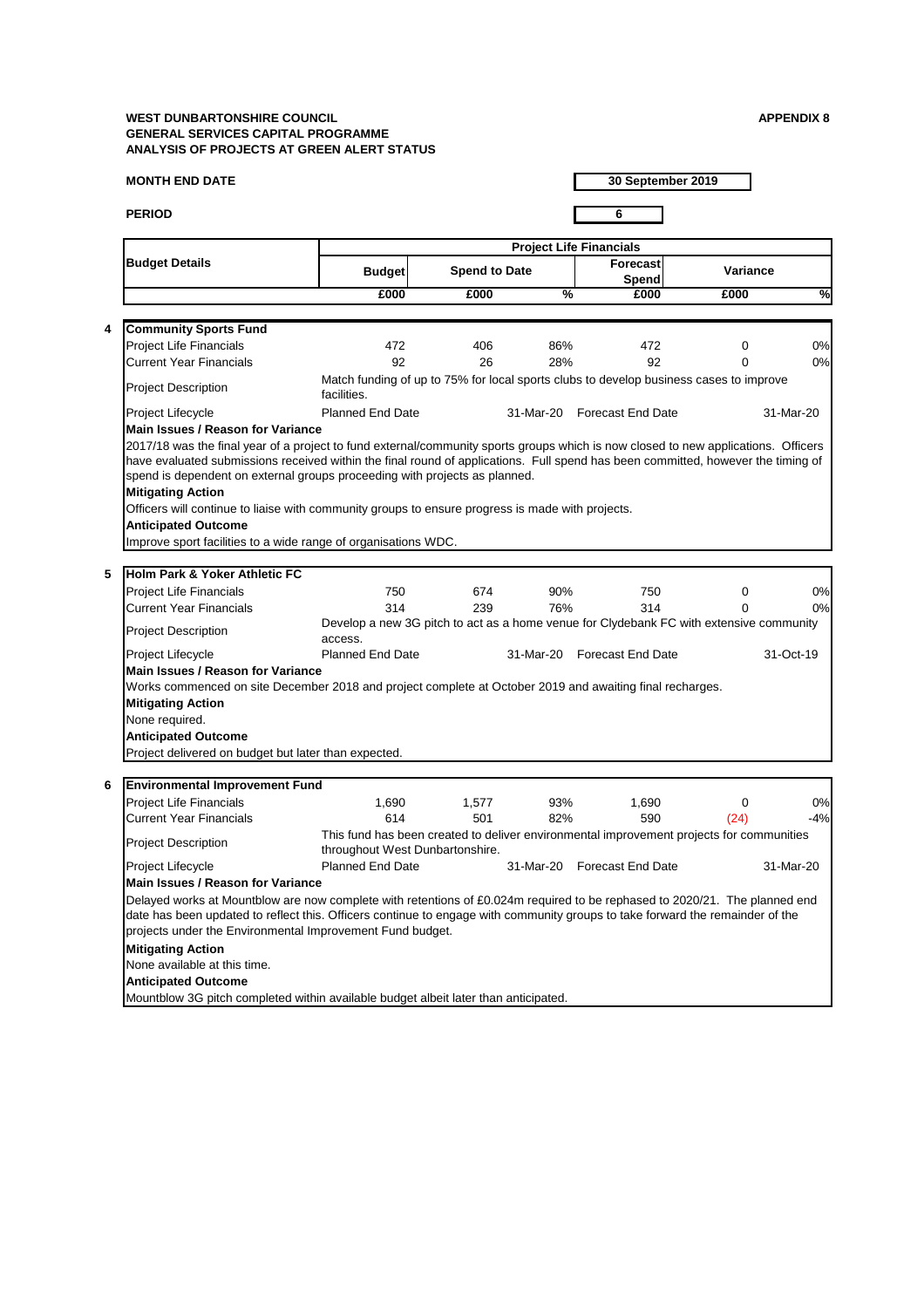## **MONTH END DATE**

**PERIOD 6**

**30 September 2019**

|                                                                                                                                                                                                                              |                                 |                      |               | <b>Project Life Financials</b>                                                           |                 |           |
|------------------------------------------------------------------------------------------------------------------------------------------------------------------------------------------------------------------------------|---------------------------------|----------------------|---------------|------------------------------------------------------------------------------------------|-----------------|-----------|
| <b>Budget Details</b>                                                                                                                                                                                                        | <b>Budget</b>                   | <b>Spend to Date</b> |               | <b>Forecast</b><br><b>Spend</b>                                                          | <b>Variance</b> |           |
|                                                                                                                                                                                                                              | £000                            | £000                 | $\frac{0}{2}$ | £000                                                                                     | £000            | %         |
| <b>Community Sports Fund</b>                                                                                                                                                                                                 |                                 |                      |               |                                                                                          |                 |           |
| <b>Project Life Financials</b>                                                                                                                                                                                               | 472                             | 406                  | 86%           | 472                                                                                      | $\Omega$        | 0%        |
| <b>Current Year Financials</b>                                                                                                                                                                                               | 92                              | 26                   | 28%           | 92                                                                                       | 0               | 0%        |
| <b>Project Description</b>                                                                                                                                                                                                   | facilities.                     |                      |               | Match funding of up to 75% for local sports clubs to develop business cases to improve   |                 |           |
| Project Lifecycle                                                                                                                                                                                                            | <b>Planned End Date</b>         |                      |               | 31-Mar-20 Forecast End Date                                                              |                 | 31-Mar-20 |
| <b>Main Issues / Reason for Variance</b>                                                                                                                                                                                     |                                 |                      |               |                                                                                          |                 |           |
| <b>Mitigating Action</b><br>Officers will continue to liaise with community groups to ensure progress is made with projects.<br><b>Anticipated Outcome</b><br>Improve sport facilities to a wide range of organisations WDC. |                                 |                      |               |                                                                                          |                 |           |
| Holm Park & Yoker Athletic FC                                                                                                                                                                                                |                                 |                      |               |                                                                                          |                 |           |
| <b>Project Life Financials</b>                                                                                                                                                                                               | 750                             | 674                  | 90%           | 750                                                                                      | $\Omega$        | 0%        |
| <b>Current Year Financials</b>                                                                                                                                                                                               | 314                             | 239                  | 76%           | 314                                                                                      | 0               | 0%        |
| <b>Project Description</b>                                                                                                                                                                                                   | access.                         |                      |               | Develop a new 3G pitch to act as a home venue for Clydebank FC with extensive community  |                 |           |
| Project Lifecycle                                                                                                                                                                                                            | <b>Planned End Date</b>         |                      |               | 31-Mar-20 Forecast End Date                                                              |                 | 31-Oct-19 |
| <b>Main Issues / Reason for Variance</b>                                                                                                                                                                                     |                                 |                      |               |                                                                                          |                 |           |
| Works commenced on site December 2018 and project complete at October 2019 and awaiting final recharges.<br><b>Mitigating Action</b><br>None required.<br><b>Anticipated Outcome</b>                                         |                                 |                      |               |                                                                                          |                 |           |
| Project delivered on budget but later than expected.                                                                                                                                                                         |                                 |                      |               |                                                                                          |                 |           |
| <b>Environmental Improvement Fund</b>                                                                                                                                                                                        |                                 |                      |               |                                                                                          |                 |           |
| <b>Project Life Financials</b>                                                                                                                                                                                               | 1,690                           | 1,577                | 93%           | 1,690                                                                                    | 0               | 0%        |
| <b>Current Year Financials</b>                                                                                                                                                                                               | 614                             | 501                  | 82%           | 590                                                                                      | (24)            | $-4%$     |
| <b>Project Description</b>                                                                                                                                                                                                   | throughout West Dunbartonshire. |                      |               | This fund has been created to deliver environmental improvement projects for communities |                 |           |
| <b>Project Lifecycle</b>                                                                                                                                                                                                     | <b>Planned End Date</b>         |                      | 31-Mar-20     | <b>Forecast End Date</b>                                                                 |                 | 31-Mar-20 |
| <b>Main Issues / Reason for Variance</b>                                                                                                                                                                                     |                                 |                      |               |                                                                                          |                 |           |
| Delayed works at Mountblow are now complete with retentions of £0.024m required to be rephased to 2020/21. The planned end                                                                                                   |                                 |                      |               |                                                                                          |                 |           |

date has been updated to reflect this. Officers continue to engage with community groups to take forward the remainder of the projects under the Environmental Improvement Fund budget.

# **Mitigating Action**

None available at this time.

# **Anticipated Outcome**

Mountblow 3G pitch completed within available budget albeit later than anticipated.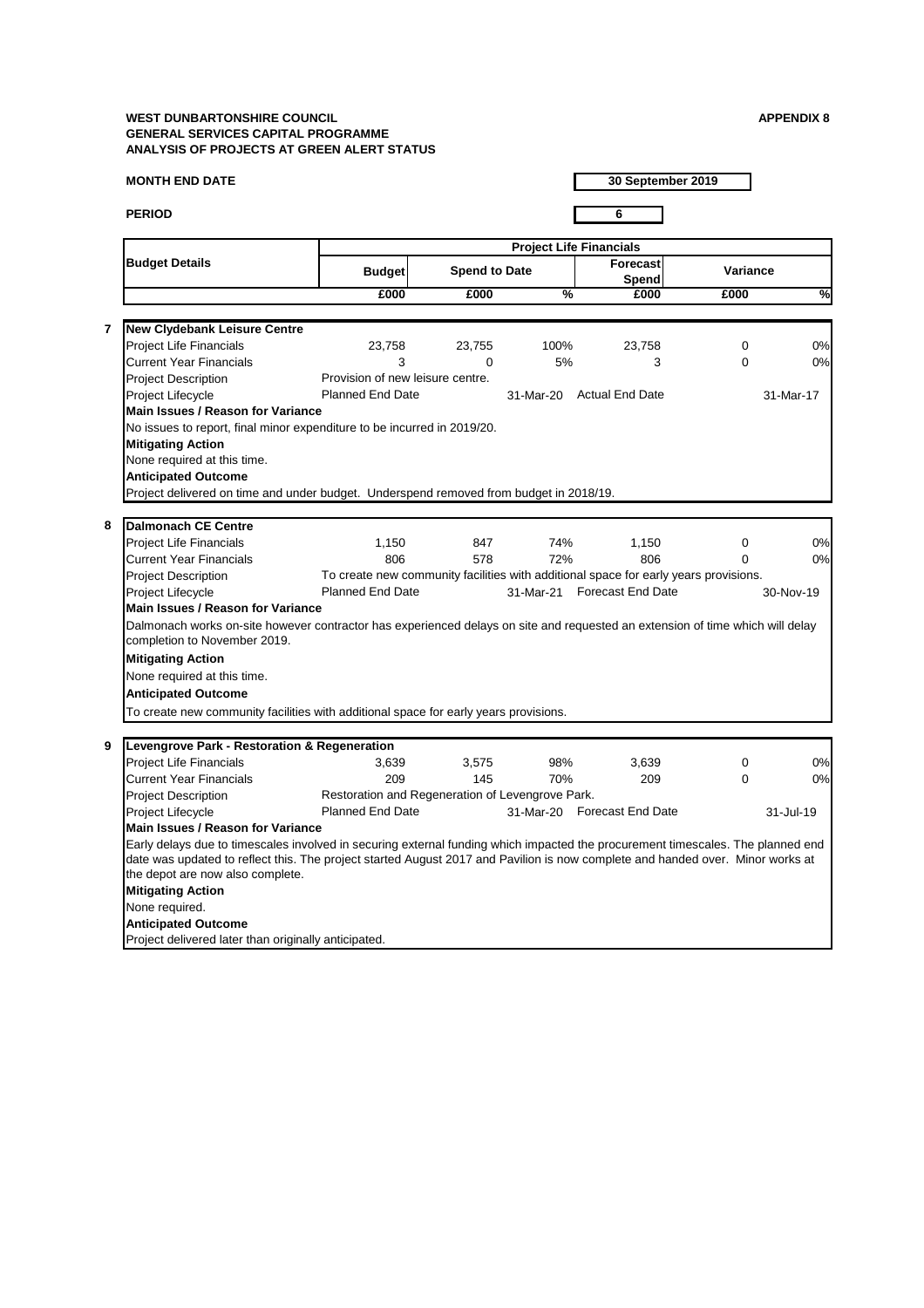# **MONTH END DATE**

**PERIOD 6**

**30 September 2019**

|                         |                                                                                                                                                                    |                                                  | <b>Project Life Financials</b> |               |                                                                                      |                 |               |  |  |
|-------------------------|--------------------------------------------------------------------------------------------------------------------------------------------------------------------|--------------------------------------------------|--------------------------------|---------------|--------------------------------------------------------------------------------------|-----------------|---------------|--|--|
|                         | <b>Budget Details</b>                                                                                                                                              | <b>Budget</b>                                    | <b>Spend to Date</b>           |               | Forecast<br><b>Spend</b>                                                             | <b>Variance</b> |               |  |  |
|                         |                                                                                                                                                                    | £000                                             | £000                           | $\frac{0}{6}$ | £000                                                                                 | £000            | $\frac{8}{1}$ |  |  |
| $\overline{\mathbf{7}}$ | <b>New Clydebank Leisure Centre</b>                                                                                                                                |                                                  |                                |               |                                                                                      |                 |               |  |  |
|                         | <b>Project Life Financials</b>                                                                                                                                     | 23,758                                           | 23,755                         | 100%          | 23,758                                                                               | $\overline{0}$  | 0%            |  |  |
|                         | <b>Current Year Financials</b>                                                                                                                                     | 3                                                | $\Omega$                       | 5%            | 3                                                                                    | 0               | 0%            |  |  |
|                         | <b>Project Description</b>                                                                                                                                         | Provision of new leisure centre.                 |                                |               |                                                                                      |                 |               |  |  |
|                         | <b>Project Lifecycle</b>                                                                                                                                           | <b>Planned End Date</b>                          |                                |               | 31-Mar-20 Actual End Date                                                            |                 | 31-Mar-17     |  |  |
|                         | <b>Main Issues / Reason for Variance</b>                                                                                                                           |                                                  |                                |               |                                                                                      |                 |               |  |  |
|                         | No issues to report, final minor expenditure to be incurred in 2019/20.                                                                                            |                                                  |                                |               |                                                                                      |                 |               |  |  |
|                         |                                                                                                                                                                    |                                                  |                                |               |                                                                                      |                 |               |  |  |
|                         | <b>Mitigating Action</b>                                                                                                                                           |                                                  |                                |               |                                                                                      |                 |               |  |  |
|                         | None required at this time.                                                                                                                                        |                                                  |                                |               |                                                                                      |                 |               |  |  |
|                         | <b>Anticipated Outcome</b>                                                                                                                                         |                                                  |                                |               |                                                                                      |                 |               |  |  |
|                         | Project delivered on time and under budget. Underspend removed from budget in 2018/19.                                                                             |                                                  |                                |               |                                                                                      |                 |               |  |  |
| 8                       | <b>Dalmonach CE Centre</b>                                                                                                                                         |                                                  |                                |               |                                                                                      |                 |               |  |  |
|                         |                                                                                                                                                                    |                                                  | 847                            | 74%           |                                                                                      |                 | 0%            |  |  |
|                         | <b>Project Life Financials</b>                                                                                                                                     | 1,150<br>806                                     |                                |               | 1,150                                                                                | 0               | 0%            |  |  |
|                         | <b>Current Year Financials</b>                                                                                                                                     |                                                  | 578                            | 72%           | 806                                                                                  | $\Omega$        |               |  |  |
|                         | <b>Project Description</b>                                                                                                                                         |                                                  |                                |               | To create new community facilities with additional space for early years provisions. |                 |               |  |  |
|                         | <b>Project Lifecycle</b>                                                                                                                                           | <b>Planned End Date</b>                          |                                |               | 31-Mar-21 Forecast End Date                                                          |                 | 30-Nov-19     |  |  |
|                         | <b>Main Issues / Reason for Variance</b>                                                                                                                           |                                                  |                                |               |                                                                                      |                 |               |  |  |
|                         | Dalmonach works on-site however contractor has experienced delays on site and requested an extension of time which will delay<br>completion to November 2019.      |                                                  |                                |               |                                                                                      |                 |               |  |  |
|                         | <b>Mitigating Action</b>                                                                                                                                           |                                                  |                                |               |                                                                                      |                 |               |  |  |
|                         | None required at this time.                                                                                                                                        |                                                  |                                |               |                                                                                      |                 |               |  |  |
|                         | <b>Anticipated Outcome</b>                                                                                                                                         |                                                  |                                |               |                                                                                      |                 |               |  |  |
|                         | To create new community facilities with additional space for early years provisions.                                                                               |                                                  |                                |               |                                                                                      |                 |               |  |  |
|                         |                                                                                                                                                                    |                                                  |                                |               |                                                                                      |                 |               |  |  |
| 9                       | Levengrove Park - Restoration & Regeneration                                                                                                                       |                                                  |                                |               |                                                                                      |                 |               |  |  |
|                         | <b>Project Life Financials</b>                                                                                                                                     | 3,639                                            | 3,575                          | 98%           | 3,639                                                                                | $\overline{0}$  | 0%            |  |  |
|                         | <b>Current Year Financials</b>                                                                                                                                     | 209                                              | 145                            | 70%           | 209                                                                                  | 0               | 0%            |  |  |
|                         | <b>Project Description</b>                                                                                                                                         | Restoration and Regeneration of Levengrove Park. |                                |               |                                                                                      |                 |               |  |  |
|                         |                                                                                                                                                                    | <b>Planned End Date</b>                          |                                |               | 31-Mar-20 Forecast End Date                                                          |                 |               |  |  |
|                         | Project Lifecycle<br><b>Main Issues / Reason for Variance</b>                                                                                                      |                                                  |                                |               |                                                                                      |                 | 31-Jul-19     |  |  |
|                         |                                                                                                                                                                    |                                                  |                                |               |                                                                                      |                 |               |  |  |
|                         | Early delays due to timescales involved in securing external funding which impacted the procurement timescales. The planned end                                    |                                                  |                                |               |                                                                                      |                 |               |  |  |
|                         | date was updated to reflect this. The project started August 2017 and Pavilion is now complete and handed over. Minor works at<br>the depot are now also complete. |                                                  |                                |               |                                                                                      |                 |               |  |  |
|                         |                                                                                                                                                                    |                                                  |                                |               |                                                                                      |                 |               |  |  |
|                         | <b>Mitigating Action</b>                                                                                                                                           |                                                  |                                |               |                                                                                      |                 |               |  |  |
|                         | None required.                                                                                                                                                     |                                                  |                                |               |                                                                                      |                 |               |  |  |

**Anticipated Outcome**

Project delivered later than originally anticipated.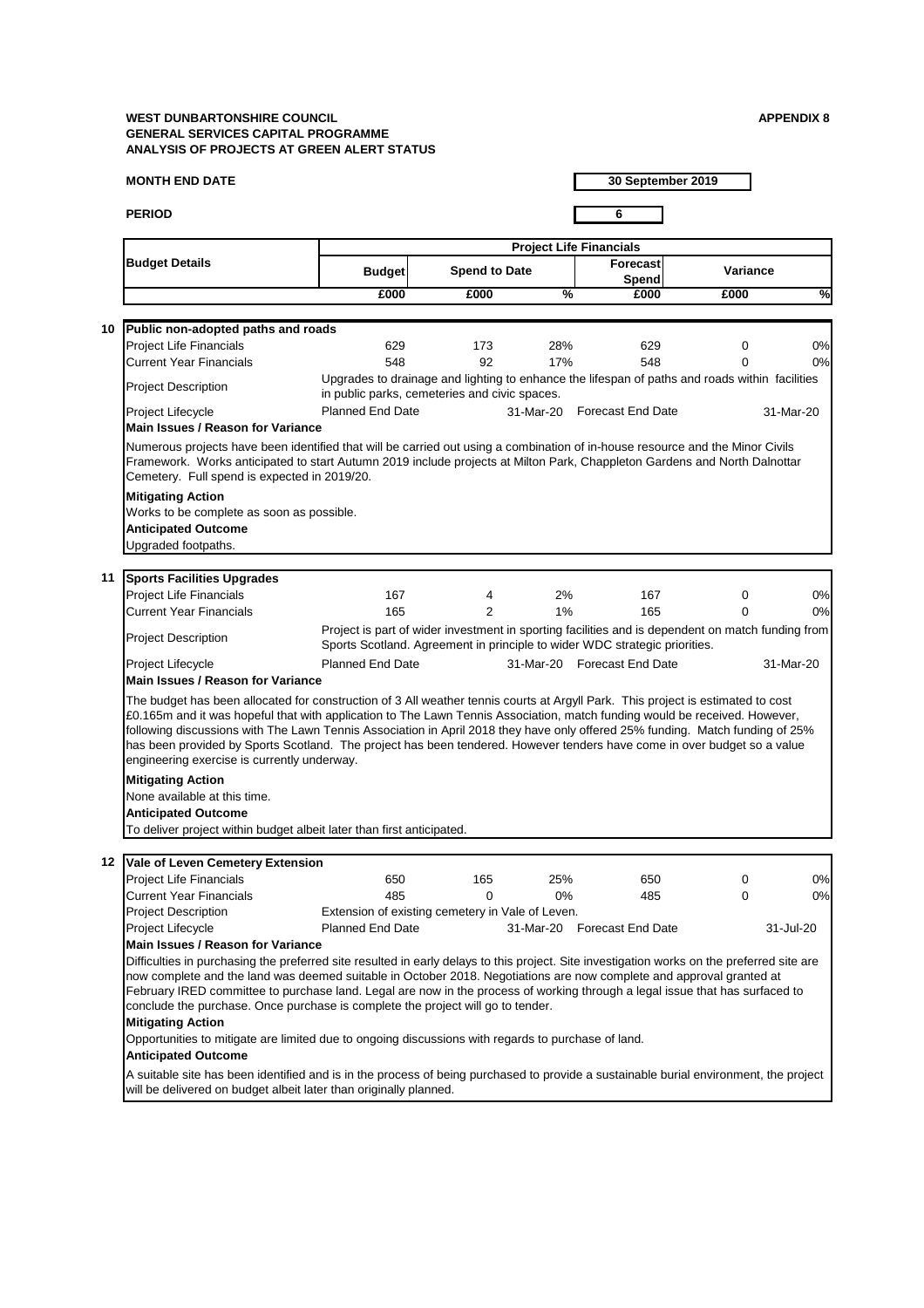## **MONTH END DATE**

**PERIOD 6**

**30 September 2019**

|         |                                                                                                                                                                                                                                                                                                                                                                                                                                                                                                                                                                           |                                                  |                      |               | <b>Project Life Financials</b>                                                                                                                                                  |                     |               |
|---------|---------------------------------------------------------------------------------------------------------------------------------------------------------------------------------------------------------------------------------------------------------------------------------------------------------------------------------------------------------------------------------------------------------------------------------------------------------------------------------------------------------------------------------------------------------------------------|--------------------------------------------------|----------------------|---------------|---------------------------------------------------------------------------------------------------------------------------------------------------------------------------------|---------------------|---------------|
|         | <b>Budget Details</b>                                                                                                                                                                                                                                                                                                                                                                                                                                                                                                                                                     | <b>Budget</b>                                    | <b>Spend to Date</b> |               | <b>Forecast</b><br><b>Spend</b>                                                                                                                                                 | <b>Variance</b>     |               |
|         |                                                                                                                                                                                                                                                                                                                                                                                                                                                                                                                                                                           | £000                                             | £000                 | $\frac{9}{6}$ | £000                                                                                                                                                                            | £000                | $\frac{8}{1}$ |
| 10      |                                                                                                                                                                                                                                                                                                                                                                                                                                                                                                                                                                           |                                                  |                      |               |                                                                                                                                                                                 |                     |               |
|         | Public non-adopted paths and roads                                                                                                                                                                                                                                                                                                                                                                                                                                                                                                                                        | 629                                              |                      | 28%           |                                                                                                                                                                                 |                     | 0%            |
|         | <b>Project Life Financials</b><br><b>Current Year Financials</b>                                                                                                                                                                                                                                                                                                                                                                                                                                                                                                          | 548                                              | 173<br>92            | 17%           | 629<br>548                                                                                                                                                                      | $\overline{0}$<br>0 | 0%            |
|         | <b>Project Description</b>                                                                                                                                                                                                                                                                                                                                                                                                                                                                                                                                                | in public parks, cemeteries and civic spaces.    |                      |               | Upgrades to drainage and lighting to enhance the lifespan of paths and roads within facilities                                                                                  |                     |               |
|         | Project Lifecycle<br><b>Main Issues / Reason for Variance</b>                                                                                                                                                                                                                                                                                                                                                                                                                                                                                                             | <b>Planned End Date</b>                          |                      | 31-Mar-20     | <b>Forecast End Date</b>                                                                                                                                                        |                     | 31-Mar-20     |
|         | Numerous projects have been identified that will be carried out using a combination of in-house resource and the Minor Civils<br>Framework. Works anticipated to start Autumn 2019 include projects at Milton Park, Chappleton Gardens and North Dalnottar<br>Cemetery. Full spend is expected in 2019/20.                                                                                                                                                                                                                                                                |                                                  |                      |               |                                                                                                                                                                                 |                     |               |
|         | <b>Mitigating Action</b>                                                                                                                                                                                                                                                                                                                                                                                                                                                                                                                                                  |                                                  |                      |               |                                                                                                                                                                                 |                     |               |
|         | Works to be complete as soon as possible.                                                                                                                                                                                                                                                                                                                                                                                                                                                                                                                                 |                                                  |                      |               |                                                                                                                                                                                 |                     |               |
|         | <b>Anticipated Outcome</b>                                                                                                                                                                                                                                                                                                                                                                                                                                                                                                                                                |                                                  |                      |               |                                                                                                                                                                                 |                     |               |
|         | Upgraded footpaths.                                                                                                                                                                                                                                                                                                                                                                                                                                                                                                                                                       |                                                  |                      |               |                                                                                                                                                                                 |                     |               |
| 11      |                                                                                                                                                                                                                                                                                                                                                                                                                                                                                                                                                                           |                                                  |                      |               |                                                                                                                                                                                 |                     |               |
|         | <b>Sports Facilities Upgrades</b>                                                                                                                                                                                                                                                                                                                                                                                                                                                                                                                                         | 167                                              |                      | 2%            | 167                                                                                                                                                                             |                     | 0%            |
|         | <b>Project Life Financials</b><br><b>Current Year Financials</b>                                                                                                                                                                                                                                                                                                                                                                                                                                                                                                          | 165                                              | 4<br>2               | 1%            | 165                                                                                                                                                                             | 0<br>$\mathbf 0$    | 0%            |
|         |                                                                                                                                                                                                                                                                                                                                                                                                                                                                                                                                                                           |                                                  |                      |               |                                                                                                                                                                                 |                     |               |
|         | <b>Project Description</b>                                                                                                                                                                                                                                                                                                                                                                                                                                                                                                                                                |                                                  |                      |               | Project is part of wider investment in sporting facilities and is dependent on match funding from<br>Sports Scotland. Agreement in principle to wider WDC strategic priorities. |                     |               |
|         | Project Lifecycle                                                                                                                                                                                                                                                                                                                                                                                                                                                                                                                                                         | <b>Planned End Date</b>                          |                      | 31-Mar-20     | <b>Forecast End Date</b>                                                                                                                                                        |                     | 31-Mar-20     |
|         | <b>Main Issues / Reason for Variance</b>                                                                                                                                                                                                                                                                                                                                                                                                                                                                                                                                  |                                                  |                      |               |                                                                                                                                                                                 |                     |               |
|         | The budget has been allocated for construction of 3 All weather tennis courts at Argyll Park. This project is estimated to cost<br>£0.165m and it was hopeful that with application to The Lawn Tennis Association, match funding would be received. However,<br>following discussions with The Lawn Tennis Association in April 2018 they have only offered 25% funding. Match funding of 25%<br>has been provided by Sports Scotland. The project has been tendered. However tenders have come in over budget so a value<br>engineering exercise is currently underway. |                                                  |                      |               |                                                                                                                                                                                 |                     |               |
|         | <b>Mitigating Action</b>                                                                                                                                                                                                                                                                                                                                                                                                                                                                                                                                                  |                                                  |                      |               |                                                                                                                                                                                 |                     |               |
|         | None available at this time.                                                                                                                                                                                                                                                                                                                                                                                                                                                                                                                                              |                                                  |                      |               |                                                                                                                                                                                 |                     |               |
|         | <b>Anticipated Outcome</b>                                                                                                                                                                                                                                                                                                                                                                                                                                                                                                                                                |                                                  |                      |               |                                                                                                                                                                                 |                     |               |
|         | To deliver project within budget albeit later than first anticipated.                                                                                                                                                                                                                                                                                                                                                                                                                                                                                                     |                                                  |                      |               |                                                                                                                                                                                 |                     |               |
|         |                                                                                                                                                                                                                                                                                                                                                                                                                                                                                                                                                                           |                                                  |                      |               |                                                                                                                                                                                 |                     |               |
| $12 \,$ | <b>Vale of Leven Cemetery Extension</b>                                                                                                                                                                                                                                                                                                                                                                                                                                                                                                                                   |                                                  |                      |               |                                                                                                                                                                                 |                     |               |
|         | <b>Project Life Financials</b><br><b>Current Year Financials</b>                                                                                                                                                                                                                                                                                                                                                                                                                                                                                                          | 650<br>485                                       | 165<br>$\mathbf 0$   | 25%<br>$0\%$  | 650<br>485                                                                                                                                                                      | $\mathbf 0$         | 0%<br>0%      |
|         | <b>Project Description</b>                                                                                                                                                                                                                                                                                                                                                                                                                                                                                                                                                | Extension of existing cemetery in Vale of Leven. |                      |               |                                                                                                                                                                                 | 0                   |               |
|         | Project Lifecycle                                                                                                                                                                                                                                                                                                                                                                                                                                                                                                                                                         | <b>Planned End Date</b>                          |                      |               | 31-Mar-20 Forecast End Date                                                                                                                                                     |                     | 31-Jul-20     |
|         | <b>Main Issues / Reason for Variance</b>                                                                                                                                                                                                                                                                                                                                                                                                                                                                                                                                  |                                                  |                      |               |                                                                                                                                                                                 |                     |               |
|         | Difficulties in purchasing the preferred site resulted in early delays to this project. Site investigation works on the preferred site are<br>now complete and the land was deemed suitable in October 2018. Negotiations are now complete and approval granted at<br>February IRED committee to purchase land. Legal are now in the process of working through a legal issue that has surfaced to<br>conclude the purchase. Once purchase is complete the project will go to tender.                                                                                     |                                                  |                      |               |                                                                                                                                                                                 |                     |               |
|         | <b>Mitigating Action</b>                                                                                                                                                                                                                                                                                                                                                                                                                                                                                                                                                  |                                                  |                      |               |                                                                                                                                                                                 |                     |               |
|         | Opportunities to mitigate are limited due to ongoing discussions with regards to purchase of land.                                                                                                                                                                                                                                                                                                                                                                                                                                                                        |                                                  |                      |               |                                                                                                                                                                                 |                     |               |

# **Anticipated Outcome**

A suitable site has been identified and is in the process of being purchased to provide a sustainable burial environment, the project will be delivered on budget albeit later than originally planned.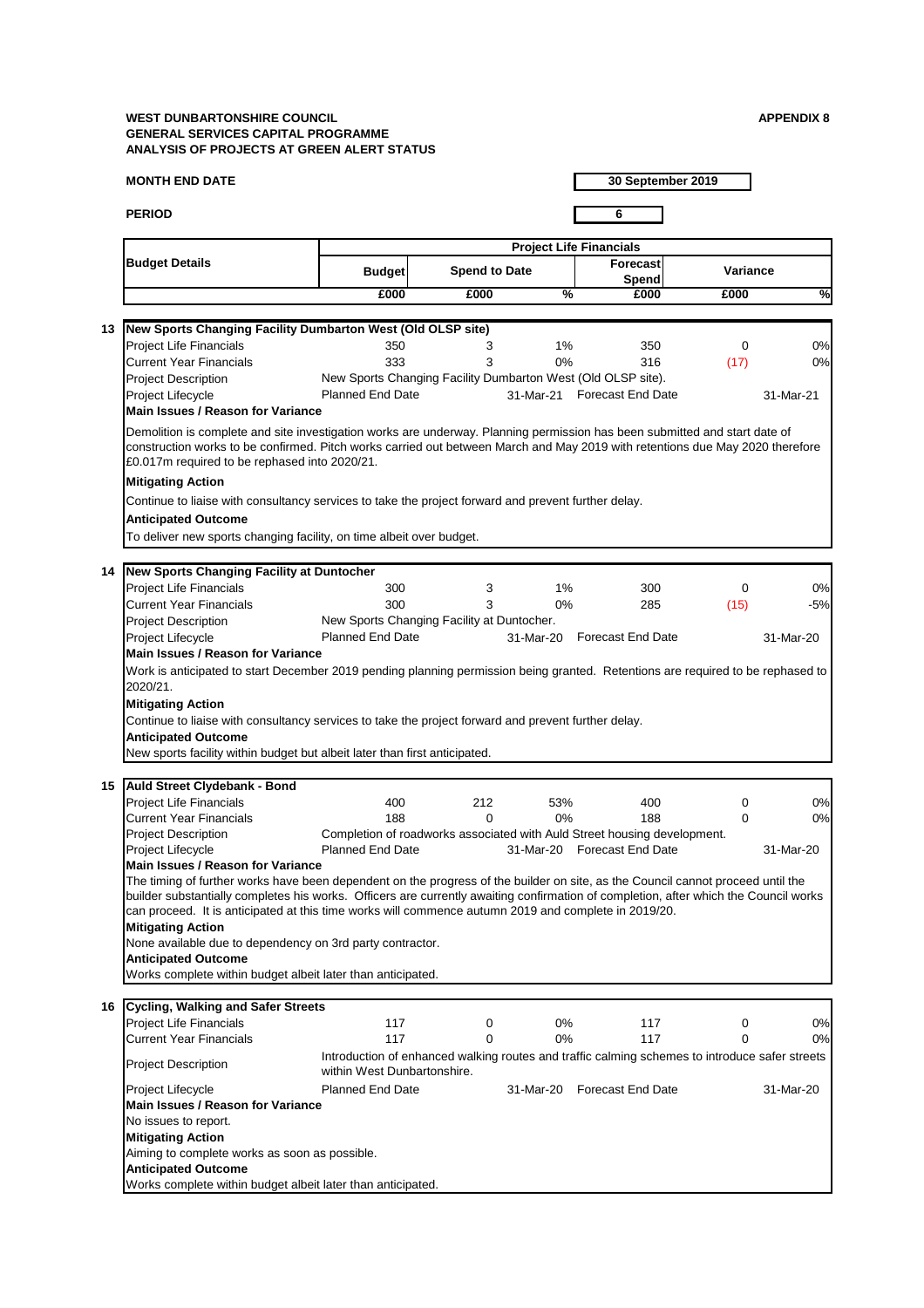## **MONTH END DATE**

**PERIOD 6**

**30 September 2019**

|    | <b>Project Life Financials</b>                                                                                                                                                 |                                            |                      |               |                                                                          |                 |            |  |  |  |  |
|----|--------------------------------------------------------------------------------------------------------------------------------------------------------------------------------|--------------------------------------------|----------------------|---------------|--------------------------------------------------------------------------|-----------------|------------|--|--|--|--|
|    | <b>Budget Details</b>                                                                                                                                                          | <b>Budget</b>                              | <b>Spend to Date</b> |               | Forecast<br>Spend                                                        | <b>Variance</b> |            |  |  |  |  |
|    |                                                                                                                                                                                | £000                                       | £000                 | $\frac{9}{6}$ | £000                                                                     | £000            | $\sqrt{2}$ |  |  |  |  |
|    |                                                                                                                                                                                |                                            |                      |               |                                                                          |                 |            |  |  |  |  |
| 13 | New Sports Changing Facility Dumbarton West (Old OLSP site)                                                                                                                    |                                            |                      |               |                                                                          |                 |            |  |  |  |  |
|    | <b>Project Life Financials</b>                                                                                                                                                 | 350                                        | 3                    | $1\%$         | 350                                                                      | 0               | 0%         |  |  |  |  |
|    | <b>Current Year Financials</b>                                                                                                                                                 | 333                                        | 3                    | 0%            | 316                                                                      | (17)            | 0%         |  |  |  |  |
|    | <b>Project Description</b>                                                                                                                                                     |                                            |                      |               | New Sports Changing Facility Dumbarton West (Old OLSP site).             |                 |            |  |  |  |  |
|    | Project Lifecycle<br><b>Main Issues / Reason for Variance</b>                                                                                                                  | <b>Planned End Date</b>                    |                      |               | 31-Mar-21 Forecast End Date                                              |                 | 31-Mar-21  |  |  |  |  |
|    | Demolition is complete and site investigation works are underway. Planning permission has been submitted and start date of                                                     |                                            |                      |               |                                                                          |                 |            |  |  |  |  |
|    | construction works to be confirmed. Pitch works carried out between March and May 2019 with retentions due May 2020 therefore<br>£0.017m required to be rephased into 2020/21. |                                            |                      |               |                                                                          |                 |            |  |  |  |  |
|    | <b>Mitigating Action</b>                                                                                                                                                       |                                            |                      |               |                                                                          |                 |            |  |  |  |  |
|    |                                                                                                                                                                                |                                            |                      |               |                                                                          |                 |            |  |  |  |  |
|    | Continue to liaise with consultancy services to take the project forward and prevent further delay.<br><b>Anticipated Outcome</b>                                              |                                            |                      |               |                                                                          |                 |            |  |  |  |  |
|    | To deliver new sports changing facility, on time albeit over budget.                                                                                                           |                                            |                      |               |                                                                          |                 |            |  |  |  |  |
|    |                                                                                                                                                                                |                                            |                      |               |                                                                          |                 |            |  |  |  |  |
| 14 | <b>New Sports Changing Facility at Duntocher</b>                                                                                                                               |                                            |                      |               |                                                                          |                 |            |  |  |  |  |
|    | <b>Project Life Financials</b>                                                                                                                                                 | 300                                        | 3                    | $1\%$         | 300                                                                      | 0               | 0%         |  |  |  |  |
|    | <b>Current Year Financials</b>                                                                                                                                                 | 300                                        | 3                    | 0%            | 285                                                                      | (15)            | $-5%$      |  |  |  |  |
|    | <b>Project Description</b>                                                                                                                                                     | New Sports Changing Facility at Duntocher. |                      |               |                                                                          |                 |            |  |  |  |  |
|    | Project Lifecycle                                                                                                                                                              | <b>Planned End Date</b>                    |                      | 31-Mar-20     | <b>Forecast End Date</b>                                                 |                 | 31-Mar-20  |  |  |  |  |
|    | <b>Main Issues / Reason for Variance</b>                                                                                                                                       |                                            |                      |               |                                                                          |                 |            |  |  |  |  |
|    | Work is anticipated to start December 2019 pending planning permission being granted. Retentions are required to be rephased to                                                |                                            |                      |               |                                                                          |                 |            |  |  |  |  |
|    | 2020/21.                                                                                                                                                                       |                                            |                      |               |                                                                          |                 |            |  |  |  |  |
|    | <b>Mitigating Action</b>                                                                                                                                                       |                                            |                      |               |                                                                          |                 |            |  |  |  |  |
|    | Continue to liaise with consultancy services to take the project forward and prevent further delay.                                                                            |                                            |                      |               |                                                                          |                 |            |  |  |  |  |
|    | <b>Anticipated Outcome</b>                                                                                                                                                     |                                            |                      |               |                                                                          |                 |            |  |  |  |  |
|    | New sports facility within budget but albeit later than first anticipated.                                                                                                     |                                            |                      |               |                                                                          |                 |            |  |  |  |  |
|    |                                                                                                                                                                                |                                            |                      |               |                                                                          |                 |            |  |  |  |  |
| 15 | <b>Auld Street Clydebank - Bond</b>                                                                                                                                            |                                            |                      |               |                                                                          |                 |            |  |  |  |  |
|    | <b>Project Life Financials</b>                                                                                                                                                 | 400                                        | 212                  | 53%           | 400                                                                      | 0               | 0%         |  |  |  |  |
|    | <b>Current Year Financials</b>                                                                                                                                                 | 188                                        | $\Omega$             | $0\%$         | 188                                                                      | 0               | 0%         |  |  |  |  |
|    | <b>Project Description</b>                                                                                                                                                     |                                            |                      |               | Completion of roadworks associated with Auld Street housing development. |                 |            |  |  |  |  |
|    | <b>Project Lifecycle</b>                                                                                                                                                       | <b>Planned End Date</b>                    |                      |               | 31-Mar-20 Forecast End Date                                              |                 | 31-Mar-20  |  |  |  |  |
|    | <b>Main Issues / Reason for Variance</b>                                                                                                                                       |                                            |                      |               |                                                                          |                 |            |  |  |  |  |
|    | The timing of further works have been dependent on the progress of the builder on site, as the Council cannot proceed until the                                                |                                            |                      |               |                                                                          |                 |            |  |  |  |  |
|    | builder substantially completes his works. Officers are currently awaiting confirmation of completion, after which the Council works                                           |                                            |                      |               |                                                                          |                 |            |  |  |  |  |

| Cycling, Walking and Safer Streets<br>16                    |                                   |          |                                                                                                |                          |   |           |  |  |  |  |
|-------------------------------------------------------------|-----------------------------------|----------|------------------------------------------------------------------------------------------------|--------------------------|---|-----------|--|--|--|--|
| <b>Project Life Financials</b>                              | 117                               | $\Omega$ | $0\%$                                                                                          | 117                      | 0 | 0%        |  |  |  |  |
| <b>Current Year Financials</b>                              | 117                               |          | $0\%$                                                                                          | 117                      | 0 | 0%        |  |  |  |  |
| <b>Project Description</b>                                  | within West Dunbartonshire.       |          | Introduction of enhanced walking routes and traffic calming schemes to introduce safer streets |                          |   |           |  |  |  |  |
| <b>Project Lifecycle</b>                                    | <b>Planned End Date</b>           |          | 31-Mar-20                                                                                      | <b>Forecast End Date</b> |   | 31-Mar-20 |  |  |  |  |
|                                                             | Main Issues / Reason for Variance |          |                                                                                                |                          |   |           |  |  |  |  |
| No issues to report.                                        |                                   |          |                                                                                                |                          |   |           |  |  |  |  |
| <b>Mitigating Action</b>                                    |                                   |          |                                                                                                |                          |   |           |  |  |  |  |
| Aiming to complete works as soon as possible.               |                                   |          |                                                                                                |                          |   |           |  |  |  |  |
| <b>Anticipated Outcome</b>                                  |                                   |          |                                                                                                |                          |   |           |  |  |  |  |
| Works complete within budget albeit later than anticipated. |                                   |          |                                                                                                |                          |   |           |  |  |  |  |

# **Anticipated Outcome**

Works complete within budget albeit later than anticipated.

can proceed. It is anticipated at this time works will commence autumn 2019 and complete in 2019/20.

# **Mitigating Action**

None available due to dependency on 3rd party contractor.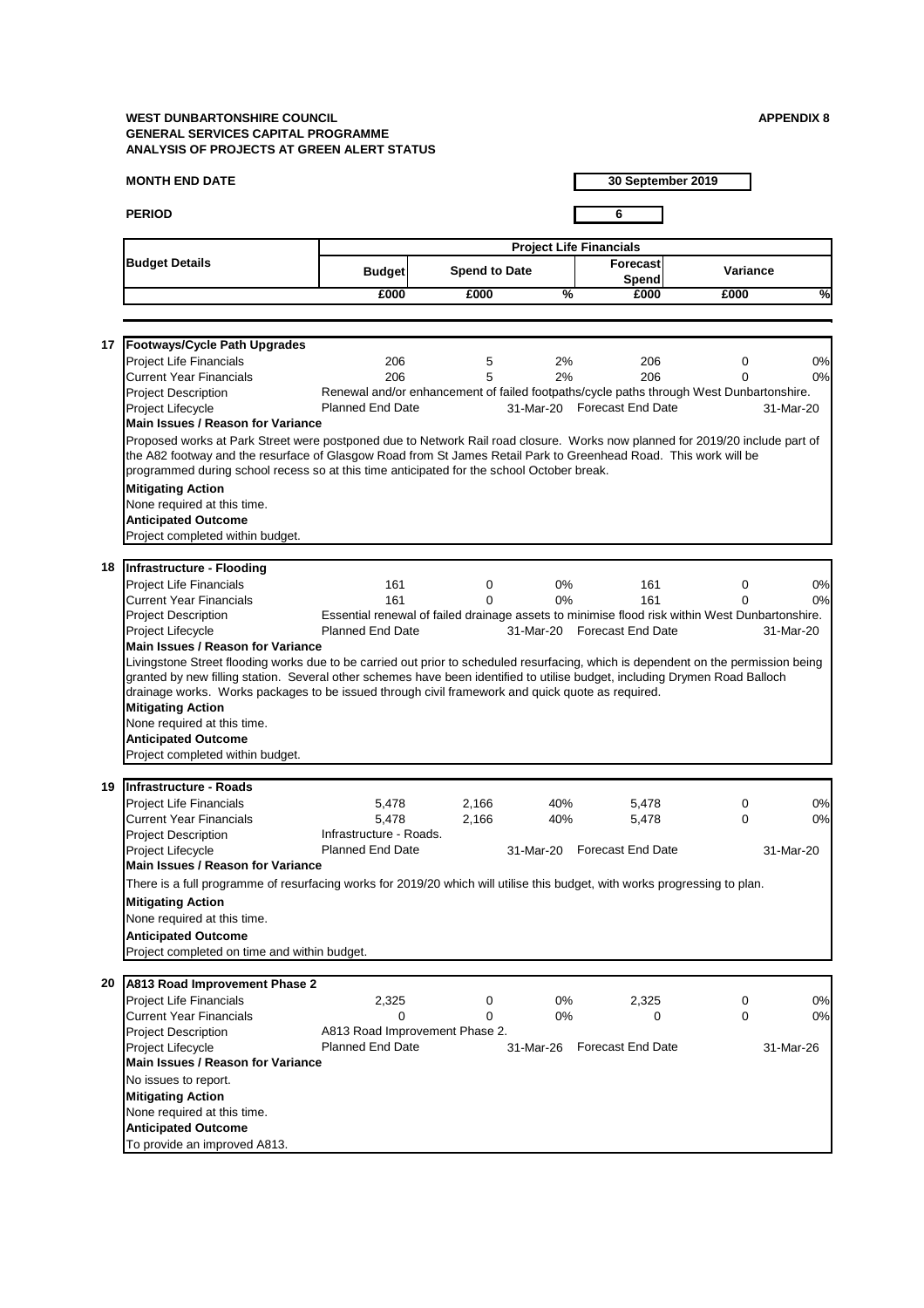# **MONTH END DATE**

**PERIOD 6**

**30 September 2019**

|                                                                                                                                    |                                                                                                                              | <b>Project Life Financials</b> |               |                                                                                                |                 |           |  |  |  |
|------------------------------------------------------------------------------------------------------------------------------------|------------------------------------------------------------------------------------------------------------------------------|--------------------------------|---------------|------------------------------------------------------------------------------------------------|-----------------|-----------|--|--|--|
| <b>Budget Details</b>                                                                                                              | <b>Budget</b>                                                                                                                | <b>Spend to Date</b>           |               | Forecast<br>Spend                                                                              | <b>Variance</b> |           |  |  |  |
|                                                                                                                                    | £000                                                                                                                         | £000                           | $\frac{0}{2}$ | £000                                                                                           | £000            | ℅         |  |  |  |
|                                                                                                                                    |                                                                                                                              |                                |               |                                                                                                |                 |           |  |  |  |
| <b>Footways/Cycle Path Upgrades</b><br>17                                                                                          |                                                                                                                              |                                |               |                                                                                                |                 |           |  |  |  |
| <b>Project Life Financials</b>                                                                                                     | 206                                                                                                                          | 5                              | 2%            | 206                                                                                            | 0               | 0%        |  |  |  |
| <b>Current Year Financials</b>                                                                                                     | 206                                                                                                                          | 5                              | 2%            | 206                                                                                            | 0               | 0%        |  |  |  |
| <b>Project Description</b>                                                                                                         |                                                                                                                              |                                |               | Renewal and/or enhancement of failed footpaths/cycle paths through West Dunbartonshire.        |                 |           |  |  |  |
| Project Lifecycle                                                                                                                  | <b>Planned End Date</b>                                                                                                      |                                |               | 31-Mar-20 Forecast End Date                                                                    |                 | 31-Mar-20 |  |  |  |
| <b>Main Issues / Reason for Variance</b>                                                                                           |                                                                                                                              |                                |               |                                                                                                |                 |           |  |  |  |
|                                                                                                                                    | Proposed works at Park Street were postponed due to Network Rail road closure. Works now planned for 2019/20 include part of |                                |               |                                                                                                |                 |           |  |  |  |
| the A82 footway and the resurface of Glasgow Road from St James Retail Park to Greenhead Road. This work will be                   |                                                                                                                              |                                |               |                                                                                                |                 |           |  |  |  |
| programmed during school recess so at this time anticipated for the school October break.                                          |                                                                                                                              |                                |               |                                                                                                |                 |           |  |  |  |
| <b>Mitigating Action</b>                                                                                                           |                                                                                                                              |                                |               |                                                                                                |                 |           |  |  |  |
| None required at this time.                                                                                                        |                                                                                                                              |                                |               |                                                                                                |                 |           |  |  |  |
| <b>Anticipated Outcome</b>                                                                                                         |                                                                                                                              |                                |               |                                                                                                |                 |           |  |  |  |
| Project completed within budget.                                                                                                   |                                                                                                                              |                                |               |                                                                                                |                 |           |  |  |  |
|                                                                                                                                    |                                                                                                                              |                                |               |                                                                                                |                 |           |  |  |  |
| Infrastructure - Flooding<br>18                                                                                                    |                                                                                                                              |                                |               |                                                                                                |                 |           |  |  |  |
| <b>Project Life Financials</b>                                                                                                     | 161                                                                                                                          | $\mathbf 0$                    | $0\%$         | 161                                                                                            | 0               | 0%        |  |  |  |
| <b>Current Year Financials</b>                                                                                                     | 161                                                                                                                          | 0                              | $0\%$         | 161                                                                                            | 0               | 0%        |  |  |  |
| <b>Project Description</b>                                                                                                         |                                                                                                                              |                                |               | Essential renewal of failed drainage assets to minimise flood risk within West Dunbartonshire. |                 |           |  |  |  |
| Project Lifecycle                                                                                                                  | <b>Planned End Date</b>                                                                                                      |                                | 31-Mar-20     | <b>Forecast End Date</b>                                                                       |                 | 31-Mar-20 |  |  |  |
| <b>Main Issues / Reason for Variance</b>                                                                                           |                                                                                                                              |                                |               |                                                                                                |                 |           |  |  |  |
| Livingstone Street flooding works due to be carried out prior to scheduled resurfacing, which is dependent on the permission being |                                                                                                                              |                                |               |                                                                                                |                 |           |  |  |  |
| granted by new filling station. Several other schemes have been identified to utilise budget, including Drymen Road Balloch        |                                                                                                                              |                                |               |                                                                                                |                 |           |  |  |  |
| drainage works. Works packages to be issued through civil framework and quick quote as required.                                   |                                                                                                                              |                                |               |                                                                                                |                 |           |  |  |  |
| <b>Mitigating Action</b>                                                                                                           |                                                                                                                              |                                |               |                                                                                                |                 |           |  |  |  |
| None required at this time.                                                                                                        |                                                                                                                              |                                |               |                                                                                                |                 |           |  |  |  |
| <b>Anticipated Outcome</b>                                                                                                         |                                                                                                                              |                                |               |                                                                                                |                 |           |  |  |  |
| Project completed within budget.                                                                                                   |                                                                                                                              |                                |               |                                                                                                |                 |           |  |  |  |
|                                                                                                                                    |                                                                                                                              |                                |               |                                                                                                |                 |           |  |  |  |
| <b>Infrastructure - Roads</b><br>19                                                                                                |                                                                                                                              |                                |               |                                                                                                |                 |           |  |  |  |
| <b>Project Life Financials</b>                                                                                                     | 5,478                                                                                                                        | 2,166                          | 40%           | 5,478                                                                                          | 0               | 0%        |  |  |  |
| <b>Current Year Financials</b>                                                                                                     | 5,478                                                                                                                        | 2,166                          | 40%           | 5,478                                                                                          | $\mathbf 0$     | 0%        |  |  |  |
| <b>Project Description</b>                                                                                                         | Infrastructure - Roads.                                                                                                      |                                |               |                                                                                                |                 |           |  |  |  |
| Project Lifecycle                                                                                                                  | <b>Planned End Date</b>                                                                                                      |                                |               | 31-Mar-20 Forecast End Date                                                                    |                 | 31-Mar-20 |  |  |  |
| <b>Main Issues / Reason for Variance</b>                                                                                           |                                                                                                                              |                                |               |                                                                                                |                 |           |  |  |  |
| There is a full programme of resurfacing works for 2019/20 which will utilise this budget, with works progressing to plan.         |                                                                                                                              |                                |               |                                                                                                |                 |           |  |  |  |
| <b>Mitigating Action</b>                                                                                                           |                                                                                                                              |                                |               |                                                                                                |                 |           |  |  |  |

| A813 Road Improvement Phase 2<br>20 |                                |   |       |                             |   |           |
|-------------------------------------|--------------------------------|---|-------|-----------------------------|---|-----------|
| <b>Project Life Financials</b>      | 2,325                          | 0 | $0\%$ | 2,325                       | 0 | 0%        |
| <b>Current Year Financials</b>      | 0                              |   | $0\%$ | 0                           | 0 | 0%        |
| <b>Project Description</b>          | A813 Road Improvement Phase 2. |   |       |                             |   |           |
| <b>Project Lifecycle</b>            | <b>Planned End Date</b>        |   |       | 31-Mar-26 Forecast End Date |   | 31-Mar-26 |
| Main Issues / Reason for Variance   |                                |   |       |                             |   |           |
| No issues to report.                |                                |   |       |                             |   |           |
| <b>Mitigating Action</b>            |                                |   |       |                             |   |           |
| None required at this time.         |                                |   |       |                             |   |           |
| <b>Anticipated Outcome</b>          |                                |   |       |                             |   |           |
| To provide an improved A813.        |                                |   |       |                             |   |           |

None required at this time.

### **Anticipated Outcome**

Project completed on time and within budget.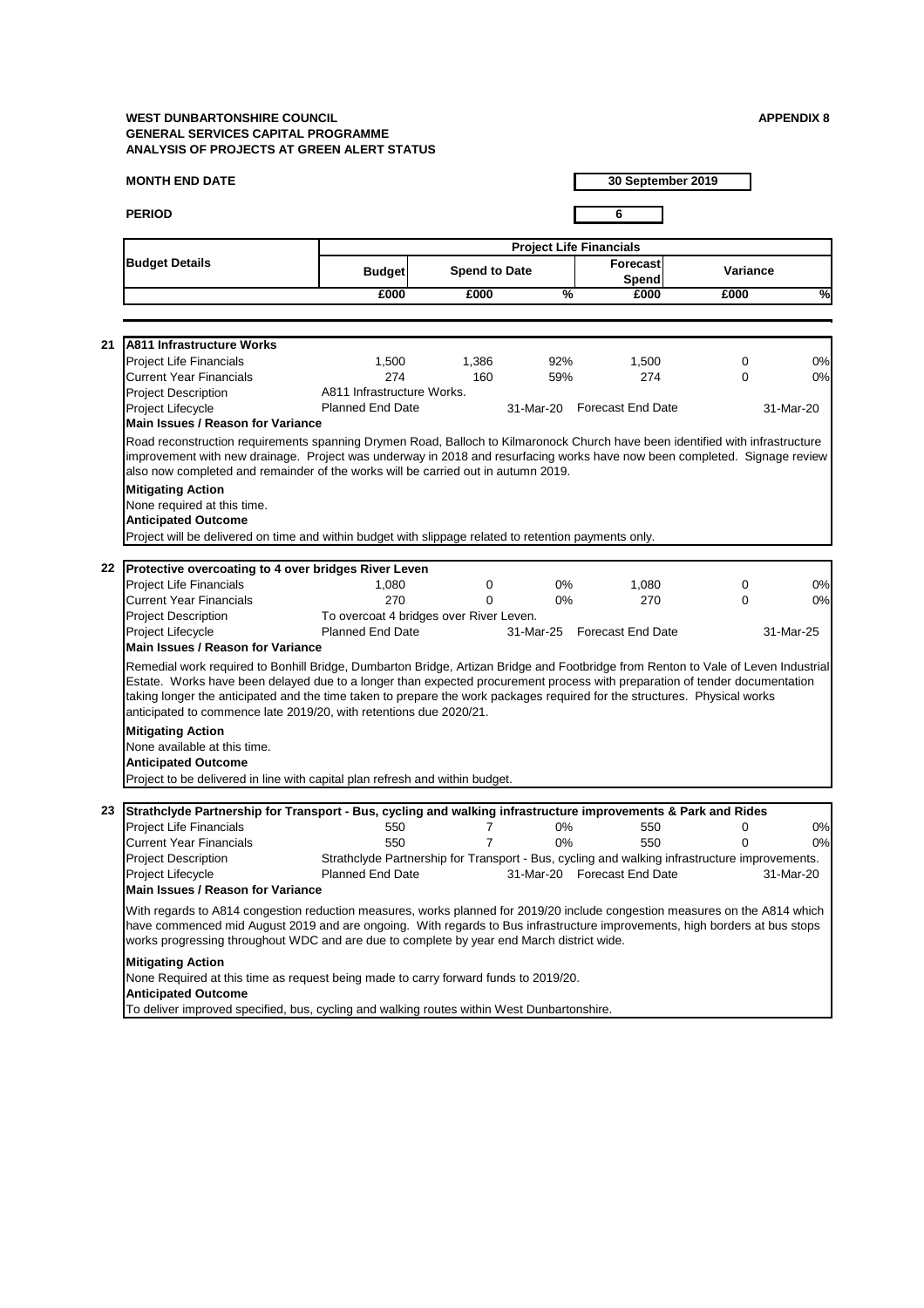## **MONTH END DATE**

**PERIOD 6**

**30 September 2019**

|    |                                                                                                                                                                                                                                                                                                                                                                                                                                                                    |                                         |                      |               | <b>Project Life Financials</b>                                                                |                 |           |
|----|--------------------------------------------------------------------------------------------------------------------------------------------------------------------------------------------------------------------------------------------------------------------------------------------------------------------------------------------------------------------------------------------------------------------------------------------------------------------|-----------------------------------------|----------------------|---------------|-----------------------------------------------------------------------------------------------|-----------------|-----------|
|    | <b>Budget Details</b>                                                                                                                                                                                                                                                                                                                                                                                                                                              | <b>Budget</b>                           | <b>Spend to Date</b> |               | Forecast<br>Spend                                                                             | <b>Variance</b> |           |
|    |                                                                                                                                                                                                                                                                                                                                                                                                                                                                    | £000                                    | £000                 | $\frac{9}{6}$ | £000                                                                                          | £000            | %         |
|    |                                                                                                                                                                                                                                                                                                                                                                                                                                                                    |                                         |                      |               |                                                                                               |                 |           |
| 21 | <b>A811 Infrastructure Works</b>                                                                                                                                                                                                                                                                                                                                                                                                                                   |                                         |                      |               |                                                                                               |                 |           |
|    | <b>Project Life Financials</b>                                                                                                                                                                                                                                                                                                                                                                                                                                     | 1,500                                   | 1,386                | 92%           | 1,500                                                                                         | $\mathbf 0$     | 0%        |
|    | <b>Current Year Financials</b>                                                                                                                                                                                                                                                                                                                                                                                                                                     | 274                                     | 160                  | 59%           | 274                                                                                           | $\overline{0}$  | 0%        |
|    | <b>Project Description</b>                                                                                                                                                                                                                                                                                                                                                                                                                                         | A811 Infrastructure Works.              |                      |               |                                                                                               |                 |           |
|    | Project Lifecycle                                                                                                                                                                                                                                                                                                                                                                                                                                                  | <b>Planned End Date</b>                 |                      | 31-Mar-20     | <b>Forecast End Date</b>                                                                      |                 | 31-Mar-20 |
|    | <b>Main Issues / Reason for Variance</b>                                                                                                                                                                                                                                                                                                                                                                                                                           |                                         |                      |               |                                                                                               |                 |           |
|    | Road reconstruction requirements spanning Drymen Road, Balloch to Kilmaronock Church have been identified with infrastructure<br>improvement with new drainage. Project was underway in 2018 and resurfacing works have now been completed. Signage review<br>also now completed and remainder of the works will be carried out in autumn 2019.                                                                                                                    |                                         |                      |               |                                                                                               |                 |           |
|    | <b>Mitigating Action</b>                                                                                                                                                                                                                                                                                                                                                                                                                                           |                                         |                      |               |                                                                                               |                 |           |
|    | None required at this time.                                                                                                                                                                                                                                                                                                                                                                                                                                        |                                         |                      |               |                                                                                               |                 |           |
|    | <b>Anticipated Outcome</b>                                                                                                                                                                                                                                                                                                                                                                                                                                         |                                         |                      |               |                                                                                               |                 |           |
|    | Project will be delivered on time and within budget with slippage related to retention payments only.                                                                                                                                                                                                                                                                                                                                                              |                                         |                      |               |                                                                                               |                 |           |
| 22 | Protective overcoating to 4 over bridges River Leven                                                                                                                                                                                                                                                                                                                                                                                                               |                                         |                      |               |                                                                                               |                 |           |
|    | <b>Project Life Financials</b>                                                                                                                                                                                                                                                                                                                                                                                                                                     | 1,080                                   | 0                    | $0\%$         | 1,080                                                                                         | $\overline{0}$  | 0%        |
|    | <b>Current Year Financials</b>                                                                                                                                                                                                                                                                                                                                                                                                                                     | 270                                     | $\Omega$             | $0\%$         | 270                                                                                           | $\overline{0}$  | 0%        |
|    | <b>Project Description</b>                                                                                                                                                                                                                                                                                                                                                                                                                                         | To overcoat 4 bridges over River Leven. |                      |               |                                                                                               |                 |           |
|    | Project Lifecycle                                                                                                                                                                                                                                                                                                                                                                                                                                                  | <b>Planned End Date</b>                 |                      | 31-Mar-25     | <b>Forecast End Date</b>                                                                      |                 | 31-Mar-25 |
|    | <b>Main Issues / Reason for Variance</b>                                                                                                                                                                                                                                                                                                                                                                                                                           |                                         |                      |               |                                                                                               |                 |           |
|    | Remedial work required to Bonhill Bridge, Dumbarton Bridge, Artizan Bridge and Footbridge from Renton to Vale of Leven Industrial<br>Estate. Works have been delayed due to a longer than expected procurement process with preparation of tender documentation<br>taking longer the anticipated and the time taken to prepare the work packages required for the structures. Physical works<br>anticipated to commence late 2019/20, with retentions due 2020/21. |                                         |                      |               |                                                                                               |                 |           |
|    | <b>Mitigating Action</b><br>None available at this time.<br><b>Anticipated Outcome</b><br>Project to be delivered in line with capital plan refresh and within budget.                                                                                                                                                                                                                                                                                             |                                         |                      |               |                                                                                               |                 |           |
| 23 | Strathclyde Partnership for Transport - Bus, cycling and walking infrastructure improvements & Park and Rides                                                                                                                                                                                                                                                                                                                                                      |                                         |                      |               |                                                                                               |                 |           |
|    | <b>Project Life Financials</b>                                                                                                                                                                                                                                                                                                                                                                                                                                     | 550                                     |                      | $0\%$         | 550                                                                                           | 0               | 0%        |
|    | <b>Current Year Financials</b>                                                                                                                                                                                                                                                                                                                                                                                                                                     | 550                                     |                      | 0%            | 550                                                                                           | 0               | 0%        |
|    | <b>Project Description</b>                                                                                                                                                                                                                                                                                                                                                                                                                                         |                                         |                      |               | Strathclyde Partnership for Transport - Bus, cycling and walking infrastructure improvements. |                 |           |
|    | Project Lifecycle                                                                                                                                                                                                                                                                                                                                                                                                                                                  | <b>Planned End Date</b>                 |                      |               | 31-Mar-20 Forecast End Date                                                                   |                 | 31-Mar-20 |
|    | <b>Main Issues / Reason for Variance</b>                                                                                                                                                                                                                                                                                                                                                                                                                           |                                         |                      |               |                                                                                               |                 |           |

With regards to A814 congestion reduction measures, works planned for 2019/20 include congestion measures on the A814 which have commenced mid August 2019 and are ongoing. With regards to Bus infrastructure improvements, high borders at bus stops works progressing throughout WDC and are due to complete by year end March district wide.

# **Mitigating Action**

None Required at this time as request being made to carry forward funds to 2019/20.

# **Anticipated Outcome**

To deliver improved specified, bus, cycling and walking routes within West Dunbartonshire.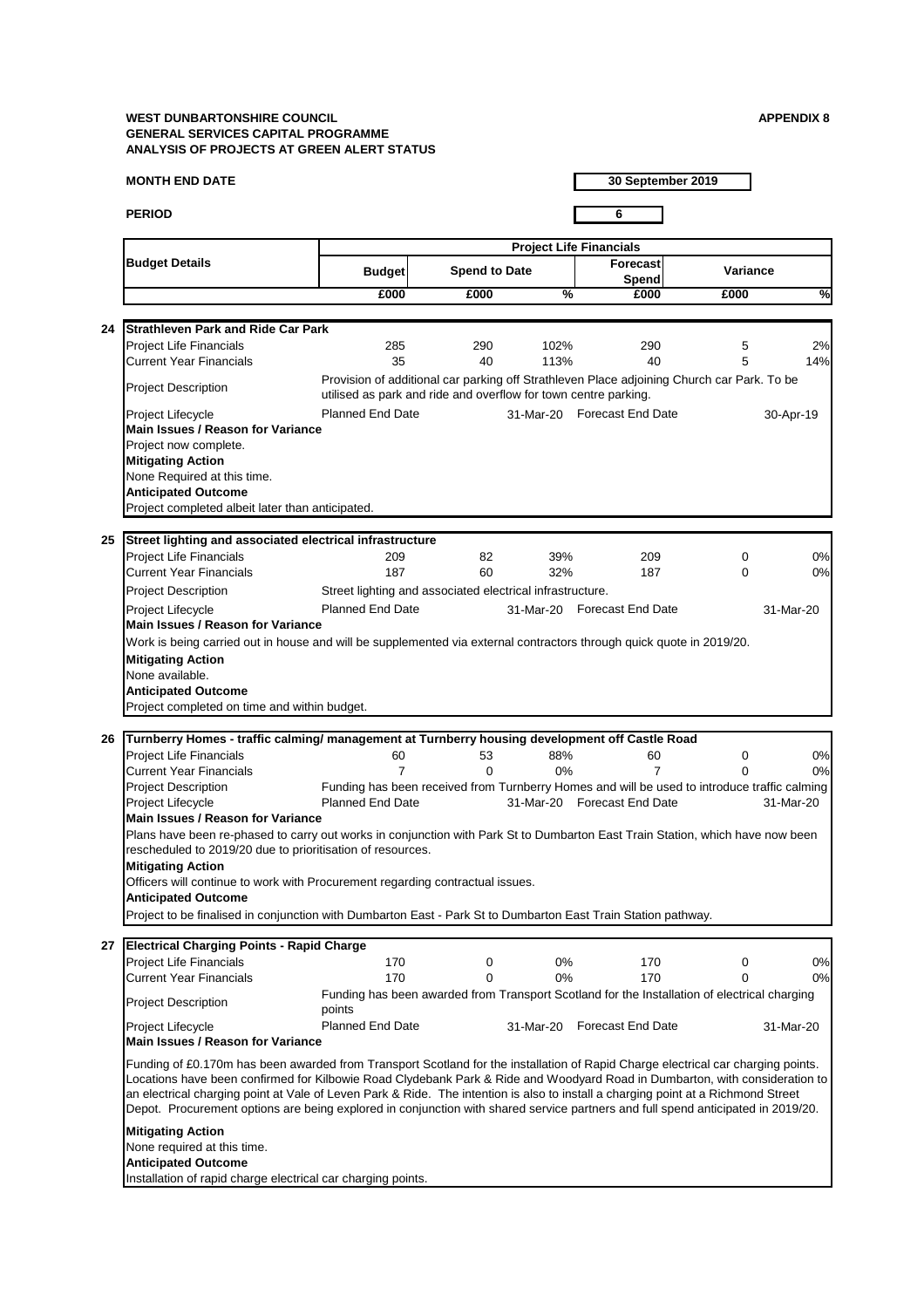## **MONTH END DATE**

**PERIOD 6**

**30 September 2019**

|    |                                                                                                                                                                                             |                                                           |                      |               | <b>Project Life Financials</b>                                                               |                 |                          |  |  |  |
|----|---------------------------------------------------------------------------------------------------------------------------------------------------------------------------------------------|-----------------------------------------------------------|----------------------|---------------|----------------------------------------------------------------------------------------------|-----------------|--------------------------|--|--|--|
|    | <b>Budget Details</b>                                                                                                                                                                       | <b>Budget</b>                                             | <b>Spend to Date</b> |               | Forecast<br><b>Spend</b>                                                                     | <b>Variance</b> |                          |  |  |  |
|    |                                                                                                                                                                                             | £000                                                      | £000                 | $\frac{9}{6}$ | £000                                                                                         | £000            | $\overline{\frac{9}{6}}$ |  |  |  |
|    |                                                                                                                                                                                             |                                                           |                      |               |                                                                                              |                 |                          |  |  |  |
| 24 | İStrathleven Park and Ride Car Park                                                                                                                                                         |                                                           |                      |               |                                                                                              |                 |                          |  |  |  |
|    | <b>Project Life Financials</b>                                                                                                                                                              | 285                                                       | 290                  | 102%          | 290                                                                                          | 5               | 2%                       |  |  |  |
|    | <b>Current Year Financials</b>                                                                                                                                                              | 35                                                        | 40                   | 113%          | 40                                                                                           | 5               | 14%                      |  |  |  |
|    | Provision of additional car parking off Strathleven Place adjoining Church car Park. To be<br><b>Project Description</b><br>utilised as park and ride and overflow for town centre parking. |                                                           |                      |               |                                                                                              |                 |                          |  |  |  |
|    | Project Lifecycle                                                                                                                                                                           | <b>Planned End Date</b>                                   |                      |               | 31-Mar-20 Forecast End Date                                                                  |                 | 30-Apr-19                |  |  |  |
|    | <b>Main Issues / Reason for Variance</b>                                                                                                                                                    |                                                           |                      |               |                                                                                              |                 |                          |  |  |  |
|    | Project now complete.                                                                                                                                                                       |                                                           |                      |               |                                                                                              |                 |                          |  |  |  |
|    | <b>Mitigating Action</b>                                                                                                                                                                    |                                                           |                      |               |                                                                                              |                 |                          |  |  |  |
|    | None Required at this time.                                                                                                                                                                 |                                                           |                      |               |                                                                                              |                 |                          |  |  |  |
|    | <b>Anticipated Outcome</b>                                                                                                                                                                  |                                                           |                      |               |                                                                                              |                 |                          |  |  |  |
|    | Project completed albeit later than anticipated.                                                                                                                                            |                                                           |                      |               |                                                                                              |                 |                          |  |  |  |
|    |                                                                                                                                                                                             |                                                           |                      |               |                                                                                              |                 |                          |  |  |  |
| 25 | Street lighting and associated electrical infrastructure                                                                                                                                    |                                                           |                      |               |                                                                                              |                 |                          |  |  |  |
|    | <b>Project Life Financials</b>                                                                                                                                                              | 209                                                       | 82                   | 39%           | 209                                                                                          | 0               | 0%                       |  |  |  |
|    | <b>Current Year Financials</b>                                                                                                                                                              | 187                                                       | 60                   | 32%           | 187                                                                                          | $\mathbf 0$     | 0%                       |  |  |  |
|    | <b>Project Description</b>                                                                                                                                                                  | Street lighting and associated electrical infrastructure. |                      |               |                                                                                              |                 |                          |  |  |  |
|    | Project Lifecycle                                                                                                                                                                           | <b>Planned End Date</b>                                   |                      |               | 31-Mar-20 Forecast End Date                                                                  |                 | 31-Mar-20                |  |  |  |
|    | <b>Main Issues / Reason for Variance</b>                                                                                                                                                    |                                                           |                      |               |                                                                                              |                 |                          |  |  |  |
|    | Work is being carried out in house and will be supplemented via external contractors through quick quote in 2019/20.                                                                        |                                                           |                      |               |                                                                                              |                 |                          |  |  |  |
|    | <b>Mitigating Action</b>                                                                                                                                                                    |                                                           |                      |               |                                                                                              |                 |                          |  |  |  |
|    | None available.                                                                                                                                                                             |                                                           |                      |               |                                                                                              |                 |                          |  |  |  |
|    | <b>Anticipated Outcome</b>                                                                                                                                                                  |                                                           |                      |               |                                                                                              |                 |                          |  |  |  |
|    | Project completed on time and within budget.                                                                                                                                                |                                                           |                      |               |                                                                                              |                 |                          |  |  |  |
|    |                                                                                                                                                                                             |                                                           |                      |               |                                                                                              |                 |                          |  |  |  |
| 26 | Turnberry Homes - traffic calming/ management at Turnberry housing development off Castle Road                                                                                              |                                                           |                      |               |                                                                                              |                 |                          |  |  |  |
|    | <b>Project Life Financials</b>                                                                                                                                                              | 60                                                        | 53                   | 88%           | 60                                                                                           | 0               | 0%                       |  |  |  |
|    | <b>Current Year Financials</b>                                                                                                                                                              | 7                                                         | 0                    | 0%            | 7                                                                                            | 0               | 0%                       |  |  |  |
|    | <b>Project Description</b>                                                                                                                                                                  |                                                           |                      |               | Funding has been received from Turnberry Homes and will be used to introduce traffic calming |                 |                          |  |  |  |
|    | Project Lifecycle                                                                                                                                                                           | <b>Planned End Date</b>                                   |                      |               | 31-Mar-20 Forecast End Date                                                                  |                 | 31-Mar-20                |  |  |  |
|    | <b>Main Issues / Reason for Variance</b>                                                                                                                                                    |                                                           |                      |               |                                                                                              |                 |                          |  |  |  |
|    | Plans have been re-phased to carry out works in conjunction with Park St to Dumbarton East Train Station, which have now been<br>rescheduled to 2019/20 due to prioritisation of resources. |                                                           |                      |               |                                                                                              |                 |                          |  |  |  |
|    |                                                                                                                                                                                             |                                                           |                      |               |                                                                                              |                 |                          |  |  |  |
|    | <b>Mitigating Action</b>                                                                                                                                                                    |                                                           |                      |               |                                                                                              |                 |                          |  |  |  |
|    | Officers will continue to work with Procurement regarding contractual issues.<br><b>Anticipated Outcome</b>                                                                                 |                                                           |                      |               |                                                                                              |                 |                          |  |  |  |
|    | Project to be finalised in conjunction with Dumbarton East - Park St to Dumbarton East Train Station pathway.                                                                               |                                                           |                      |               |                                                                                              |                 |                          |  |  |  |

Funding of £0.170m has been awarded from Transport Scotland for the installation of Rapid Charge electrical car charging points. Locations have been confirmed for Kilbowie Road Clydebank Park & Ride and Woodyard Road in Dumbarton, with consideration to an electrical charging point at Vale of Leven Park & Ride. The intention is also to install a charging point at a Richmond Street Depot. Procurement options are being explored in conjunction with shared service partners and full spend anticipated in 2019/20.

| 27 | <b>Electrical Charging Points - Rapid Charge</b> |                                                                                                        |           |                          |           |
|----|--------------------------------------------------|--------------------------------------------------------------------------------------------------------|-----------|--------------------------|-----------|
|    | <b>Project Life Financials</b>                   | 170                                                                                                    | 0%        | 170                      | 0%        |
|    | <b>Current Year Financials</b>                   | 170                                                                                                    | 0%        | 170                      | 0%        |
|    | <b>Project Description</b>                       | Funding has been awarded from Transport Scotland for the Installation of electrical charging<br>points |           |                          |           |
|    | <b>Project Lifecycle</b>                         | <b>Planned End Date</b>                                                                                | 31-Mar-20 | <b>Forecast End Date</b> | 31-Mar-20 |
|    | Main Issues / Reason for Variance                |                                                                                                        |           |                          |           |

## **Mitigating Action**

None required at this time.

## **Anticipated Outcome**

Installation of rapid charge electrical car charging points.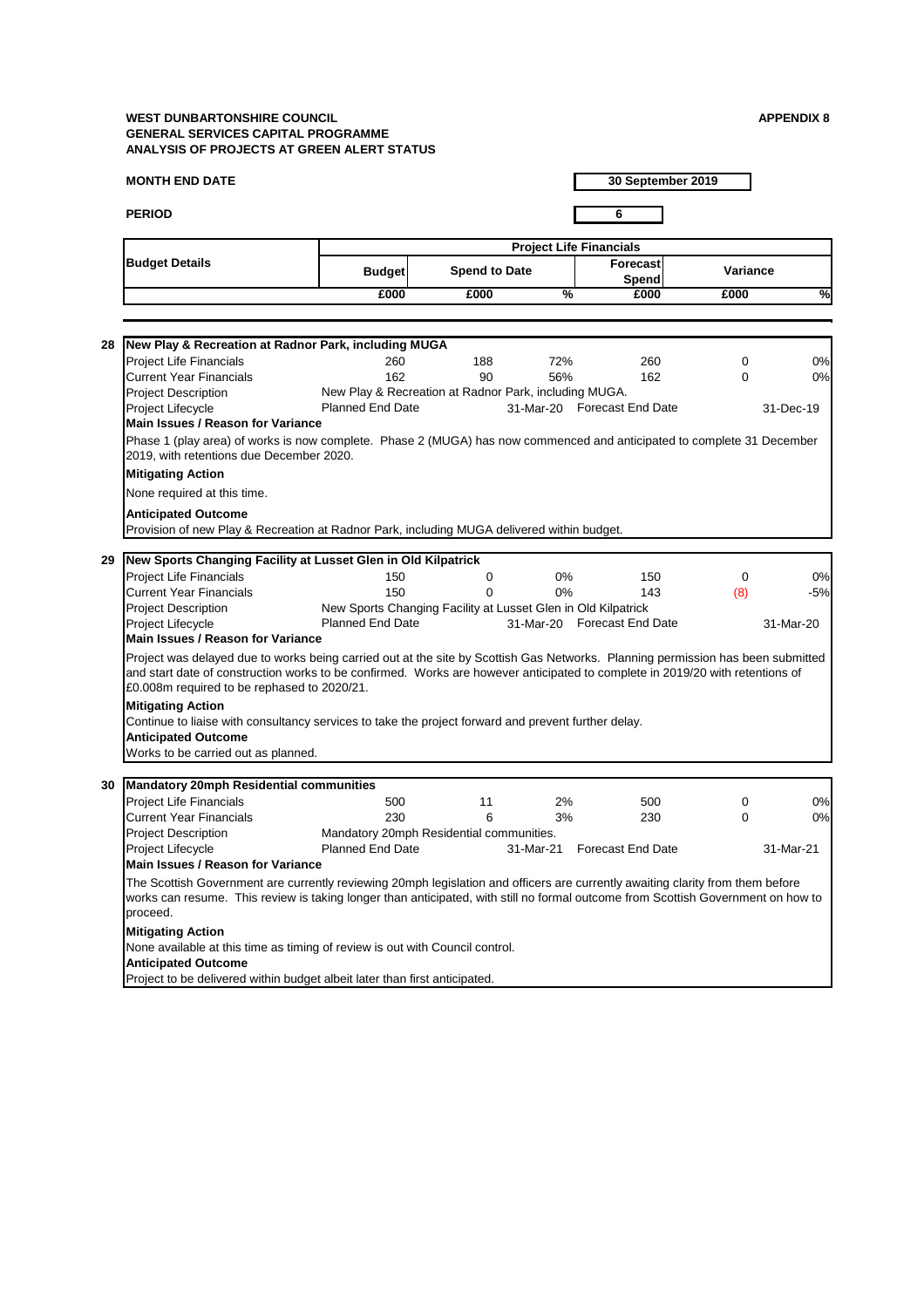## **MONTH END DATE**

**PERIOD 6**

**30 September 2019**

|                       | <b>Project Life Financials</b> |                      |   |                          |          |   |
|-----------------------|--------------------------------|----------------------|---|--------------------------|----------|---|
| <b>Budget Details</b> | <b>Budget</b>                  | <b>Spend to Date</b> |   | Forecast<br><b>Spend</b> | Variance |   |
|                       | £000                           | £000                 | % | £000                     | £000     | % |

| 28 | New Play & Recreation at Radnor Park, including MUGA                                                                                                                                                                                                                                                            |                                                               |     |           |                             |             |           |  |  |  |
|----|-----------------------------------------------------------------------------------------------------------------------------------------------------------------------------------------------------------------------------------------------------------------------------------------------------------------|---------------------------------------------------------------|-----|-----------|-----------------------------|-------------|-----------|--|--|--|
|    | <b>Project Life Financials</b>                                                                                                                                                                                                                                                                                  | 260                                                           | 188 | 72%       | 260                         | $\mathbf 0$ | 0%        |  |  |  |
|    | <b>Current Year Financials</b>                                                                                                                                                                                                                                                                                  | 162                                                           | 90  | 56%       | 162                         | $\mathbf 0$ | 0%        |  |  |  |
|    | <b>Project Description</b>                                                                                                                                                                                                                                                                                      | New Play & Recreation at Radnor Park, including MUGA.         |     |           |                             |             |           |  |  |  |
|    | <b>Project Lifecycle</b>                                                                                                                                                                                                                                                                                        | <b>Planned End Date</b>                                       |     |           | 31-Mar-20 Forecast End Date |             | 31-Dec-19 |  |  |  |
|    | <b>Main Issues / Reason for Variance</b>                                                                                                                                                                                                                                                                        |                                                               |     |           |                             |             |           |  |  |  |
|    | Phase 1 (play area) of works is now complete. Phase 2 (MUGA) has now commenced and anticipated to complete 31 December<br>2019, with retentions due December 2020.                                                                                                                                              |                                                               |     |           |                             |             |           |  |  |  |
|    | <b>Mitigating Action</b>                                                                                                                                                                                                                                                                                        |                                                               |     |           |                             |             |           |  |  |  |
|    | None required at this time.                                                                                                                                                                                                                                                                                     |                                                               |     |           |                             |             |           |  |  |  |
|    | <b>Anticipated Outcome</b>                                                                                                                                                                                                                                                                                      |                                                               |     |           |                             |             |           |  |  |  |
|    | Provision of new Play & Recreation at Radnor Park, including MUGA delivered within budget.                                                                                                                                                                                                                      |                                                               |     |           |                             |             |           |  |  |  |
|    |                                                                                                                                                                                                                                                                                                                 |                                                               |     |           |                             |             |           |  |  |  |
| 29 | New Sports Changing Facility at Lusset Glen in Old Kilpatrick                                                                                                                                                                                                                                                   |                                                               |     |           |                             |             |           |  |  |  |
|    | <b>Project Life Financials</b>                                                                                                                                                                                                                                                                                  | 150                                                           | 0   | $0\%$     | 150                         | $\mathbf 0$ | 0%        |  |  |  |
|    | <b>Current Year Financials</b>                                                                                                                                                                                                                                                                                  | 150                                                           | 0   | $0\%$     | 143                         | (8)         | $-5%$     |  |  |  |
|    | <b>Project Description</b>                                                                                                                                                                                                                                                                                      | New Sports Changing Facility at Lusset Glen in Old Kilpatrick |     |           |                             |             |           |  |  |  |
|    | <b>Project Lifecycle</b>                                                                                                                                                                                                                                                                                        | <b>Planned End Date</b>                                       |     |           | 31-Mar-20 Forecast End Date |             | 31-Mar-20 |  |  |  |
|    | <b>Main Issues / Reason for Variance</b>                                                                                                                                                                                                                                                                        |                                                               |     |           |                             |             |           |  |  |  |
|    | Project was delayed due to works being carried out at the site by Scottish Gas Networks. Planning permission has been submitted<br>and start date of construction works to be confirmed. Works are however anticipated to complete in 2019/20 with retentions of<br>£0.008m required to be rephased to 2020/21. |                                                               |     |           |                             |             |           |  |  |  |
|    | <b>Mitigating Action</b>                                                                                                                                                                                                                                                                                        |                                                               |     |           |                             |             |           |  |  |  |
|    | Continue to liaise with consultancy services to take the project forward and prevent further delay.                                                                                                                                                                                                             |                                                               |     |           |                             |             |           |  |  |  |
|    | <b>Anticipated Outcome</b>                                                                                                                                                                                                                                                                                      |                                                               |     |           |                             |             |           |  |  |  |
|    | Works to be carried out as planned.                                                                                                                                                                                                                                                                             |                                                               |     |           |                             |             |           |  |  |  |
|    | 30   Mandatory 20mph Residential communities                                                                                                                                                                                                                                                                    |                                                               |     |           |                             |             |           |  |  |  |
|    | <b>Project Life Financials</b>                                                                                                                                                                                                                                                                                  | 500                                                           | 11  | 2%        | 500                         | 0           | 0%        |  |  |  |
|    | <b>Current Year Financials</b>                                                                                                                                                                                                                                                                                  | 230                                                           | 6   | 3%        | 230                         | 0           | 0%        |  |  |  |
|    | <b>Project Description</b>                                                                                                                                                                                                                                                                                      | Mandatory 20mph Residential communities.                      |     |           |                             |             |           |  |  |  |
|    | <b>Project Lifecycle</b>                                                                                                                                                                                                                                                                                        | <b>Planned End Date</b>                                       |     | 31-Mar-21 | <b>Forecast End Date</b>    |             | 31-Mar-21 |  |  |  |
|    | <b>Main Issues / Reason for Variance</b>                                                                                                                                                                                                                                                                        |                                                               |     |           |                             |             |           |  |  |  |
|    | The Scottish Government are currently reviewing 20mph legislation and officers are currently awaiting clarity from them before<br>works can resume. This review is taking longer than anticipated, with still no formal outcome from Scottish Government on how to                                              |                                                               |     |           |                             |             |           |  |  |  |

proceed.

# **Mitigating Action**

None available at this time as timing of review is out with Council control.

# **Anticipated Outcome**

Project to be delivered within budget albeit later than first anticipated.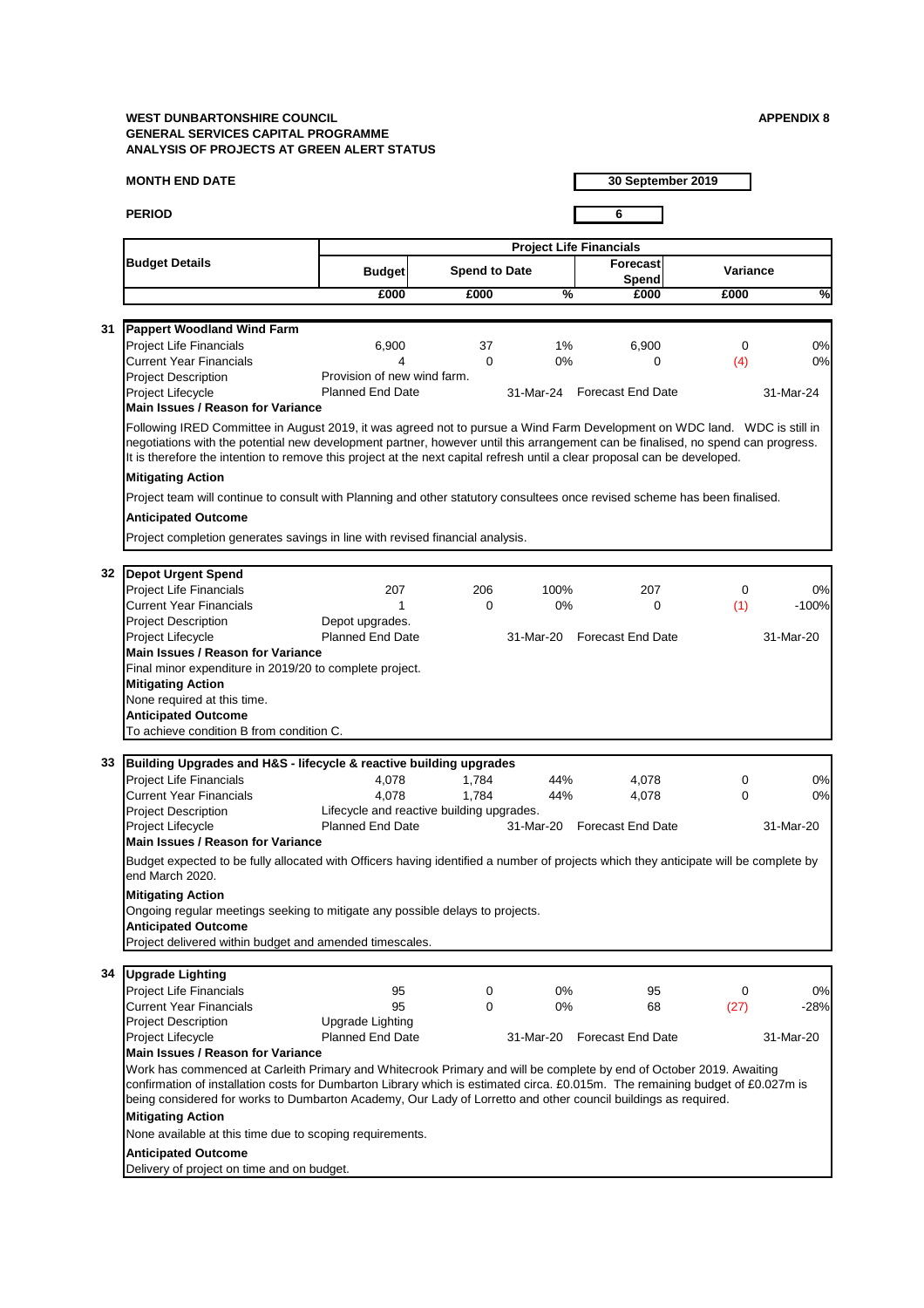## **MONTH END DATE**

**PERIOD 6**

**30 September 2019**

| <b>Project Life Financials</b> |                                                                                                                                                                                                                                                                                                                                                                                            |                                                                      |                      |               |                             |                 |               |
|--------------------------------|--------------------------------------------------------------------------------------------------------------------------------------------------------------------------------------------------------------------------------------------------------------------------------------------------------------------------------------------------------------------------------------------|----------------------------------------------------------------------|----------------------|---------------|-----------------------------|-----------------|---------------|
|                                | <b>Budget Details</b>                                                                                                                                                                                                                                                                                                                                                                      | <b>Budget</b>                                                        | <b>Spend to Date</b> |               | <b>Forecast</b><br>Spend    | <b>Variance</b> |               |
|                                |                                                                                                                                                                                                                                                                                                                                                                                            | £000                                                                 | £000                 | $\frac{0}{6}$ | £000                        | £000            | $\frac{1}{2}$ |
|                                |                                                                                                                                                                                                                                                                                                                                                                                            |                                                                      |                      |               |                             |                 |               |
| 31                             | <b>Pappert Woodland Wind Farm</b>                                                                                                                                                                                                                                                                                                                                                          |                                                                      |                      |               |                             |                 |               |
|                                | <b>Project Life Financials</b>                                                                                                                                                                                                                                                                                                                                                             | 6,900                                                                | 37                   | $1\%$         | 6,900                       | 0               | 0%            |
|                                | <b>Current Year Financials</b>                                                                                                                                                                                                                                                                                                                                                             | 4                                                                    | $\Omega$             | 0%            | 0                           | (4)             | 0%            |
|                                | <b>Project Description</b>                                                                                                                                                                                                                                                                                                                                                                 | Provision of new wind farm.                                          |                      |               |                             |                 |               |
|                                | Project Lifecycle                                                                                                                                                                                                                                                                                                                                                                          | <b>Planned End Date</b>                                              |                      |               | 31-Mar-24 Forecast End Date |                 | 31-Mar-24     |
|                                | <b>Main Issues / Reason for Variance</b>                                                                                                                                                                                                                                                                                                                                                   |                                                                      |                      |               |                             |                 |               |
|                                | Following IRED Committee in August 2019, it was agreed not to pursue a Wind Farm Development on WDC land. WDC is still in<br>negotiations with the potential new development partner, however until this arrangement can be finalised, no spend can progress.<br>It is therefore the intention to remove this project at the next capital refresh until a clear proposal can be developed. |                                                                      |                      |               |                             |                 |               |
|                                | <b>Mitigating Action</b>                                                                                                                                                                                                                                                                                                                                                                   |                                                                      |                      |               |                             |                 |               |
|                                | Project team will continue to consult with Planning and other statutory consultees once revised scheme has been finalised.                                                                                                                                                                                                                                                                 |                                                                      |                      |               |                             |                 |               |
|                                | <b>Anticipated Outcome</b>                                                                                                                                                                                                                                                                                                                                                                 |                                                                      |                      |               |                             |                 |               |
|                                | Project completion generates savings in line with revised financial analysis.                                                                                                                                                                                                                                                                                                              |                                                                      |                      |               |                             |                 |               |
|                                |                                                                                                                                                                                                                                                                                                                                                                                            |                                                                      |                      |               |                             |                 |               |
| 32                             | <b>Depot Urgent Spend</b>                                                                                                                                                                                                                                                                                                                                                                  |                                                                      |                      |               |                             |                 |               |
|                                | <b>Project Life Financials</b>                                                                                                                                                                                                                                                                                                                                                             | 207                                                                  | 206                  | 100%          | 207                         | 0               | 0%            |
|                                | <b>Current Year Financials</b>                                                                                                                                                                                                                                                                                                                                                             |                                                                      | 0                    | 0%            | 0                           | (1)             | $-100%$       |
|                                | <b>Project Description</b>                                                                                                                                                                                                                                                                                                                                                                 | Depot upgrades.                                                      |                      |               |                             |                 |               |
|                                | <b>Project Lifecycle</b>                                                                                                                                                                                                                                                                                                                                                                   | <b>Planned End Date</b>                                              |                      | 31-Mar-20     | <b>Forecast End Date</b>    |                 | 31-Mar-20     |
|                                | <b>Main Issues / Reason for Variance</b>                                                                                                                                                                                                                                                                                                                                                   |                                                                      |                      |               |                             |                 |               |
|                                | Final minor expenditure in 2019/20 to complete project.                                                                                                                                                                                                                                                                                                                                    |                                                                      |                      |               |                             |                 |               |
|                                | <b>Mitigating Action</b>                                                                                                                                                                                                                                                                                                                                                                   |                                                                      |                      |               |                             |                 |               |
|                                | None required at this time.                                                                                                                                                                                                                                                                                                                                                                |                                                                      |                      |               |                             |                 |               |
|                                | <b>Anticipated Outcome</b>                                                                                                                                                                                                                                                                                                                                                                 |                                                                      |                      |               |                             |                 |               |
|                                | To achieve condition B from condition C.                                                                                                                                                                                                                                                                                                                                                   |                                                                      |                      |               |                             |                 |               |
|                                |                                                                                                                                                                                                                                                                                                                                                                                            |                                                                      |                      |               |                             |                 |               |
| 33                             | Building Upgrades and H&S - lifecycle & reactive building upgrades                                                                                                                                                                                                                                                                                                                         |                                                                      |                      |               |                             |                 |               |
|                                | <b>Project Life Financials</b>                                                                                                                                                                                                                                                                                                                                                             | 4,078                                                                | 1,784                | 44%           | 4,078                       | 0               | 0%            |
|                                | <b>Current Year Financials</b>                                                                                                                                                                                                                                                                                                                                                             | 4,078                                                                | 1,784                | 44%           | 4,078                       | $\mathbf 0$     | 0%            |
|                                | <b>Project Description</b>                                                                                                                                                                                                                                                                                                                                                                 | Lifecycle and reactive building upgrades.<br><b>Planned End Date</b> |                      |               | 31-Mar-20 Forecast End Date |                 |               |
|                                | <b>Project Lifecycle</b><br><b>Main Issues / Reason for Variance</b>                                                                                                                                                                                                                                                                                                                       |                                                                      |                      |               |                             |                 | 31-Mar-20     |
|                                |                                                                                                                                                                                                                                                                                                                                                                                            |                                                                      |                      |               |                             |                 |               |
|                                | Budget expected to be fully allocated with Officers having identified a number of projects which they anticipate will be complete by<br>end March 2020.                                                                                                                                                                                                                                    |                                                                      |                      |               |                             |                 |               |
|                                | <b>Mitigating Action</b>                                                                                                                                                                                                                                                                                                                                                                   |                                                                      |                      |               |                             |                 |               |
|                                |                                                                                                                                                                                                                                                                                                                                                                                            | propertional cooling to mitigate only possible delays to projecte    |                      |               |                             |                 |               |

| 34 Upgrade Lighting               |                         |           |                          |      |           |
|-----------------------------------|-------------------------|-----------|--------------------------|------|-----------|
| <b>Project Life Financials</b>    | 95                      | 0%        | 95                       |      | 0%        |
| <b>Current Year Financials</b>    | 95                      | 0%        | 68                       | (27) | -28%      |
| <b>Project Description</b>        | Upgrade Lighting        |           |                          |      |           |
| <b>Project Lifecycle</b>          | <b>Planned End Date</b> | 31-Mar-20 | <b>Forecast End Date</b> |      | 31-Mar-20 |
| Main Iccuse / Descan for Variance |                         |           |                          |      |           |

## Ongoing regular meetings seeking to mitigate any possible delays to projects. **Anticipated Outcome**

Project delivered within budget and amended timescales.

## **Main Issues / Reason for Variance**

Work has commenced at Carleith Primary and Whitecrook Primary and will be complete by end of October 2019. Awaiting confirmation of installation costs for Dumbarton Library which is estimated circa. £0.015m. The remaining budget of £0.027m is being considered for works to Dumbarton Academy, Our Lady of Lorretto and other council buildings as required.

## **Mitigating Action**

None available at this time due to scoping requirements.

## **Anticipated Outcome**

Delivery of project on time and on budget.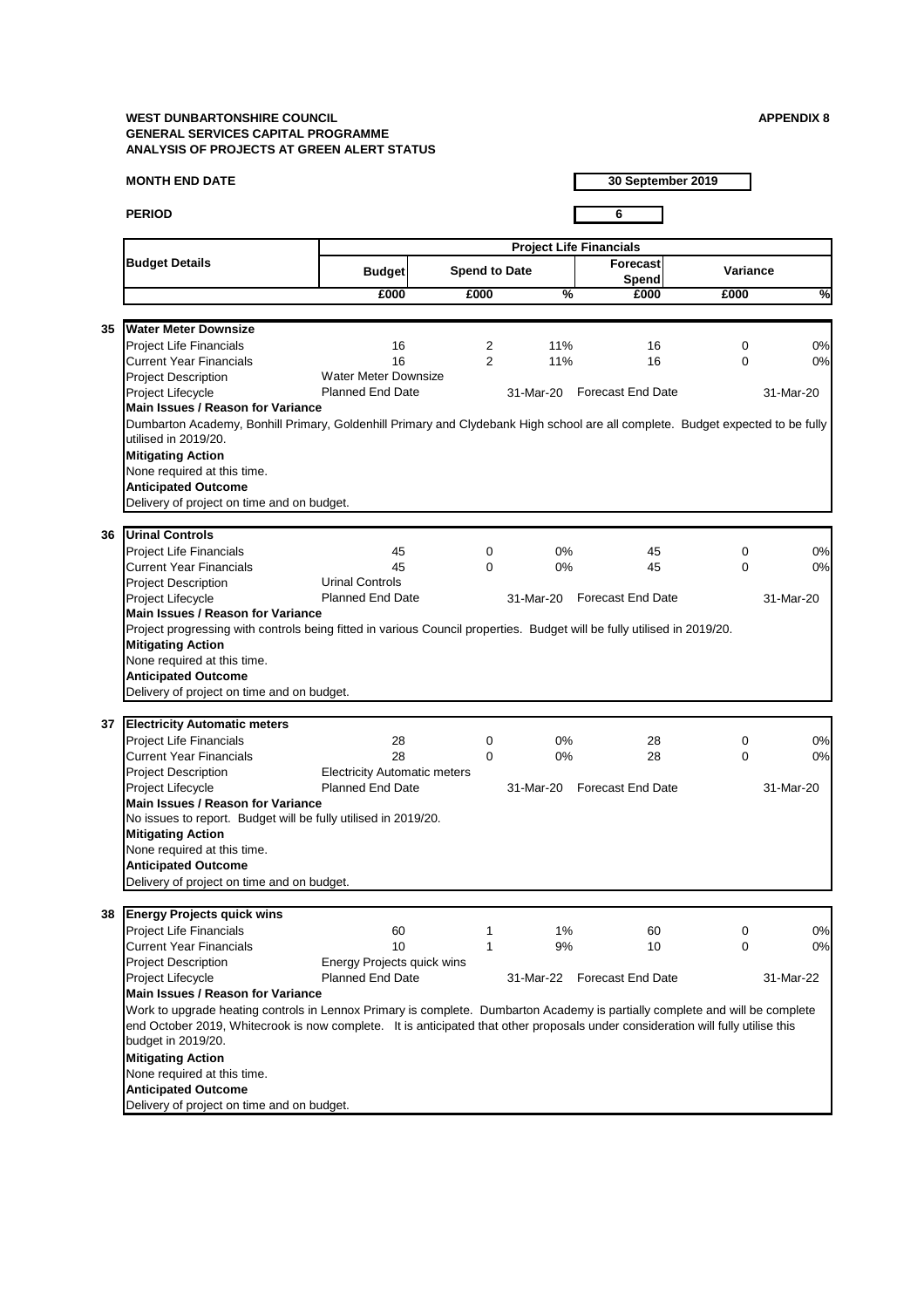## **MONTH END DATE**

**PERIOD 6**

**30 September 2019**

|    |                                                                                                                                                        |                                     | <b>Project Life Financials</b> |               |                             |                 |           |  |
|----|--------------------------------------------------------------------------------------------------------------------------------------------------------|-------------------------------------|--------------------------------|---------------|-----------------------------|-----------------|-----------|--|
|    | <b>Budget Details</b>                                                                                                                                  | <b>Budget</b>                       | <b>Spend to Date</b>           |               | Forecast<br><b>Spend</b>    | <b>Variance</b> |           |  |
|    |                                                                                                                                                        | £000                                | £000                           | $\frac{9}{6}$ | £000                        | £000            | %         |  |
| 35 |                                                                                                                                                        |                                     |                                |               |                             |                 |           |  |
|    | <b>Water Meter Downsize</b>                                                                                                                            |                                     |                                |               |                             |                 |           |  |
|    | <b>Project Life Financials</b>                                                                                                                         | 16                                  | $\overline{2}$                 | 11%           | 16                          | $\mathbf 0$     | 0%        |  |
|    | <b>Current Year Financials</b>                                                                                                                         | 16                                  | $\overline{2}$                 | 11%           | 16                          | $\mathbf 0$     | 0%        |  |
|    | <b>Project Description</b>                                                                                                                             | <b>Water Meter Downsize</b>         |                                |               |                             |                 |           |  |
|    | Project Lifecycle                                                                                                                                      | <b>Planned End Date</b>             |                                | 31-Mar-20     | <b>Forecast End Date</b>    |                 | 31-Mar-20 |  |
|    | <b>Main Issues / Reason for Variance</b>                                                                                                               |                                     |                                |               |                             |                 |           |  |
|    | Dumbarton Academy, Bonhill Primary, Goldenhill Primary and Clydebank High school are all complete. Budget expected to be fully<br>utilised in 2019/20. |                                     |                                |               |                             |                 |           |  |
|    |                                                                                                                                                        |                                     |                                |               |                             |                 |           |  |
|    | <b>Mitigating Action</b>                                                                                                                               |                                     |                                |               |                             |                 |           |  |
|    | None required at this time.                                                                                                                            |                                     |                                |               |                             |                 |           |  |
|    | <b>Anticipated Outcome</b>                                                                                                                             |                                     |                                |               |                             |                 |           |  |
|    | Delivery of project on time and on budget.                                                                                                             |                                     |                                |               |                             |                 |           |  |
| 36 | <b>Urinal Controls</b>                                                                                                                                 |                                     |                                |               |                             |                 |           |  |
|    |                                                                                                                                                        |                                     |                                |               |                             |                 |           |  |
|    | <b>Project Life Financials</b>                                                                                                                         | 45                                  | $\mathbf 0$                    | 0%            | 45                          | $\mathbf 0$     | 0%        |  |
|    | <b>Current Year Financials</b>                                                                                                                         | 45                                  | $\Omega$                       | $0\%$         | 45                          | $\mathbf 0$     | 0%        |  |
|    | <b>Project Description</b>                                                                                                                             | <b>Urinal Controls</b>              |                                |               |                             |                 |           |  |
|    | Project Lifecycle                                                                                                                                      | <b>Planned End Date</b>             |                                |               | 31-Mar-20 Forecast End Date |                 | 31-Mar-20 |  |
|    | <b>Main Issues / Reason for Variance</b>                                                                                                               |                                     |                                |               |                             |                 |           |  |
|    | Project progressing with controls being fitted in various Council properties. Budget will be fully utilised in 2019/20.                                |                                     |                                |               |                             |                 |           |  |
|    | <b>Mitigating Action</b>                                                                                                                               |                                     |                                |               |                             |                 |           |  |
|    | None required at this time.                                                                                                                            |                                     |                                |               |                             |                 |           |  |
|    | <b>Anticipated Outcome</b>                                                                                                                             |                                     |                                |               |                             |                 |           |  |
|    | Delivery of project on time and on budget.                                                                                                             |                                     |                                |               |                             |                 |           |  |
|    |                                                                                                                                                        |                                     |                                |               |                             |                 |           |  |
| 37 | <b>Electricity Automatic meters</b>                                                                                                                    |                                     |                                |               |                             |                 |           |  |
|    | <b>Project Life Financials</b>                                                                                                                         | 28                                  | $\mathbf 0$                    | $0\%$         | 28                          | 0               | 0%        |  |
|    | <b>Current Year Financials</b>                                                                                                                         | 28                                  | 0                              | 0%            | 28                          | 0               | 0%        |  |
|    | <b>Project Description</b>                                                                                                                             | <b>Electricity Automatic meters</b> |                                |               |                             |                 |           |  |
|    | Project Lifecycle                                                                                                                                      | <b>Planned End Date</b>             |                                | 31-Mar-20     | <b>Forecast End Date</b>    |                 | 31-Mar-20 |  |
|    | <b>Main Issues / Reason for Variance</b>                                                                                                               |                                     |                                |               |                             |                 |           |  |
|    | No issues to report. Budget will be fully utilised in 2019/20.                                                                                         |                                     |                                |               |                             |                 |           |  |
|    | <b>Mitigating Action</b>                                                                                                                               |                                     |                                |               |                             |                 |           |  |
|    | None required at this time.                                                                                                                            |                                     |                                |               |                             |                 |           |  |
|    | <b>Anticipated Outcome</b>                                                                                                                             |                                     |                                |               |                             |                 |           |  |
|    | Delivery of project on time and on budget.                                                                                                             |                                     |                                |               |                             |                 |           |  |

## **38 Energy Projects quick wins**

| <b>Project Life Financials</b> | 60                         | $1\%$ | 60        |                          | 0%        |
|--------------------------------|----------------------------|-------|-----------|--------------------------|-----------|
| <b>Current Year Financials</b> |                            | 9%    | 10        |                          | 0%        |
| <b>Project Description</b>     | Energy Projects quick wins |       |           |                          |           |
| <b>Project Lifecycle</b>       | <b>Planned End Date</b>    |       |           |                          | 31-Mar-22 |
|                                |                            |       | 31-Mar-22 | <b>Forecast End Date</b> |           |

# **Mitigating Action**

None required at this time.

# **Anticipated Outcome**

Delivery of project on time and on budget.

# **Main Issues / Reason for Variance**

Work to upgrade heating controls in Lennox Primary is complete. Dumbarton Academy is partially complete and will be complete end October 2019, Whitecrook is now complete. It is anticipated that other proposals under consideration will fully utilise this budget in 2019/20.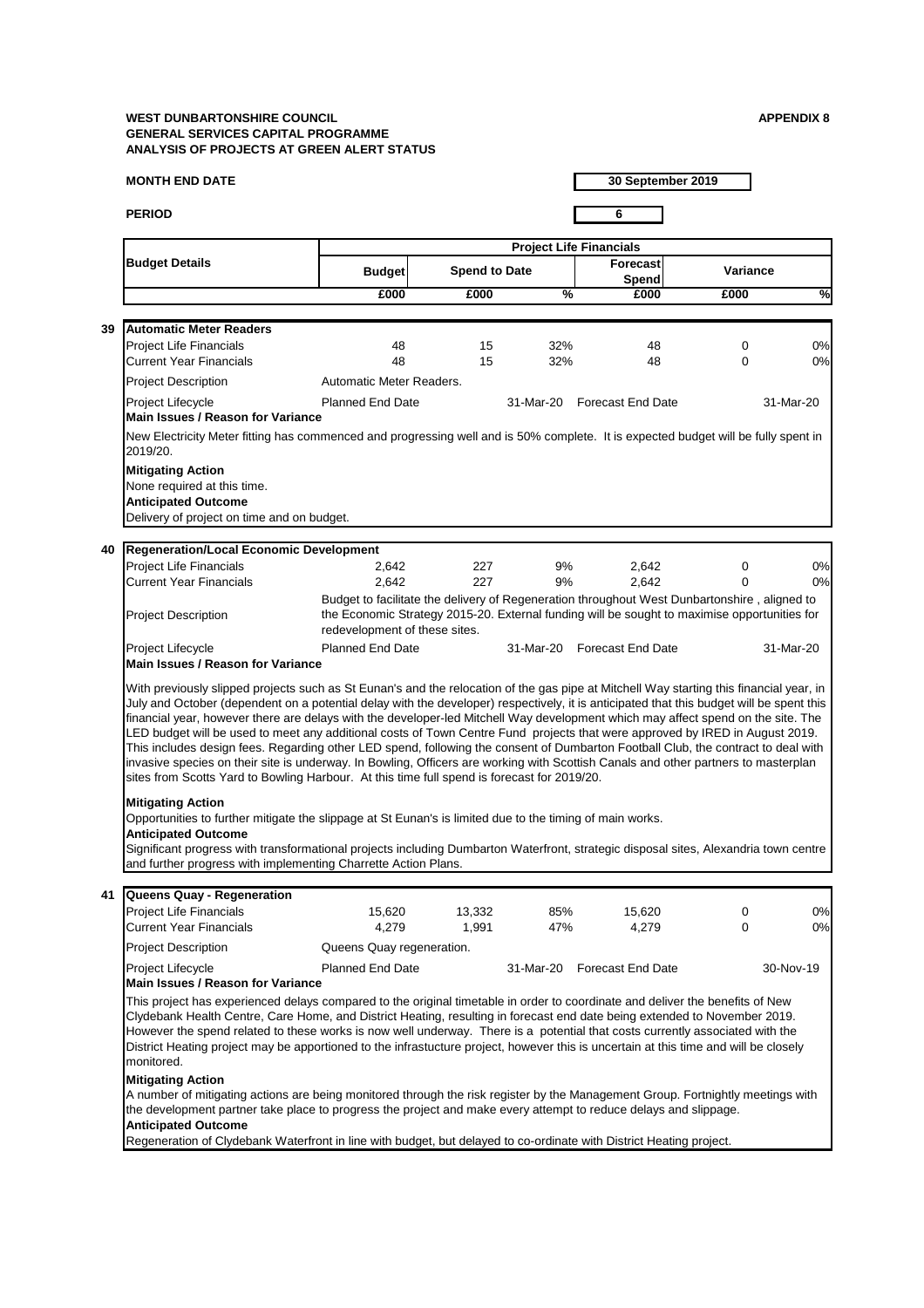## **MONTH END DATE**

**PERIOD 6**

**30 September 2019**

### **41 Queens Quay - Regeneration**

| <b>Project Life Financials</b> | 15,620                    | 13,332 | 85%       | 15,620                   | 0%        |
|--------------------------------|---------------------------|--------|-----------|--------------------------|-----------|
| <b>Current Year Financials</b> | 4,279                     | .991   | 47%       | 4.279                    | 0%        |
| <b>Project Description</b>     | Queens Quay regeneration. |        |           |                          |           |
| <b>Project Lifecycle</b><br>.  | <b>Planned End Date</b>   |        | 31-Mar-20 | <b>Forecast End Date</b> | 30-Nov-19 |

## **Main Issues / Reason for Variance**

|    |                                                                                                                                                                                                                                                                                                                                                                                                                                                                                                                                                                                                                                                                                                                                                                                                                                                                                                                                   |                               |                      |               | <b>Project Life Financials</b>  |                                                                                                                                                                                              |               |
|----|-----------------------------------------------------------------------------------------------------------------------------------------------------------------------------------------------------------------------------------------------------------------------------------------------------------------------------------------------------------------------------------------------------------------------------------------------------------------------------------------------------------------------------------------------------------------------------------------------------------------------------------------------------------------------------------------------------------------------------------------------------------------------------------------------------------------------------------------------------------------------------------------------------------------------------------|-------------------------------|----------------------|---------------|---------------------------------|----------------------------------------------------------------------------------------------------------------------------------------------------------------------------------------------|---------------|
|    | <b>Budget Details</b>                                                                                                                                                                                                                                                                                                                                                                                                                                                                                                                                                                                                                                                                                                                                                                                                                                                                                                             | <b>Budget</b>                 | <b>Spend to Date</b> |               | <b>Forecast</b><br><b>Spend</b> | <b>Variance</b>                                                                                                                                                                              |               |
|    |                                                                                                                                                                                                                                                                                                                                                                                                                                                                                                                                                                                                                                                                                                                                                                                                                                                                                                                                   | £000                          | £000                 | $\frac{0}{6}$ | £000                            | £000                                                                                                                                                                                         | $\frac{1}{2}$ |
|    |                                                                                                                                                                                                                                                                                                                                                                                                                                                                                                                                                                                                                                                                                                                                                                                                                                                                                                                                   |                               |                      |               |                                 |                                                                                                                                                                                              |               |
| 39 | <b>Automatic Meter Readers</b><br><b>Project Life Financials</b>                                                                                                                                                                                                                                                                                                                                                                                                                                                                                                                                                                                                                                                                                                                                                                                                                                                                  | 48                            | 15                   | 32%           | 48                              | $\overline{0}$                                                                                                                                                                               | 0%            |
|    | <b>Current Year Financials</b>                                                                                                                                                                                                                                                                                                                                                                                                                                                                                                                                                                                                                                                                                                                                                                                                                                                                                                    | 48                            | 15                   | 32%           | 48                              | $\mathbf 0$                                                                                                                                                                                  | 0%            |
|    | <b>Project Description</b>                                                                                                                                                                                                                                                                                                                                                                                                                                                                                                                                                                                                                                                                                                                                                                                                                                                                                                        | Automatic Meter Readers.      |                      |               |                                 |                                                                                                                                                                                              |               |
|    | Project Lifecycle                                                                                                                                                                                                                                                                                                                                                                                                                                                                                                                                                                                                                                                                                                                                                                                                                                                                                                                 | <b>Planned End Date</b>       |                      | 31-Mar-20     | <b>Forecast End Date</b>        | 31-Mar-20                                                                                                                                                                                    |               |
|    | <b>Main Issues / Reason for Variance</b>                                                                                                                                                                                                                                                                                                                                                                                                                                                                                                                                                                                                                                                                                                                                                                                                                                                                                          |                               |                      |               |                                 |                                                                                                                                                                                              |               |
|    | New Electricity Meter fitting has commenced and progressing well and is 50% complete. It is expected budget will be fully spent in<br>2019/20.                                                                                                                                                                                                                                                                                                                                                                                                                                                                                                                                                                                                                                                                                                                                                                                    |                               |                      |               |                                 |                                                                                                                                                                                              |               |
|    | <b>Mitigating Action</b><br>None required at this time.                                                                                                                                                                                                                                                                                                                                                                                                                                                                                                                                                                                                                                                                                                                                                                                                                                                                           |                               |                      |               |                                 |                                                                                                                                                                                              |               |
|    | <b>Anticipated Outcome</b>                                                                                                                                                                                                                                                                                                                                                                                                                                                                                                                                                                                                                                                                                                                                                                                                                                                                                                        |                               |                      |               |                                 |                                                                                                                                                                                              |               |
|    | Delivery of project on time and on budget.                                                                                                                                                                                                                                                                                                                                                                                                                                                                                                                                                                                                                                                                                                                                                                                                                                                                                        |                               |                      |               |                                 |                                                                                                                                                                                              |               |
| 40 | <b>Regeneration/Local Economic Development</b>                                                                                                                                                                                                                                                                                                                                                                                                                                                                                                                                                                                                                                                                                                                                                                                                                                                                                    |                               |                      |               |                                 |                                                                                                                                                                                              |               |
|    | <b>Project Life Financials</b>                                                                                                                                                                                                                                                                                                                                                                                                                                                                                                                                                                                                                                                                                                                                                                                                                                                                                                    | 2,642                         | 227                  | 9%            | 2,642                           | $\mathbf{0}$                                                                                                                                                                                 | 0%            |
|    | <b>Current Year Financials</b>                                                                                                                                                                                                                                                                                                                                                                                                                                                                                                                                                                                                                                                                                                                                                                                                                                                                                                    | 2,642                         | 227                  | 9%            | 2,642                           | 0                                                                                                                                                                                            | 0%            |
|    | <b>Project Description</b>                                                                                                                                                                                                                                                                                                                                                                                                                                                                                                                                                                                                                                                                                                                                                                                                                                                                                                        | redevelopment of these sites. |                      |               |                                 | Budget to facilitate the delivery of Regeneration throughout West Dunbartonshire, aligned to<br>the Economic Strategy 2015-20. External funding will be sought to maximise opportunities for |               |
|    | Project Lifecycle                                                                                                                                                                                                                                                                                                                                                                                                                                                                                                                                                                                                                                                                                                                                                                                                                                                                                                                 | <b>Planned End Date</b>       |                      |               | 31-Mar-20 Forecast End Date     | 31-Mar-20                                                                                                                                                                                    |               |
|    | <b>Main Issues / Reason for Variance</b>                                                                                                                                                                                                                                                                                                                                                                                                                                                                                                                                                                                                                                                                                                                                                                                                                                                                                          |                               |                      |               |                                 |                                                                                                                                                                                              |               |
|    | With previously slipped projects such as St Eunan's and the relocation of the gas pipe at Mitchell Way starting this financial year, in<br>July and October (dependent on a potential delay with the developer) respectively, it is anticipated that this budget will be spent this<br>financial year, however there are delays with the developer-led Mitchell Way development which may affect spend on the site. The<br>LED budget will be used to meet any additional costs of Town Centre Fund projects that were approved by IRED in August 2019.<br>This includes design fees. Regarding other LED spend, following the consent of Dumbarton Football Club, the contract to deal with<br>invasive species on their site is underway. In Bowling, Officers are working with Scottish Canals and other partners to masterplan<br>sites from Scotts Yard to Bowling Harbour. At this time full spend is forecast for 2019/20. |                               |                      |               |                                 |                                                                                                                                                                                              |               |
|    | <b>Mitigating Action</b><br>Opportunities to further mitigate the slippage at St Eunan's is limited due to the timing of main works.<br><b>Anticipated Outcome</b><br>Significant progress with transformational projects including Dumbarton Waterfront, strategic disposal sites, Alexandria town centre                                                                                                                                                                                                                                                                                                                                                                                                                                                                                                                                                                                                                        |                               |                      |               |                                 |                                                                                                                                                                                              |               |
|    | and further progress with implementing Charrette Action Plans.                                                                                                                                                                                                                                                                                                                                                                                                                                                                                                                                                                                                                                                                                                                                                                                                                                                                    |                               |                      |               |                                 |                                                                                                                                                                                              |               |
|    |                                                                                                                                                                                                                                                                                                                                                                                                                                                                                                                                                                                                                                                                                                                                                                                                                                                                                                                                   |                               |                      |               |                                 |                                                                                                                                                                                              |               |

This project has experienced delays compared to the original timetable in order to coordinate and deliver the benefits of New Clydebank Health Centre, Care Home, and District Heating, resulting in forecast end date being extended to November 2019. However the spend related to these works is now well underway. There is a potential that costs currently associated with the District Heating project may be apportioned to the infrastucture project, however this is uncertain at this time and will be closely monitored.

## **Mitigating Action**

A number of mitigating actions are being monitored through the risk register by the Management Group. Fortnightly meetings with the development partner take place to progress the project and make every attempt to reduce delays and slippage. **Anticipated Outcome**

Regeneration of Clydebank Waterfront in line with budget, but delayed to co-ordinate with District Heating project.